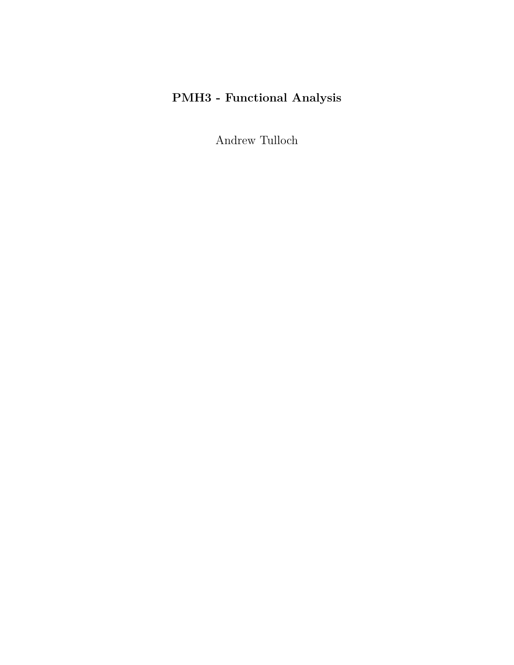# **PMH3 - Functional Analysis**

Andrew Tulloch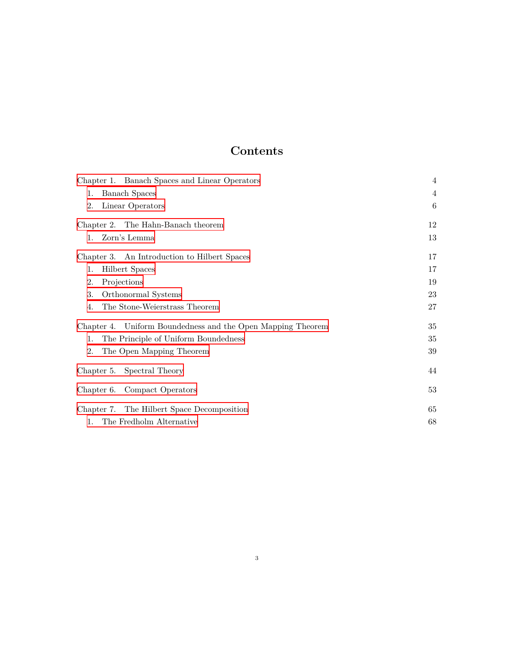# **Contents**

| Chapter 1. Banach Spaces and Linear Operators<br><b>Banach Spaces</b><br>1.<br>Linear Operators<br>2. | $\overline{4}$<br>$\overline{4}$<br>6 |
|-------------------------------------------------------------------------------------------------------|---------------------------------------|
| Chapter 2. The Hahn-Banach theorem                                                                    | 12                                    |
| Zorn's Lemma<br>$1_{\cdots}$                                                                          | 13                                    |
| Chapter 3. An Introduction to Hilbert Spaces                                                          | 17                                    |
| <b>Hilbert Spaces</b><br>1.                                                                           | 17                                    |
| Projections<br>2.                                                                                     | 19                                    |
| Orthonormal Systems<br>3.                                                                             | 23                                    |
| The Stone-Weierstrass Theorem<br>4.                                                                   | 27                                    |
| Chapter 4. Uniform Boundedness and the Open Mapping Theorem                                           | 35                                    |
| The Principle of Uniform Boundedness<br>1.                                                            | 35                                    |
| 2.<br>The Open Mapping Theorem                                                                        | 39                                    |
| Chapter 5. Spectral Theory                                                                            | 44                                    |
| Chapter 6. Compact Operators                                                                          | $53\,$                                |
| Chapter 7. The Hilbert Space Decomposition                                                            | 65                                    |
| The Fredholm Alternative<br>$\mathbf{1}$ .                                                            | 68                                    |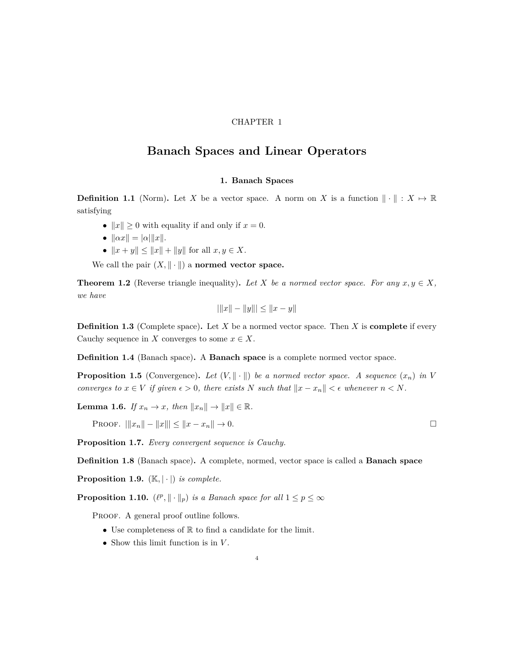#### CHAPTER 1

## <span id="page-3-0"></span>**Banach Spaces and Linear Operators**

#### **1. Banach Spaces**

<span id="page-3-1"></span>**Definition 1.1** (Norm). Let *X* be a vector space. A norm on *X* is a function  $\|\cdot\|$  :  $X \mapsto \mathbb{R}$ satisfying

- $||x|| \geq 0$  with equality if and only if  $x = 0$ .
- $||\alpha x|| = |\alpha| ||x||$ .
- $||x + y|| \le ||x|| + ||y||$  for all  $x, y \in X$ .

We call the pair  $(X, \|\cdot\|)$  a **normed vector space.** 

**Theorem 1.2** (Reverse triangle inequality). Let *X* be a normed vector space. For any  $x, y \in X$ , *we have*

$$
|\|x\| - \|y\|| \le \|x - y\|
$$

**Definition 1.3** (Complete space)**.** Let *X* be a normed vector space. Then *X* is **complete** if every Cauchy sequence in *X* converges to some  $x \in X$ .

**Definition 1.4** (Banach space)**.** A **Banach space** is a complete normed vector space.

**Proposition 1.5** (Convergence). Let  $(V, \| \cdot \|)$  be a normed vector space. A sequence  $(x_n)$  in V *converges to*  $x \in V$  *if given*  $\epsilon > 0$ *, there exists*  $N$  *such that*  $||x - x_n|| < \epsilon$  *whenever*  $n < N$ *.* 

**Lemma 1.6.** *If*  $x_n \to x$ *, then*  $||x_n|| \to ||x|| \in \mathbb{R}$ *.* 

PROOF.  $||x_n|| - ||x|| \le ||x - x_n|| \to 0.$ 

**Proposition 1.7.** *Every convergent sequence is Cauchy.*

**Definition 1.8** (Banach space)**.** A complete, normed, vector space is called a **Banach space**

**Proposition 1.9.**  $(K, |\cdot|)$  *is complete.* 

**Proposition 1.10.**  $(\ell^p, \|\cdot\|_p)$  *is a Banach space for all*  $1 \leq p \leq \infty$ 

PROOF. A general proof outline follows.

- Use completeness of  $\mathbb R$  to find a candidate for the limit.
- *•* Show this limit function is in *V* .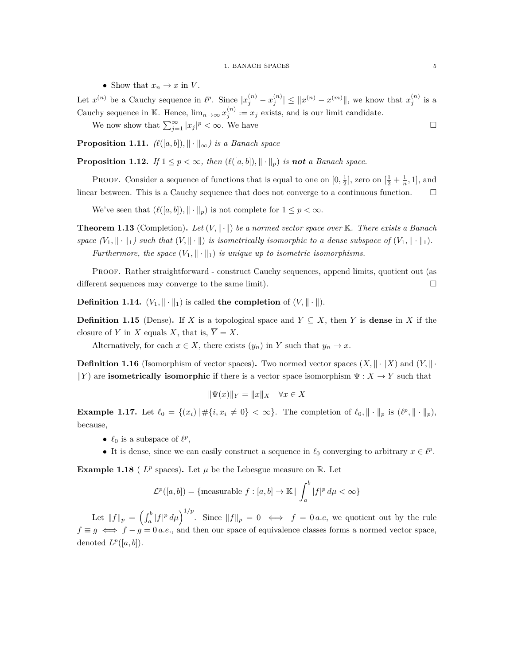• Show that  $x_n \to x$  in *V*.

Let  $x^{(n)}$  be a Cauchy sequence in  $\ell^p$ . Since  $|x_j^{(n)} - x_j^{(n)}| \leq ||x^{(n)} - x^{(m)}||$ , we know that  $x_j^{(n)}$  is a Cauchy sequence in K. Hence,  $\lim_{n\to\infty} x_j^{(n)} := x_j$  exists, and is our limit candidate. We now show that  $\sum_{j=1}^{\infty} |x_j|^p < \infty$ . We have

**Proposition 1.11.**  $\ell(\lbrack a,b \rbrack), \lbrack\lbrack \cdot \rbrack\rbrack_{\infty})$  is a Banach space

**Proposition 1.12.** *If*  $1 \leq p < \infty$ *, then*  $(\ell([a, b]), \|\cdot\|_p)$  *is not a Banach space.* 

**PROOF.** Consider a sequence of functions that is equal to one on  $[0, \frac{1}{2}]$ , zero on  $[\frac{1}{2} + \frac{1}{n}, 1]$ , and linear between. This is a Cauchy sequence that does not converge to a continuous function.  $\Box$ 

We've seen that  $(\ell([a, b]), \|\cdot\|_p)$  is not complete for  $1 \leq p < \infty$ .

**Theorem 1.13** (Completion)**.** *Let* (*V, ∥·∥*) *be a normed vector space over* K*. There exists a Banach space*  $(V_1, \|\cdot\|_1)$  *such that*  $(V, \|\cdot\|_1)$  *is isometrically isomorphic to a dense subspace of*  $(V_1, \|\cdot\|_1)$ *. Furthermore, the space*  $(V_1, \|\cdot\|_1)$  *is unique up to isometric isomorphisms.* 

Proof. Rather straightforward - construct Cauchy sequences, append limits, quotient out (as different sequences may converge to the same limit).  $\Box$ 

**Definition 1.14.**  $(V_1, \|\cdot\|_1)$  is called **the completion** of  $(V, \|\cdot\|)$ .

**Definition 1.15** (Dense). If *X* is a topological space and  $Y \subseteq X$ , then *Y* is **dense** in *X* if the closure of *Y* in *X* equals *X*, that is,  $\overline{Y} = X$ .

Alternatively, for each  $x \in X$ , there exists  $(y_n)$  in *Y* such that  $y_n \to x$ .

**Definition 1.16** (Isomorphism of vector spaces). Two normed vector spaces  $(X, \| \cdot \| X)$  and  $(Y, \| \cdot \| X)$  $\|Y\|$  are **isometrically isomorphic** if there is a vector space isomorphism  $\Psi: X \to Y$  such that

$$
\|\Psi(x)\|_{Y} = \|x\|_{X} \quad \forall x \in X
$$

**Example 1.17.** Let  $\ell_0 = \{(x_i) | \# \{i, x_i \neq 0\} < \infty\}$ . The completion of  $\ell_0, \|\cdot\|_p$  is  $(\ell^p, \|\cdot\|_p)$ , because,

- $\ell_0$  is a subspace of  $\ell^p$ ,
- It is dense, since we can easily construct a sequence in  $\ell_0$  converging to arbitrary  $x \in \ell^p$ .

**Example 1.18** ( $L^p$  spaces). Let  $\mu$  be the Lebesgue measure on R. Let

$$
\mathcal{L}^p([a,b]) = \{\text{measurable } f : [a,b] \to \mathbb{K} \mid \int_a^b |f|^p \, d\mu < \infty \}
$$

Let  $||f||_p = \left(\int_a^b |f|^p d\mu\right)^{1/p}$ . Since  $||f||_p = 0 \iff f = 0 \text{ a.e., we quotient out by the rule.}$  $f \equiv g \iff f - g = 0$  *a.e.*, and then our space of equivalence classes forms a normed vector space, denoted  $L^p([a, b])$ .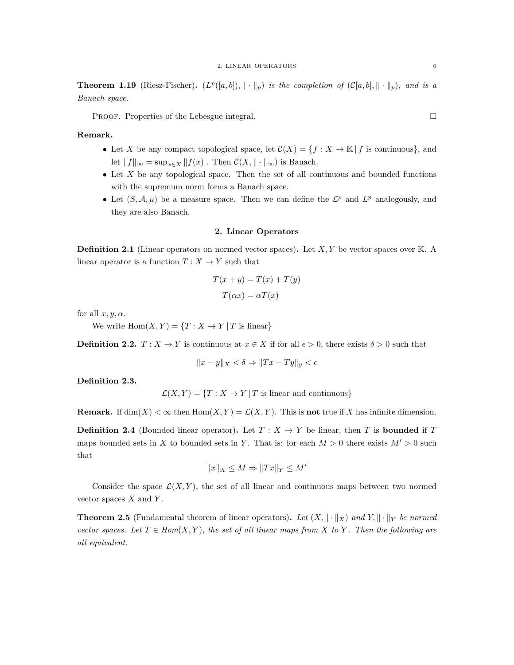**Theorem 1.19** (Riesz-Fischer).  $(L^p([a, b]), \|\cdot\|_p)$  *is the completion of*  $(C[a, b], \|\cdot\|_p)$ *, and is a Banach space.*

PROOF. Properties of the Lebesgue integral.

**Remark.**

- Let *X* be any compact topological space, let  $C(X) = \{f : X \to \mathbb{K} \mid f \text{ is continuous}\}\,$ , and let  $||f||_{\infty} = \sup_{x \in X} ||f(x)|$ . Then  $\mathcal{C}(X, ||\cdot||_{\infty})$  is Banach.
- Let X be any topological space. Then the set of all continuous and bounded functions with the supremum norm forms a Banach space.
- Let  $(S, \mathcal{A}, \mu)$  be a measure space. Then we can define the  $\mathcal{L}^p$  and  $L^p$  analogously, and they are also Banach.

#### **2. Linear Operators**

<span id="page-5-0"></span>**Definition 2.1** (Linear operators on normed vector spaces)**.** Let *X, Y* be vector spaces over K. A linear operator is a function  $T : X \to Y$  such that

$$
T(x + y) = T(x) + T(y)
$$

$$
T(\alpha x) = \alpha T(x)
$$

for all  $x, y, \alpha$ .

We write  $\text{Hom}(X, Y) = \{T : X \to Y | T \text{ is linear}\}\$ 

**Definition 2.2.**  $T: X \to Y$  is continuous at  $x \in X$  if for all  $\epsilon > 0$ , there exists  $\delta > 0$  such that

$$
||x - y||_X < \delta \Rightarrow ||Tx - Ty||_y < \epsilon
$$

**Definition 2.3.**

 $\mathcal{L}(X, Y) = \{T : X \to Y | T$  is linear and continuous}

**Remark.** If  $\dim(X) < \infty$  then  $\text{Hom}(X, Y) = \mathcal{L}(X, Y)$ . This is **not** true if *X* has infinite dimension.

**Definition 2.4** (Bounded linear operator). Let  $T : X \rightarrow Y$  be linear, then *T* is **bounded** if *T* maps bounded sets in *X* to bounded sets in *Y*. That is: for each  $M > 0$  there exists  $M' > 0$  such that

$$
||x||_X \le M \Rightarrow ||Tx||_Y \le M'
$$

Consider the space  $\mathcal{L}(X, Y)$ , the set of all linear and continuous maps between two normed vector spaces *X* and *Y* .

**Theorem 2.5** (Fundamental theorem of linear operators). Let  $(X, \|\cdot\|_X)$  and  $Y, \|\cdot\|_Y$  be normed *vector spaces. Let*  $T \in Hom(X, Y)$ *, the set of all linear maps from*  $X$  *to*  $Y$ *. Then the following are all equivalent.*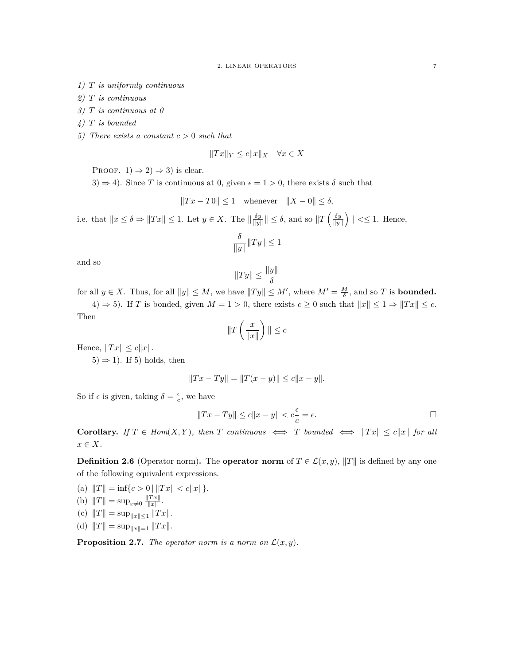- *1) T is uniformly continuous*
- *2) T is continuous*
- *3) T is continuous at 0*
- *4) T is bounded*
- *5) There exists a constant c >* 0 *such that*

$$
||Tx||_Y \le c||x||_X \quad \forall x \in X
$$

PROOF.  $1) \Rightarrow 2) \Rightarrow 3)$  is clear.

3)  $\Rightarrow$  4). Since *T* is continuous at 0, given  $\epsilon = 1 > 0$ , there exists  $\delta$  such that

 $||Tx - T0|| ≤ 1$  whenever  $||X - 0|| ≤ δ$ ,

i.e. that  $||x \le \delta \Rightarrow ||Tx|| \le 1$ . Let  $y \in X$ . The  $||\frac{\delta y}{||y||}|| \le \delta$ , and so  $||T(\frac{\delta y}{||y||})|| \le 1$ . Hence,

$$
\frac{\delta}{\|y\|}\|Ty\|\leq 1
$$

and so

$$
||Ty|| \leq \frac{||y||}{\delta}
$$

for all  $y \in X$ . Thus, for all  $||y|| \leq M$ , we have  $||Ty|| \leq M'$ , where  $M' = \frac{M}{\delta}$ , and so *T* is **bounded.** 4) *⇒* 5). If *T* is bonded, given *M* = 1 *>* 0, there exists *c ≥* 0 such that *∥x∥ ≤* 1 *⇒ ∥T x∥ ≤ c*.

Then

$$
\|T\left(\frac{x}{\|x\|}\right)\| \leq c
$$

 $Hence, ||Tx|| \leq c||x||.$ 

5)  $\Rightarrow$  1). If 5) holds, then

$$
||Tx - Ty|| = ||T(x - y)|| \le c||x - y||.
$$

So if  $\epsilon$  is given, taking  $\delta = \frac{\epsilon}{c}$ , we have

$$
||Tx - Ty|| \le c||x - y|| < c\frac{\epsilon}{c} = \epsilon.
$$

**Corollary.** If  $T \in Hom(X, Y)$ , then  $T$  continuous  $\iff T$  bounded  $\iff ||Tx|| \leq c||x||$  for all *x ∈ X.*

**Definition 2.6** (Operator norm). The **operator norm** of  $T \in \mathcal{L}(x, y)$ ,  $||T||$  is defined by any one of the following equivalent expressions.

(a) 
$$
||T|| = \inf\{c > 0 \mid ||Tx|| < c||x||\}.
$$
  
\n(b)  $||T|| = \sup_{x \neq 0} \frac{||Tx||}{||x||}.$   
\n(c)  $||T|| = \sup_{||x|| \leq 1} ||Tx||.$   
\n(d)  $||T|| = \sup_{||x||=1} ||Tx||.$ 

**Proposition 2.7.** *The operator norm is a norm on*  $\mathcal{L}(x, y)$ *.*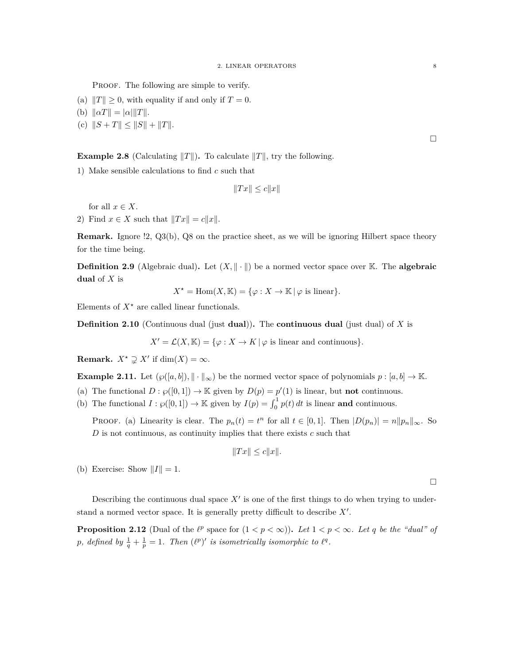PROOF. The following are simple to verify.

- (a)  $||T|| \geq 0$ , with equality if and only if  $T = 0$ .
- $(|b)$   $||\alpha T|| = |\alpha| ||T||.$
- $|(c) ||S + T|| \le ||S|| + ||T||.$

#### **Example 2.8** (Calculating  $||T||$ ). To calculate  $||T||$ , try the following.

1) Make sensible calculations to find *c* such that

 $||Tx|| \le c||x||$ 

for all  $x \in X$ .

2) Find  $x \in X$  such that  $||Tx|| = c||x||$ .

**Remark.** Ignore !2, Q3(b), Q8 on the practice sheet, as we will be ignoring Hilbert space theory for the time being.

**Definition 2.9** (Algebraic dual). Let  $(X, \| \cdot \|)$  be a normed vector space over K. The **algebraic dual** of *X* is

$$
X^* = \text{Hom}(X, \mathbb{K}) = \{ \varphi : X \to \mathbb{K} \mid \varphi \text{ is linear} \}.
$$

Elements of  $X^*$  are called linear functionals.

**Definition 2.10** (Continuous dual (just **dual**))**.** The **continuous dual** (just dual) of *X* is

 $X' = \mathcal{L}(X, \mathbb{K}) = {\varphi : X \to K | \varphi \text{ is linear and continuous}}.$ 

**Remark.**  $X^* \supsetneq X'$  if  $dim(X) = \infty$ .

**Example 2.11.** Let  $(\wp([a, b]), \|\cdot\|_{\infty})$  be the normed vector space of polynomials  $p : [a, b] \to \mathbb{K}$ .

(a) The functional  $D : \wp([0,1]) \to \mathbb{K}$  given by  $D(p) = p'(1)$  is linear, but **not** continuous.

(b) The functional  $I : \wp([0,1]) \to \mathbb{K}$  given by  $I(p) = \int_0^1 p(t) dt$  is linear **and** continuous.

**PROOF.** (a) Linearity is clear. The  $p_n(t) = t^n$  for all  $t \in [0,1]$ . Then  $|D(p_n)| = n||p_n||_{\infty}$ . So *D* is not continuous, as continuity implies that there exists *c* such that

$$
||Tx|| \le c||x||.
$$

(b) Exercise: Show  $||I|| = 1$ .

Describing the continuous dual space  $X'$  is one of the first things to do when trying to understand a normed vector space. It is generally pretty difficult to describe *X′* .

**Proposition 2.12** (Dual of the  $\ell^p$  space for  $(1 < p < \infty)$ ). Let  $1 < p < \infty$ . Let q be the "dual" of *p*, defined by  $\frac{1}{q} + \frac{1}{p} = 1$ . Then  $(\ell^p)'$  is isometrically isomorphic to  $\ell^q$ .

 $\Box$ 

 $\Box$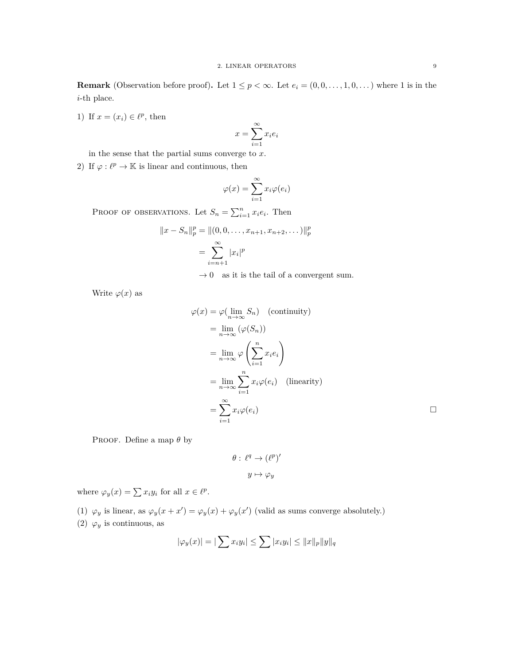**Remark** (Observation before proof). Let  $1 \leq p < \infty$ . Let  $e_i = (0, 0, \ldots, 1, 0, \ldots)$  where 1 is in the *i*-th place.

1) If  $x = (x_i) \in \ell^p$ , then

$$
x = \sum_{i=1}^{\infty} x_i e_i
$$

in the sense that the partial sums converge to *x*.

2) If  $\varphi : \ell^p \to \mathbb{K}$  is linear and continuous, then

$$
\varphi(x) = \sum_{i=1}^{\infty} x_i \varphi(e_i)
$$

PROOF OF OBSERVATIONS. Let  $S_n = \sum_{i=1}^n x_i e_i$ . Then

$$
||x - S_n||_p^p = ||(0, 0, \dots, x_{n+1}, x_{n+2}, \dots)||_p^p
$$
  
= 
$$
\sum_{i=n+1}^{\infty} |x_i|^p
$$

 $\rightarrow 0$   $\;$  as it is the tail of a convergent sum.

Write  $\varphi(x)$  as

$$
\varphi(x) = \varphi(\lim_{n \to \infty} S_n) \quad \text{(continuity)}
$$
\n
$$
= \lim_{n \to \infty} (\varphi(S_n))
$$
\n
$$
= \lim_{n \to \infty} \varphi\left(\sum_{i=1}^n x_i e_i\right)
$$
\n
$$
= \lim_{n \to \infty} \sum_{i=1}^n x_i \varphi(e_i) \quad \text{(linearity)}
$$
\n
$$
= \sum_{i=1}^\infty x_i \varphi(e_i) \qquad \Box
$$

Proof. Define a map *θ* by

$$
\theta: \ell^q \to (\ell^p)'
$$

$$
y \mapsto \varphi_y
$$

where  $\varphi_y(x) = \sum x_i y_i$  for all  $x \in \ell^p$ .

(1)  $\varphi_y$  is linear, as  $\varphi_y(x + x') = \varphi_y(x) + \varphi_y(x')$  (valid as sums converge absolutely.)

(2)  $\varphi_y$  is continuous, as

$$
|\varphi_y(x)| = |\sum x_i y_i| \le \sum |x_i y_i| \le ||x||_p ||y||_q
$$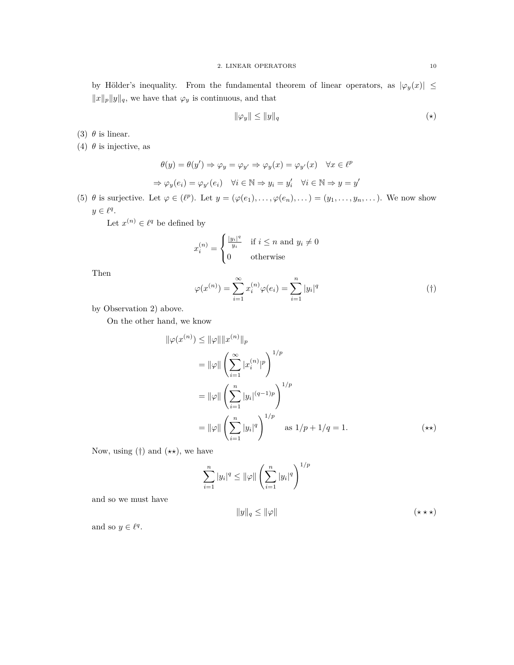by Hölder's inequality. From the fundamental theorem of linear operators, as  $|\varphi_y(x)| \le$ *∥x∥p∥y∥q*, we have that *φ<sup>y</sup>* is continuous, and that

$$
\|\varphi_y\| \le \|y\|_q \tag{(*)}
$$

(3)  $\theta$  is linear.

(4)  $\theta$  is injective, as

$$
\theta(y) = \theta(y') \Rightarrow \varphi_y = \varphi_{y'} \Rightarrow \varphi_y(x) = \varphi_{y'}(x) \quad \forall x \in \ell^p
$$
  

$$
\Rightarrow \varphi_y(e_i) = \varphi_{y'}(e_i) \quad \forall i \in \mathbb{N} \Rightarrow y_i = y'_i \quad \forall i \in \mathbb{N} \Rightarrow y = y'
$$

(5)  $\theta$  is surjective. Let  $\varphi \in (\ell^p)$ . Let  $y = (\varphi(e_1), \ldots, \varphi(e_n), \ldots) = (y_1, \ldots, y_n, \ldots)$ . We now show  $y \in \ell^q$ .

Let  $x^{(n)} \in \ell^q$  be defined by

$$
x_i^{(n)} = \begin{cases} \frac{|y_i|^q}{y_i} & \text{if } i \le n \text{ and } y_i \ne 0\\ 0 & \text{otherwise} \end{cases}
$$

Then

$$
\varphi(x^{(n)}) = \sum_{i=1}^{\infty} x_i^{(n)} \varphi(e_i) = \sum_{i=1}^{n} |y_i|^q
$$
 (†)

by Observation 2) above.

On the other hand, we know

$$
\|\varphi(x^{(n)}) \le \|\varphi\| \|x^{(n)}\|_p
$$
  
\n
$$
= \|\varphi\| \left(\sum_{i=1}^{\infty} |x_i^{(n)}|^p\right)^{1/p}
$$
  
\n
$$
= \|\varphi\| \left(\sum_{i=1}^n |y_i|^{(q-1)p}\right)^{1/p}
$$
  
\n
$$
= \|\varphi\| \left(\sum_{i=1}^n |y_i|^q\right)^{1/p} \quad \text{as } 1/p + 1/q = 1.
$$
 (\*\*)

Now, using (*†*) and (*⋆⋆*), we have

$$
\sum_{i=1}^{n} |y_i|^q \le ||\varphi|| \left(\sum_{i=1}^{n} |y_i|^q\right)^{1/p}
$$

and so we must have

$$
||y||_q \le ||\varphi|| \tag{***}
$$

and so  $y \in \ell^q$ .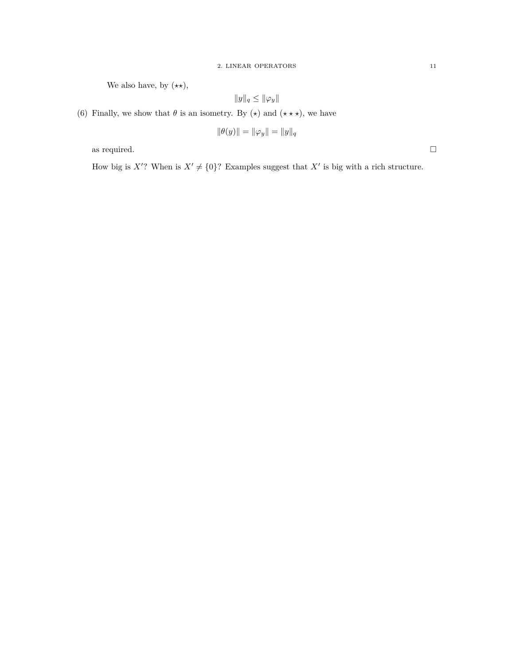We also have, by  $(\star \star)$ ,

$$
||y||_q \le ||\varphi_y||
$$

(6) Finally, we show that  $\theta$  is an isometry. By  $(\star)$  and  $(\star \star \star)$ , we have

$$
\|\theta(y)\| = \|\varphi_y\| = \|y\|_q
$$

as required.  $\hfill \square$ 

How big is  $X'$ ? When is  $X' \neq \{0\}$ ? Examples suggest that  $X'$  is big with a rich structure.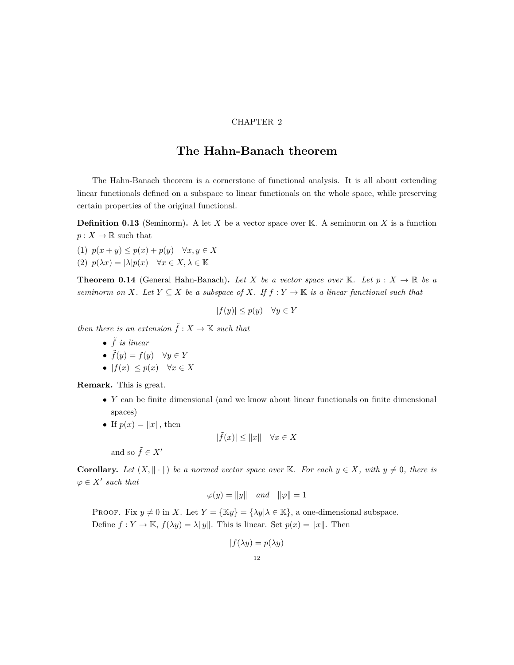#### CHAPTER 2

### **The Hahn-Banach theorem**

<span id="page-11-0"></span>The Hahn-Banach theorem is a cornerstone of functional analysis. It is all about extending linear functionals defined on a subspace to linear functionals on the whole space, while preserving certain properties of the original functional.

**Definition 0.13** (Seminorm)**.** A let *X* be a vector space over K. A seminorm on *X* is a function  $p: X \to \mathbb{R}$  such that

- (1) *p*(*x* + *y*) *≤ p*(*x*) + *p*(*y*) *∀x, y ∈ X*
- (2)  $p(\lambda x) = |\lambda|p(x) \quad \forall x \in X, \lambda \in \mathbb{K}$

**Theorem 0.14** (General Hahn-Banach). Let X be a vector space over K. Let  $p: X \to \mathbb{R}$  be a *seminorm on X.* Let  $Y \subseteq X$  *be a subspace of X.* If  $f : Y \to \mathbb{K}$  *is a linear functional such that* 

$$
|f(y)| \le p(y) \quad \forall y \in Y
$$

*then there is an extension*  $\tilde{f}$  :  $X \to \mathbb{K}$  *such that* 

- *•* ˜*f is linear*
- $\tilde{f}(y) = f(y) \quad \forall y \in Y$
- *|f*(*x*)*| ≤ p*(*x*) *∀x ∈ X*

**Remark.** This is great.

- *• Y* can be finite dimensional (and we know about linear functionals on finite dimensional spaces)
- If  $p(x) = ||x||$ , then

$$
|\tilde{f}(x)| \le ||x|| \quad \forall x \in X
$$

and so  $\tilde{f} \in X'$ 

**Corollary.** Let  $(X, \| \cdot \|)$  be a normed vector space over K. For each  $y \in X$ , with  $y \neq 0$ , there is  $\varphi \in X'$  *such that* 

$$
\varphi(y) = \|y\| \quad and \quad \|\varphi\| = 1
$$

PROOF. Fix  $y \neq 0$  in *X*. Let  $Y = {\mathbb{K}}y = {\lambda y | \lambda \in \mathbb{K}}$ , a one-dimensional subspace. Define  $f: Y \to \mathbb{K}$ ,  $f(\lambda y) = \lambda \|y\|$ . This is linear. Set  $p(x) = \|x\|$ . Then

$$
|f(\lambda y) = p(\lambda y)
$$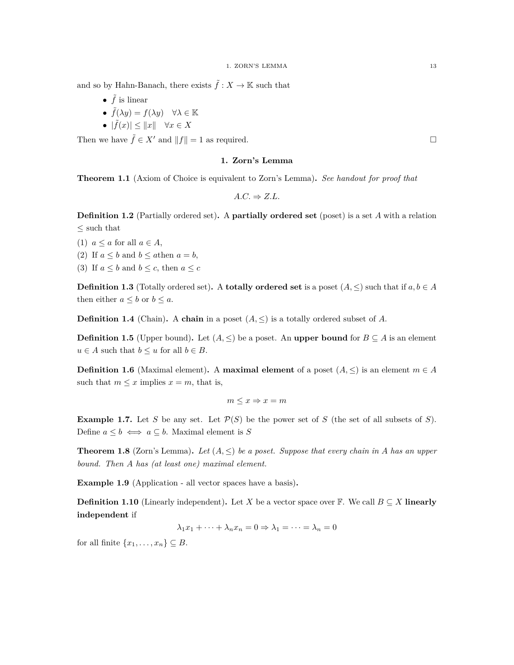and so by Hahn-Banach, there exists  $\tilde{f}: X \to \mathbb{K}$  such that

- $\tilde{f}$  is linear
- $\tilde{f}(\lambda y) = f(\lambda y) \quad \forall \lambda \in \mathbb{K}$
- $\bullet$   $|\tilde{f}(x)| \leq ||x|| \quad \forall x \in X$

<span id="page-12-0"></span>Then we have  $\tilde{f} \in X'$  and  $||f|| = 1$  as required.

#### **1. Zorn's Lemma**

**Theorem 1.1** (Axiom of Choice is equivalent to Zorn's Lemma)**.** *See handout for proof that*

 $A.C. \Rightarrow Z.L.$ 

**Definition 1.2** (Partially ordered set)**.** A **partially ordered set** (poset) is a set *A* with a relation *≤* such that

- (1)  $a \leq a$  for all  $a \in A$ ,
- (2) If  $a \leq b$  and  $b \leq a$  then  $a = b$ ,
- (3) If  $a \leq b$  and  $b \leq c$ , then  $a \leq c$

**Definition 1.3** (Totally ordered set). A **totally ordered set** is a poset  $(A, \leq)$  such that if  $a, b \in A$ then either  $a \leq b$  or  $b \leq a$ .

**Definition 1.4** (Chain). A **chain** in a poset  $(A, \leq)$  is a totally ordered subset of A.

**Definition 1.5** (Upper bound). Let  $(A, \leq)$  be a poset. An **upper bound** for  $B \subseteq A$  is an element *u* ∈ *A* such that  $b ≤ u$  for all  $b ∈ B$ .

**Definition 1.6** (Maximal element). A **maximal element** of a poset  $(A, \leq)$  is an element  $m \in A$ such that  $m \leq x$  implies  $x = m$ , that is,

$$
m \le x \Rightarrow x = m
$$

**Example 1.7.** Let *S* be any set. Let  $\mathcal{P}(S)$  be the power set of *S* (the set of all subsets of *S*). Define  $a \leq b \iff a \subseteq b$ . Maximal element is *S* 

**Theorem 1.8** (Zorn's Lemma). Let  $(A, \leq)$  be a poset. Suppose that every chain in A has an upper *bound. Then A has (at least one) maximal element.*

**Example 1.9** (Application - all vector spaces have a basis)**.**

**Definition 1.10** (Linearly independent). Let *X* be a vector space over  $\mathbb{F}$ . We call  $B \subseteq X$  **linearly independent** if

 $\lambda_1 x_1 + \cdots + \lambda_n x_n = 0 \Rightarrow \lambda_1 = \cdots = \lambda_n = 0$ 

for all finite  $\{x_1, \ldots, x_n\} \subseteq B$ .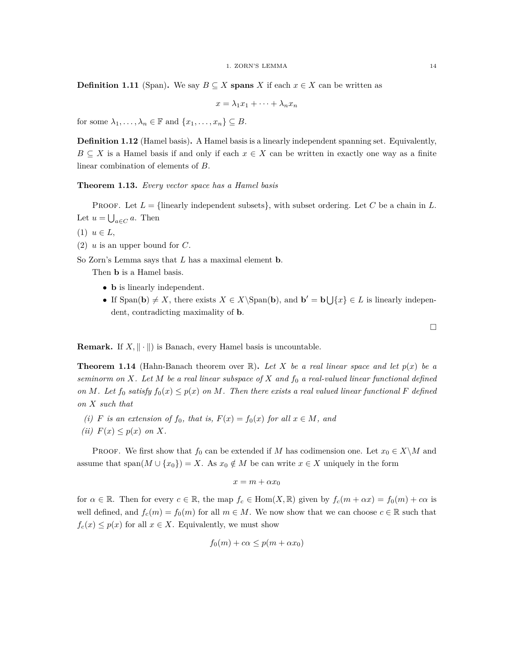**Definition 1.11** (Span). We say  $B \subseteq X$  **spans** *X* if each  $x \in X$  can be written as

$$
x = \lambda_1 x_1 + \dots + \lambda_n x_n
$$

for some  $\lambda_1, \ldots, \lambda_n \in \mathbb{F}$  and  $\{x_1, \ldots, x_n\} \subseteq B$ .

**Definition 1.12** (Hamel basis)**.** A Hamel basis is a linearly independent spanning set. Equivalently,  $B \subseteq X$  is a Hamel basis if and only if each  $x \in X$  can be written in exactly one way as a finite linear combination of elements of *B*.

**Theorem 1.13.** *Every vector space has a Hamel basis*

PROOF. Let  $L = \{\text{linearly independent subsets}\},\$  with subset ordering. Let C be a chain in L. Let  $u = \bigcup_{a \in C} a$ . Then

 $(1)$   $u \in L$ ,

(2) *u* is an upper bound for *C*.

So Zorn's Lemma says that *L* has a maximal element **b**.

Then **b** is a Hamel basis.

- **b** is linearly independent.
- If Span(**b**)  $\neq$  *X*, there exists *X*  $\in$  *X* $\operatorname{Span}(\mathbf{b})$ , and  $\mathbf{b}' = \mathbf{b} \cup \{x\} \in L$  is linearly independent, contradicting maximality of **b**.

**Remark.** If  $X$ ,  $\|\cdot\|$  is Banach, every Hamel basis is uncountable.

**Theorem 1.14** (Hahn-Banach theorem over  $\mathbb{R}$ ). Let X be a real linear space and let  $p(x)$  be a *seminorm on X. Let M be a real linear subspace of X and f*<sup>0</sup> *a real-valued linear functional defined on M. Let*  $f_0$  *satisfy*  $f_0(x) \leq p(x)$  *on M. Then there exists a real valued linear functional F defined on X such that*

- (*i*) *F* is an extension of  $f_0$ , that is,  $F(x) = f_0(x)$  for all  $x \in M$ , and
- $f(ii)$   $F(x) \leq p(x)$  *on X*.

PROOF. We first show that  $f_0$  can be extended if *M* has codimension one. Let  $x_0 \in X \setminus M$  and assume that span $(M \cup \{x_0\}) = X$ . As  $x_0 \notin M$  be can write  $x \in X$  uniquely in the form

$$
x = m + \alpha x_0
$$

for  $\alpha \in \mathbb{R}$ . Then for every  $c \in \mathbb{R}$ , the map  $f_c \in \text{Hom}(X,\mathbb{R})$  given by  $f_c(m + \alpha x) = f_0(m) + \alpha \alpha$  is well defined, and  $f_c(m) = f_0(m)$  for all  $m \in M$ . We now show that we can choose  $c \in \mathbb{R}$  such that  $f_c(x) \leq p(x)$  for all  $x \in X$ . Equivalently, we must show

$$
f_0(m) + c\alpha \le p(m + \alpha x_0)
$$

 $\Box$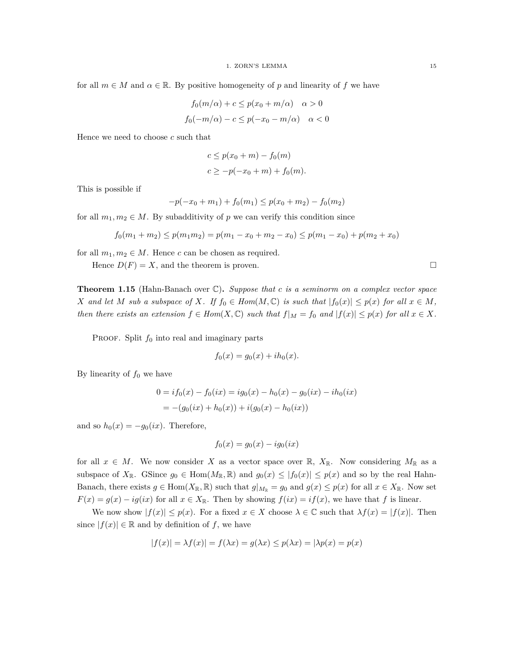for all  $m \in M$  and  $\alpha \in \mathbb{R}$ . By positive homogeneity of p and linearity of f we have

$$
f_0(m/\alpha) + c \le p(x_0 + m/\alpha) \quad \alpha > 0
$$
  

$$
f_0(-m/\alpha) - c \le p(-x_0 - m/\alpha) \quad \alpha < 0
$$

Hence we need to choose *c* such that

$$
c \le p(x_0 + m) - f_0(m)
$$
  

$$
c \ge -p(-x_0 + m) + f_0(m).
$$

This is possible if

$$
-p(-x_0+m_1)+f_0(m_1) \le p(x_0+m_2)-f_0(m_2)
$$

for all  $m_1, m_2 \in M$ . By subadditivity of *p* we can verify this condition since

$$
f_0(m_1 + m_2) \le p(m_1 m_2) = p(m_1 - x_0 + m_2 - x_0) \le p(m_1 - x_0) + p(m_2 + x_0)
$$

for all  $m_1, m_2 \in M$ . Hence *c* can be chosen as required.

Hence  $D(F) = X$ , and the theorem is proven.

**Theorem 1.15** (Hahn-Banach over C)**.** *Suppose that c is a seminorm on a complex vector space* X and let M sub a subspace of X. If  $f_0 \in Hom(M, \mathbb{C})$  is such that  $|f_0(x)| \leq p(x)$  for all  $x \in M$ , then there exists an extension  $f \in Hom(X, \mathbb{C})$  such that  $f|_M = f_0$  and  $|f(x)| \leq p(x)$  for all  $x \in X$ .

PROOF. Split  $f_0$  into real and imaginary parts

$$
f_0(x) = g_0(x) + ih_0(x).
$$

By linearity of  $f_0$  we have

$$
0 = i f_0(x) - f_0(ix) = i g_0(x) - h_0(x) - g_0(ix) - i h_0(ix)
$$
  
= -(g\_0(ix) + h\_0(x)) + i(g\_0(x) - h\_0(ix))

and so  $h_0(x) = -g_0(ix)$ . Therefore,

$$
f_0(x) = g_0(x) - ig_0(ix)
$$

for all  $x \in M$ . We now consider X as a vector space over  $\mathbb{R}$ ,  $X_{\mathbb{R}}$ . Now considering  $M_{\mathbb{R}}$  as a subspace of  $X_{\mathbb{R}}$ . GSince  $g_0 \in \text{Hom}(M_{\mathbb{R}}, \mathbb{R})$  and  $g_0(x) \leq |f_0(x)| \leq p(x)$  and so by the real Hahn-Banach, there exists  $g \in \text{Hom}(X_{\mathbb{R}}, \mathbb{R})$  such that  $g|_{M_{\mathbb{R}}} = g_0$  and  $g(x) \leq p(x)$  for all  $x \in X_{\mathbb{R}}$ . Now set  $F(x) = g(x) - ig(ix)$  for all  $x \in X_{\mathbb{R}}$ . Then by showing  $f(ix) = if(x)$ , we have that *f* is linear.

We now show  $|f(x)| \leq p(x)$ . For a fixed  $x \in X$  choose  $\lambda \in \mathbb{C}$  such that  $\lambda f(x) = |f(x)|$ . Then since  $|f(x)| \in \mathbb{R}$  and by definition of *f*, we have

$$
|f(x)| = \lambda f(x)| = f(\lambda x) = g(\lambda x) \le p(\lambda x) = |\lambda p(x) = p(x)|
$$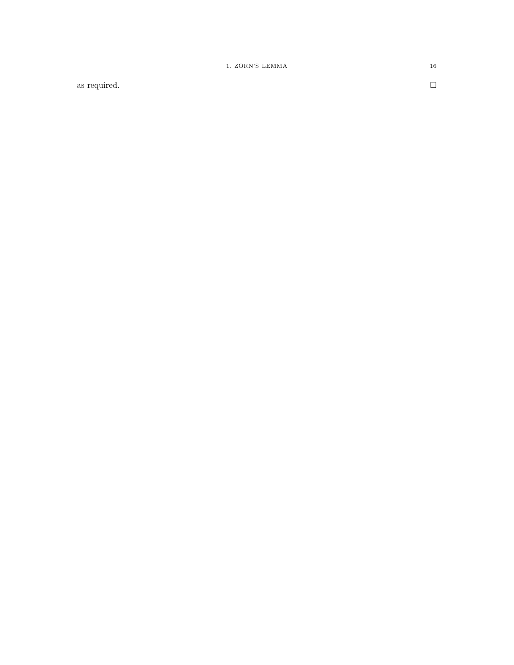as required.

 $\Box$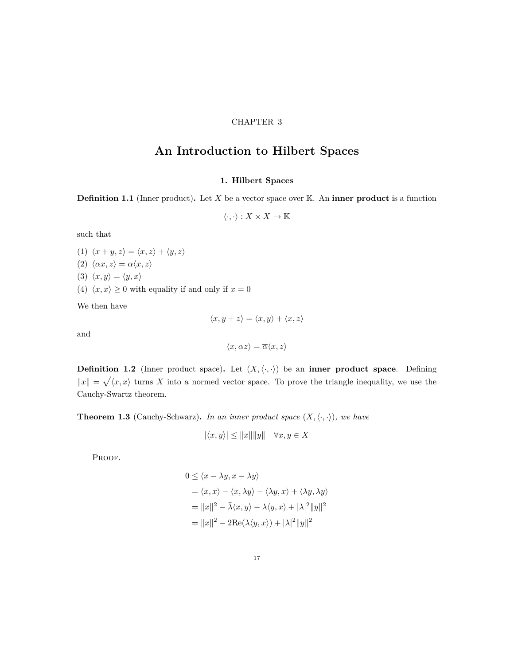#### CHAPTER 3

# <span id="page-16-0"></span>**An Introduction to Hilbert Spaces**

#### **1. Hilbert Spaces**

<span id="page-16-1"></span>**Definition 1.1** (Inner product)**.** Let *X* be a vector space over K. An **inner product** is a function

 $\langle \cdot, \cdot \rangle : X \times X \to \mathbb{K}$ 

such that

(1)  $\langle x + y, z \rangle = \langle x, z \rangle + \langle y, z \rangle$ (2)  $\langle \alpha x, z \rangle = \alpha \langle x, z \rangle$ (3)  $\langle x, y \rangle = \overline{\langle y, x \rangle}$ (4)  $\langle x, x \rangle \ge 0$  with equality if and only if  $x = 0$ 

We then have

$$
\langle x, y+z\rangle = \langle x, y\rangle + \langle x, z\rangle
$$

and

$$
\langle x, \alpha z \rangle = \overline{\alpha} \langle x, z \rangle
$$

**Definition 1.2** (Inner product space). Let  $(X, \langle \cdot, \cdot \rangle)$  be an **inner product space**. Defining  $||x|| = \sqrt{\langle x, x \rangle}$  turns X into a normed vector space. To prove the triangle inequality, we use the Cauchy-Swartz theorem.

**Theorem 1.3** (Cauchy-Schwarz). In an inner product space  $(X, \langle \cdot, \cdot \rangle)$ , we have

$$
|\langle x, y \rangle| \le ||x|| ||y|| \quad \forall x, y \in X
$$

PROOF.

$$
0 \le \langle x - \lambda y, x - \lambda y \rangle
$$
  
=  $\langle x, x \rangle - \langle x, \lambda y \rangle - \langle \lambda y, x \rangle + \langle \lambda y, \lambda y \rangle$   
=  $||x||^2 - \overline{\lambda} \langle x, y \rangle - \lambda \langle y, x \rangle + |\lambda|^2 ||y||^2$   
=  $||x||^2 - 2\text{Re}(\lambda \langle y, x \rangle) + |\lambda|^2 ||y||^2$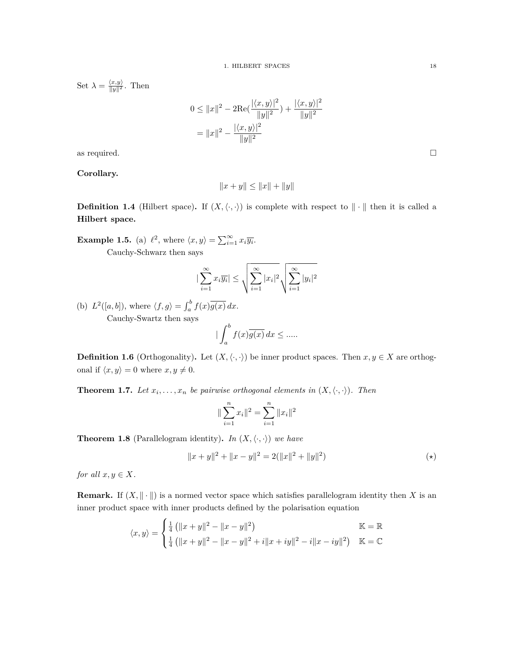Set  $\lambda = \frac{\langle x, y \rangle}{\|y\|^2}$ . Then

$$
0 \le ||x||^2 - 2\text{Re}\left(\frac{|\langle x, y \rangle|^2}{||y||^2}\right) + \frac{|\langle x, y \rangle|^2}{||y||^2}
$$

$$
= ||x||^2 - \frac{|\langle x, y \rangle|^2}{||y||^2}
$$

as required.  $\square$ 

**Corollary.**

 $||x + y|| \leq ||x|| + ||y||$ 

**Definition 1.4** (Hilbert space). If  $(X, \langle \cdot, \cdot \rangle)$  is complete with respect to  $\|\cdot\|$  then it is called a **Hilbert space.**

**Example 1.5.** (a)  $\ell^2$ , where  $\langle x, y \rangle = \sum_{i=1}^{\infty} x_i \overline{y_i}$ . Cauchy-Schwarz then says

$$
|\sum_{i=1}^{\infty} x_i \overline{y_i}| \le \sqrt{\sum_{i=1}^{\infty} |x_i|^2} \sqrt{\sum_{i=1}^{\infty} |y_i|^2}
$$

(b)  $L^2([a, b]),$  where  $\langle f, g \rangle = \int_a^b f(x) \overline{g(x)} dx$ . Cauchy-Swartz then says

*|* ∫ *<sup>b</sup> a*  $f(x)g(x) dx \leq$  .....

**Definition 1.6** (Orthogonality). Let  $(X, \langle \cdot, \cdot \rangle)$  be inner product spaces. Then  $x, y \in X$  are orthogonal if  $\langle x, y \rangle = 0$  where  $x, y \neq 0$ .

**Theorem 1.7.** Let  $x_i, \ldots, x_n$  be pairwise orthogonal elements in  $(X, \langle \cdot, \cdot \rangle)$ . Then

$$
\|\sum_{i=1}^{n} x_i\|^2 = \sum_{i=1}^{n} \|x_i\|^2
$$

**Theorem 1.8** (Parallelogram identity). In  $(X, \langle \cdot, \cdot \rangle)$  we have

$$
||x + y||2 + ||x - y||2 = 2(||x||2 + ||y||2)
$$
 (\*)

*for all*  $x, y \in X$ *.* 

**Remark.** If  $(X, \|\cdot\|)$  is a normed vector space which satisfies parallelogram identity then X is an inner product space with inner products defined by the polarisation equation

$$
\langle x, y \rangle = \begin{cases} \frac{1}{4} (||x + y||^2 - ||x - y||^2) & \mathbb{K} = \mathbb{R} \\ \frac{1}{4} (||x + y||^2 - ||x - y||^2 + i||x + iy||^2 - i||x - iy||^2) & \mathbb{K} = \mathbb{C} \end{cases}
$$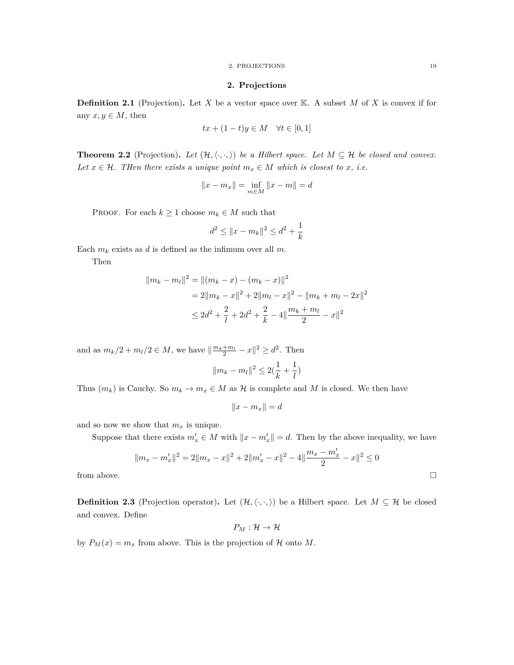#### 2. PROJECTIONS 19

#### **2. Projections**

<span id="page-18-0"></span>**Definition 2.1** (Projection). Let *X* be a vector space over K. A subset *M* of *X* is convex if for any  $x, y \in M$ , then

$$
tx + (1 - t)y \in M \quad \forall t \in [0, 1]
$$

**Theorem 2.2** (Projection). Let  $(H, \langle \cdot, \cdot, \cdot \rangle)$  be a Hilbert space. Let  $M \subseteq \mathcal{H}$  be closed and convex. *Let*  $x \in \mathcal{H}$ *. Then there exists a unique point*  $m_x \in M$  *which is closest to x, i.e.* 

$$
||x - m_x|| = \inf_{m \in M} ||x - m|| = d
$$

PROOF. For each  $k \geq 1$  choose  $m_k \in M$  such that

$$
d^2 \le ||x - m_k||^2 \le d^2 + \frac{1}{k}
$$

Each  $m_k$  exists as  $d$  is defined as the infimum over all  $m$ .

Then

$$
||m_k - m_l||^2 = ||(m_k - x) - (m_k - x)||^2
$$
  
= 2||m\_k - x||^2 + 2||m\_l - x||^2 - ||m\_k + m\_l - 2x||^2  

$$
\leq 2d^2 + \frac{2}{l} + 2d^2 + \frac{2}{k} - 4||\frac{m_k + m_l}{2} - x||^2
$$

and as  $m_k/2 + m_l/2 \in M$ , we have  $\left|\frac{m_k + m_l}{2} - x\right|^2 \ge d^2$ . Then

$$
||m_k - m_l||^2 \le 2(\frac{1}{k} + \frac{1}{l})
$$

Thus  $(m_k)$  is Cauchy. So  $m_k \to m_x \in M$  as  $\mathcal H$  is complete and  $M$  is closed. We then have

$$
||x - m_x|| = d
$$

and so now we show that  $m_x$  is unique.

Suppose that there exists  $m'_x \in M$  with  $||x - m'_x|| = d$ . Then by the above inequality, we have

$$
||m_x - m'_x||^2 = 2||m_x - x||^2 + 2||m'_x - x||^2 - 4||\frac{m_x - m'_x}{2} - x||^2 \le 0
$$
 from above.

**Definition 2.3** (Projection operator). Let  $(H, \langle \cdot, \cdot, \rangle)$  be a Hilbert space. Let  $M \subseteq \mathcal{H}$  be closed and convex. Define

$$
P_M:\mathcal{H}\to\mathcal{H}
$$

by  $P_M(x) = m_x$  from above. This is the projection of  $H$  onto  $M$ .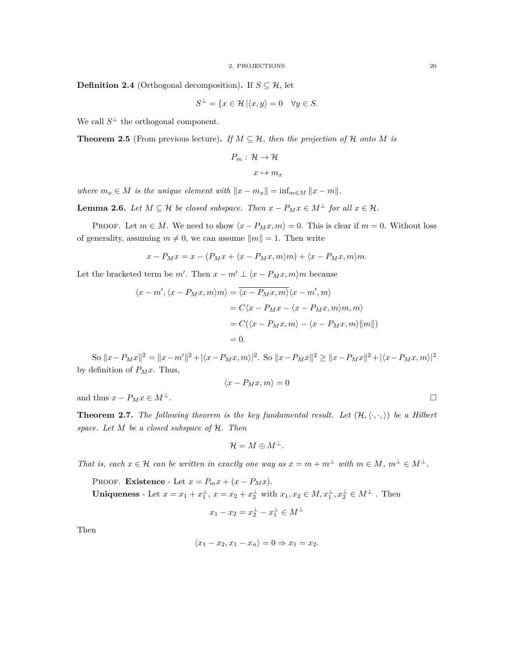**Definition 2.4** (Orthogonal decomposition). If  $S \subseteq H$ , let

$$
S^{\perp} = \{ x \in \mathcal{H} \, | \langle x, y \rangle = 0 \quad \forall y \in S.
$$

We call  $S^{\perp}$  the orthogonal component.

**Theorem 2.5** (From previous lecture). If  $M \subseteq H$ , then the projection of H onto M is

$$
P_m: \mathcal{H} \to \mathcal{H}
$$

$$
x \mapsto m_x
$$

*where*  $m_x \in M$  *is the unique element with*  $||x - m_x|| = \inf_{m \in M} ||x - m||$ *.* 

**Lemma 2.6.** *Let*  $M ⊆ H$  *be closed subspace. Then*  $x - P_M x ∈ M^{\perp}$  *for all*  $x ∈ H$ *.* 

PROOF. Let  $m \in M$ . We need to show  $\langle x - P_M x, m \rangle = 0$ . This is clear if  $m = 0$ . Without loss of generality, assuming  $m \neq 0$ , we can assume  $||m|| = 1$ . Then write

$$
x - P_M x = x - (P_M x + \langle x - P_M x, m \rangle m) + \langle x - P_M x, m \rangle m.
$$

Let the bracketed term be  $m'$ . Then  $x - m' \perp \langle x - P_M x, m \rangle m$  because

$$
\langle x - m', \langle x - P_M x, m \rangle m \rangle = \overline{\langle x - P_M x, m \rangle} \langle x - m', m \rangle
$$
  
=  $C \langle x - P_M x - \langle x - P_M x, m \rangle m, m \rangle$   
=  $C(\langle x - P_M x, m \rangle - \langle x - P_M x, m \rangle ||m||)$   
= 0.

So  $||x - P_Mx||^2 = ||x - m'||^2 + |\langle x - P_Mx, m \rangle|^2$ . So  $||x - P_Mx||^2 \ge ||x - P_Mx||^2 + |\langle x - P_Mx, m \rangle|^2$ by definition of  $P_Mx$ . Thus,

$$
\langle x - P_M x, m \rangle = 0
$$

and thus  $x - P_M x \in M^{\perp}$ .

**Theorem 2.7.** The following theorem is the key fundamental result. Let  $(\mathcal{H}, \langle \cdot, \cdot, \rangle)$  be a Hilbert *space. Let M be a closed subspace of H. Then*

$$
\mathcal{H}=M\oplus M^{\perp}.
$$

*That is, each*  $x \in \mathcal{H}$  *can be written in exactly one way as*  $x = m + m^{\perp}$  *with*  $m \in M$ ,  $m^{\perp} \in M^{\perp}$ *.* 

PROOF. **Existence** - Let  $x = P_m x + (x - P_M x)$ . **Uniqueness** - Let  $x = x_1 + x_1^{\perp}$ ,  $x = x_2 + x_2^{\perp}$  with  $x_1, x_2 \in M$ ,  $x_1^{\perp}$ ,  $x_2^{\perp} \in M^{\perp}$ . Then

$$
x_1 - x_2 = x_2^\perp - x_1^\perp \in M^\perp
$$

Then

$$
\langle x_1 - x_2, x_1 - x_n \rangle = 0 \Rightarrow x_1 = x_2.
$$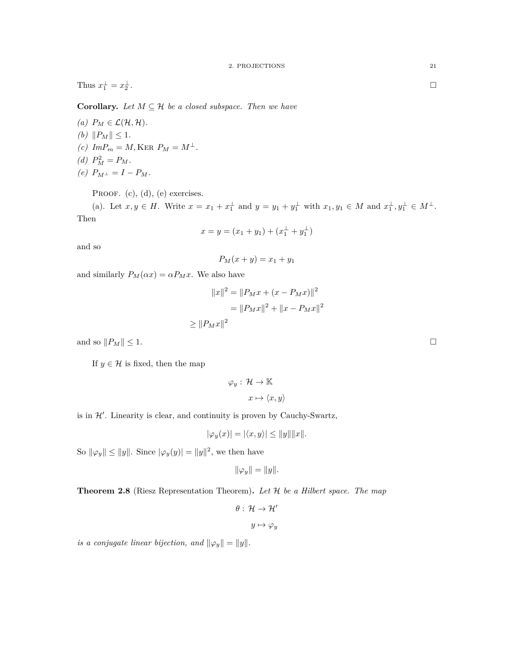Thus  $x_1^{\perp} = x_2^{\perp}$ .

**Corollary.** Let  $M \subseteq \mathcal{H}$  be a closed subspace. Then we have

 $(a)$   $P_M \in \mathcal{L}(\mathcal{H}, \mathcal{H})$ . *(b)*  $||P_M|| \leq 1$ *.*  $(c)$   $ImP_m = M$ , KER  $P_M = M^{\perp}$ . (*d*)  $P_M^2 = P_M$ .  $(e)$   $P_{M^{\perp}} = I - P_M$ .

PROOF. (c), (d), (e) exercises.

(a). Let  $x, y \in H$ . Write  $x = x_1 + x_1^{\perp}$  and  $y = y_1 + y_1^{\perp}$  with  $x_1, y_1 \in M$  and  $x_1^{\perp}, y_1^{\perp} \in M^{\perp}$ . Then

$$
x = y = (x_1 + y_1) + (x_1^{\perp} + y_1^{\perp})
$$

and so

$$
P_M(x+y) = x_1 + y_1
$$

and similarly  $P_M(\alpha x) = \alpha P_M x$ . We also have

$$
||x||^2 = ||P_M x + (x - P_M x)||^2
$$
  
=  $||P_M x||^2 + ||x - P_M x||^2$   
 $\ge ||P_M x||^2$ 

and so  $||P_M|| \leq 1$ .

If  $y \in \mathcal{H}$  is fixed, then the map

$$
\varphi_y: \mathcal{H} \to \mathbb{K}
$$

$$
x \mapsto \langle x, y \rangle
$$

is in  $H'$ . Linearity is clear, and continuity is proven by Cauchy-Swartz,

$$
|\varphi_y(x)| = |\langle x, y \rangle| \le ||y|| ||x||.
$$

So  $\|\varphi_y\| \le \|y\|$ . Since  $|\varphi_y(y)| = \|y\|^2$ , we then have

$$
\|\varphi_y\| = \|y\|.
$$

**Theorem 2.8** (Riesz Representation Theorem)**.** *Let H be a Hilbert space. The map*

*θ* : *H → H′*  $y \mapsto \varphi_y$ 

*is a conjugate linear bijection, and*  $||\varphi_y|| = ||y||$ .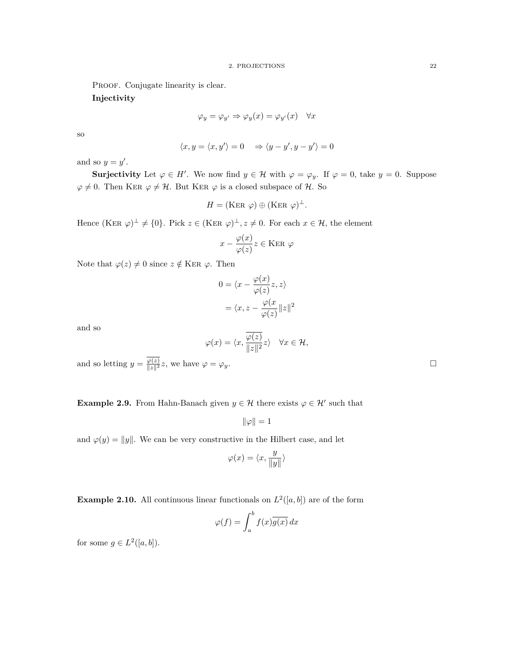PROOF. Conjugate linearity is clear.

**Injectivity**

$$
\varphi_y = \varphi_{y'} \Rightarrow \varphi_y(x) = \varphi_{y'}(x) \quad \forall x
$$

so

$$
\langle x, y = \langle x, y' \rangle = 0 \Rightarrow \langle y - y', y - y' \rangle = 0
$$

and so  $y = y'$ .

**Surjectivity** Let  $\varphi \in H'$ . We now find  $y \in \mathcal{H}$  with  $\varphi = \varphi_y$ . If  $\varphi = 0$ , take  $y = 0$ . Suppose  $\varphi \neq 0$ . Then KER  $\varphi \neq \mathcal{H}$ . But KER  $\varphi$  is a closed subspace of  $\mathcal{H}$ . So

$$
H = (\text{Ker } \varphi) \oplus (\text{Ker } \varphi)^{\perp}.
$$

Hence  $(KER \varphi)^{\perp} \neq \{0\}$ . Pick  $z \in (KER \varphi)^{\perp}, z \neq 0$ . For each  $x \in \mathcal{H}$ , the element

$$
x - \frac{\varphi(x)}{\varphi(z)} z \in \text{Ker } \varphi
$$

Note that  $\varphi(z) \neq 0$  since  $z \notin \text{Ker } \varphi$ . Then

$$
0 = \langle x - \frac{\varphi(x)}{\varphi(z)} z, z \rangle
$$

$$
= \langle x, z - \frac{\varphi(x)}{\varphi(z)} ||z||^2
$$

and so

$$
\varphi(x) = \langle x, \frac{\overline{\varphi(z)}}{\|z\|^2} z \rangle \quad \forall x \in \mathcal{H},
$$

and so letting  $y = \frac{\varphi(z)}{\|z\|^2}z$ , we have  $\varphi = \varphi_y$ .

**Example 2.9.** From Hahn-Banach given  $y \in \mathcal{H}$  there exists  $\varphi \in \mathcal{H}'$  such that

$$
\|\varphi\|=1
$$

and  $\varphi(y) = ||y||$ . We can be very constructive in the Hilbert case, and let

$$
\varphi(x) = \langle x, \frac{y}{\|y\|} \rangle
$$

**Example 2.10.** All continuous linear functionals on  $L^2([a, b])$  are of the form

$$
\varphi(f) = \int_{a}^{b} f(x)\overline{g(x)} dx
$$

for some  $g \in L^2([a, b]).$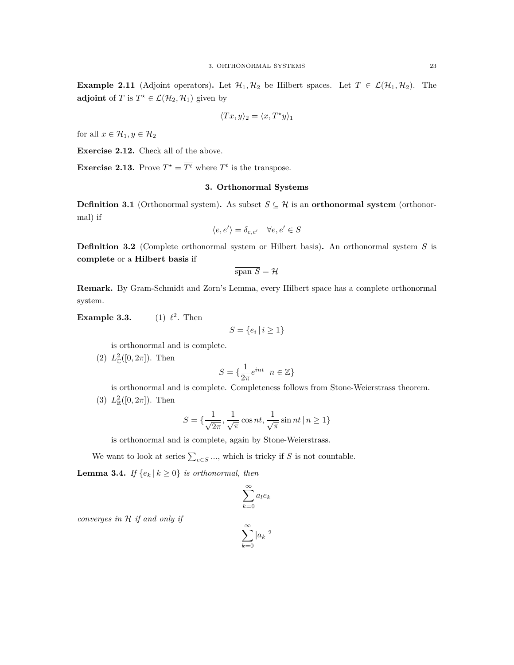**Example 2.11** (Adjoint operators). Let  $\mathcal{H}_1, \mathcal{H}_2$  be Hilbert spaces. Let  $T \in \mathcal{L}(\mathcal{H}_1, \mathcal{H}_2)$ . The **adjoint** of *T* is  $T^* \in \mathcal{L}(\mathcal{H}_2, \mathcal{H}_1)$  given by

$$
\langle Tx, y \rangle_2 = \langle x, T^{\star}y \rangle_1
$$

for all  $x \in \mathcal{H}_1, y \in \mathcal{H}_2$ 

**Exercise 2.12.** Check all of the above.

<span id="page-22-0"></span>**Exercise 2.13.** Prove  $T^* = \overline{T^t}$  where  $T^t$  is the transpose.

#### **3. Orthonormal Systems**

**Definition 3.1** (Orthonormal system). As subset  $S \subseteq \mathcal{H}$  is an **orthonormal system** (orthonormal) if

$$
\langle e, e' \rangle = \delta_{e, e'} \quad \forall e, e' \in S
$$

**Definition 3.2** (Complete orthonormal system or Hilbert basis)**.** An orthonormal system *S* is **complete** or a **Hilbert basis** if

$$
\overline{\text{span }S} = \mathcal{H}
$$

**Remark.** By Gram-Schmidt and Zorn's Lemma, every Hilbert space has a complete orthonormal system.

**Example 3.3.** 2 . Then

$$
S = \{e_i \mid i \ge 1\}
$$

is orthonormal and is complete.

(2)  $L^2_{\mathbb{C}}([0, 2\pi])$ . Then

$$
S = \{ \frac{1}{2\pi} e^{int} \mid n \in \mathbb{Z} \}
$$

is orthonormal and is complete. Completeness follows from Stone-Weierstrass theorem. (3)  $L^2_{\mathbb{R}}([0, 2\pi])$ . Then

$$
S = \{\frac{1}{\sqrt{2\pi}}, \frac{1}{\sqrt{\pi}}\cos nt, \frac{1}{\sqrt{\pi}}\sin nt \, | \, n \ge 1\}
$$

is orthonormal and is complete, again by Stone-Weierstrass.

We want to look at series  $\sum_{e \in S}$  ..., which is tricky if *S* is not countable.

<span id="page-22-1"></span>**Lemma 3.4.** *If*  $\{e_k | k \geq 0\}$  *is orthonormal, then* 

$$
\sum_{k=0}^{\infty} a_l e_k
$$

*converges in H if and only if*

$$
\sum_{k=0}^{\infty} |a_k|^2
$$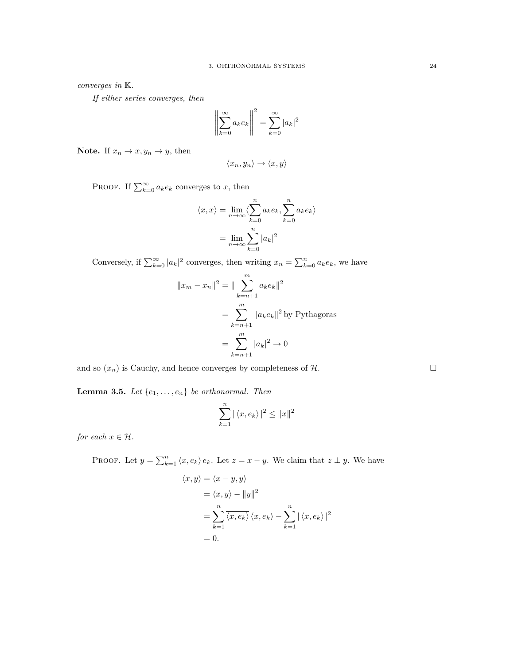*converges in* K*.*

*If either series converges, then*

$$
\left\| \sum_{k=0}^{\infty} a_k e_k \right\|^2 = \sum_{k=0}^{\infty} |a_k|^2
$$

**Note.** If  $x_n \to x, y_n \to y$ , then

$$
\langle x_n, y_n \rangle \to \langle x, y \rangle
$$

PROOF. If  $\sum_{k=0}^{\infty} a_k e_k$  converges to *x*, then

$$
\langle x, x \rangle = \lim_{n \to \infty} \langle \sum_{k=0}^{n} a_k e_k, \sum_{k=0}^{n} a_k e_k \rangle
$$

$$
= \lim_{n \to \infty} \sum_{k=0}^{n} |a_k|^2
$$

Conversely, if  $\sum_{k=0}^{\infty} |a_k|^2$  converges, then writing  $x_n = \sum_{k=0}^n a_k e_k$ , we have

$$
||x_m - x_n||^2 = ||\sum_{k=n+1}^{m} a_k e_k||^2
$$
  
= 
$$
\sum_{k=n+1}^{m} ||a_k e_k||^2
$$
 by Pythagoras  
= 
$$
\sum_{k=n+1}^{m} |a_k|^2 \to 0
$$

and so  $(x_n)$  is Cauchy, and hence converges by completeness of  $H$ .

**Lemma 3.5.** *Let*  $\{e_1, \ldots, e_n\}$  *be orthonormal. Then* 

$$
\sum_{k=1}^{n} |\langle x, e_k \rangle|^2 \le ||x||^2
$$

*for each*  $x \in \mathcal{H}$ *.* 

PROOF. Let  $y = \sum_{k=1}^{n} \langle x, e_k \rangle e_k$ . Let  $z = x - y$ . We claim that  $z \perp y$ . We have

$$
\langle x, y \rangle = \langle x - y, y \rangle
$$
  
=  $\langle x, y \rangle - ||y||^2$   
=  $\sum_{k=1}^{n} \overline{\langle x, e_k \rangle} \langle x, e_k \rangle - \sum_{k=1}^{n} |\langle x, e_k \rangle|^2$   
= 0.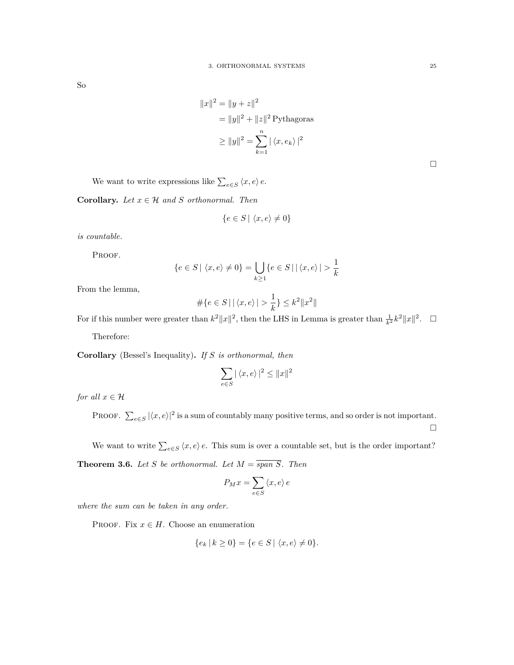So

$$
||x||^2 = ||y + z||^2
$$
  
=  $||y||^2 + ||z||^2$  Pythagoras  
 $\ge ||y||^2 = \sum_{k=1}^n |\langle x, e_k \rangle|^2$ 

We want to write expressions like  $\sum_{e \in S} \langle x, e \rangle e$ .

**Corollary.** *Let*  $x \in \mathcal{H}$  *and*  $S$  *orthonormal. Then* 

$$
\{e \in S \mid \langle x, e \rangle \neq 0\}
$$

*is countable.*

PROOF.

$$
\{e \in S \mid \langle x, e \rangle \neq 0\} = \bigcup_{k \ge 1} \{e \in S \mid |\langle x, e \rangle| > \frac{1}{k}\}
$$

From the lemma,

$$
\#\{e\in S\,|\,|\,\langle x,e\rangle|>\frac{1}{k}\}\leq k^2\|x^2\|
$$

For if this number were greater than  $k^2 ||x||^2$ , then the LHS in Lemma is greater than  $\frac{1}{k^2}k^2 ||x||^2$ .  $\Box$ 

Therefore:

**Corollary** (Bessel's Inequality)**.** *If S is orthonormal, then*

$$
\sum_{e \in S} |\langle x, e \rangle|^2 \le ||x||^2
$$

*for all*  $x \in H$ 

PROOF.  $\sum_{e \in S} |\langle x, e \rangle|^2$  is a sum of countably many positive terms, and so order is not important.  $\Box$ 

We want to write  $\sum_{e \in S} \langle x, e \rangle e$ . This sum is over a countable set, but is the order important? **Theorem 3.6.** *Let S be orthonormal. Let*  $M = \overline{span S}$ *. Then* 

$$
P_M x = \sum_{e \in S} \langle x, e \rangle e
$$

*where the sum can be taken in any order.*

PROOF. Fix  $x \in H$ . Choose an enumeration

$$
\{e_k \, | \, k \ge 0\} = \{e \in S \, | \, \langle x, e \rangle \ne 0\}.
$$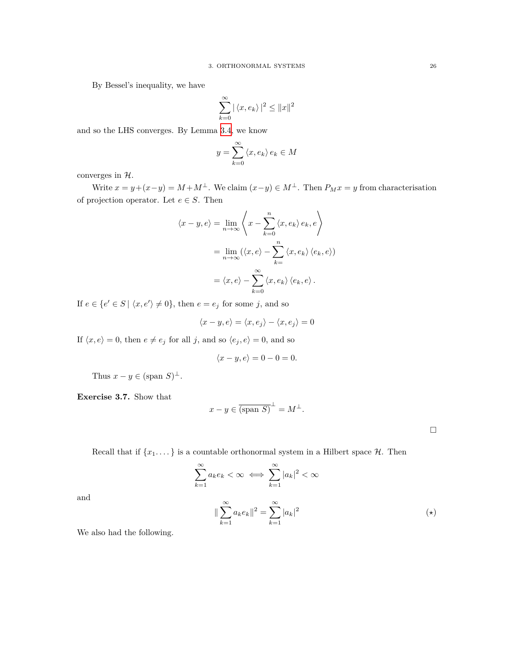By Bessel's inequality, we have

$$
\sum_{k=0}^{\infty} |\langle x, e_k \rangle|^2 \le ||x||^2
$$

and so the LHS converges. By Lemma [3.4,](#page-22-1) we know

$$
y = \sum_{k=0}^{\infty} \langle x, e_k \rangle e_k \in M
$$

converges in *H*.

Write  $x = y + (x - y) = M + M^{\perp}$ . We claim  $(x - y) \in M^{\perp}$ . Then  $P_M x = y$  from characterisation of projection operator. Let  $e \in S$ . Then

$$
\langle x - y, e \rangle = \lim_{n \to \infty} \left\langle x - \sum_{k=0}^{n} \langle x, e_k \rangle e_k, e \right\rangle
$$

$$
= \lim_{n \to \infty} (\langle x, e \rangle - \sum_{k=0}^{n} \langle x, e_k \rangle \langle e_k, e \rangle)
$$

$$
= \langle x, e \rangle - \sum_{k=0}^{\infty} \langle x, e_k \rangle \langle e_k, e \rangle.
$$

If  $e \in \{e' \in S \mid \langle x, e' \rangle \neq 0\}$ , then  $e = e_j$  for some *j*, and so

$$
\langle x-y,e\rangle=\langle x,e_j\rangle-\langle x,e_j\rangle=0
$$

If  $\langle x, e \rangle = 0$ , then  $e \neq e_j$  for all *j*, and so  $\langle e_j, e \rangle = 0$ , and so

$$
\langle x-y, e \rangle = 0 - 0 = 0.
$$

Thus  $x - y \in (\text{span } S)^{\perp}$ .

**Exercise 3.7.** Show that

$$
x - y \in \overline{\text{(span S)}}^{\perp} = M^{\perp}.
$$

Recall that if  $\{x_1, \ldots\}$  is a countable orthonormal system in a Hilbert space  $\mathcal{H}$ . Then

$$
\sum_{k=1}^{\infty} a_k e_k < \infty \iff \sum_{k=1}^{\infty} |a_k|^2 < \infty
$$
\n
$$
\|\sum_{k=1}^{\infty} a_k e_k\|^2 = \sum_{k=1}^{\infty} |a_k|^2 \tag{\star}
$$

and

We also had the following.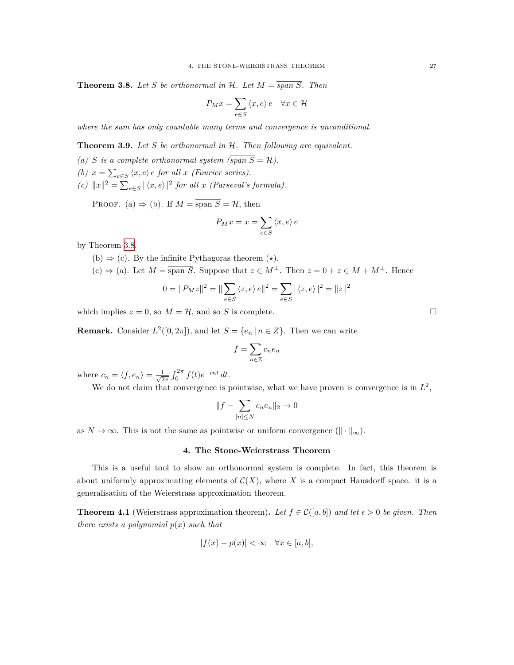<span id="page-26-1"></span>**Theorem 3.8.** Let *S* be orthonormal in  $H$ *. Let*  $M = \overline{span S}$ *. Then* 

$$
P_M x = \sum_{e \in S} \langle x, e \rangle e \quad \forall x \in \mathcal{H}
$$

*where the sum has only countable many terms and convergence is unconditional.*

**Theorem 3.9.** *Let S be orthonormal in H. Then following are equivalent.*

- (a) *S* is a complete orthonormal system  $\overline{(span S = H)}$ .
- *(b)*  $x = \sum_{e \in S} \langle x, e \rangle e$  *for all*  $x$  *(Fourier series).*
- *(c)*  $||x||^2 = ∑_{e∈S} | \langle x, e \rangle |^2$  *for all x (Parseval's formula).*

PROOF. (a)  $\Rightarrow$  (b). If  $M = \overline{\text{span } S} = \mathcal{H}$ , then

$$
P_M x = x = \sum_{e \in S} \langle x, e \rangle e
$$

by Theorem [3.8](#page-26-1).

- (b) *⇒* (c). By the infinite Pythagoras theorem (*⋆*).
- (c)  $\Rightarrow$  (a). Let  $M = \overline{\text{span } S}$ . Suppose that  $z \in M^{\perp}$ . Then  $z = 0 + z \in M + M^{\perp}$ . Hence

$$
0 = ||P_M z||^2 = ||\sum_{e \in S} \langle z, e \rangle e||^2 = \sum_{e \in S} |\langle z, e \rangle|^2 = ||z||^2
$$

which implies  $z = 0$ , so  $M = \mathcal{H}$ , and so *S* is complete.

**Remark.** Consider  $L^2([0, 2\pi])$ , and let  $S = \{e_n | n \in \mathbb{Z}\}$ . Then we can write

$$
f=\sum_{n\in\mathbb{Z}}c_ne_n
$$

where  $c_n = \langle f, e_n \rangle = \frac{1}{\sqrt{2}}$  $\frac{1}{2\pi} \int_0^{2\pi} f(t)e^{-int} dt$ .

We do not claim that convergence is pointwise, what we have proven is convergence is in  $L^2$ ,

$$
||f - \sum_{|n| \le N} c_n e_n ||_2 \to 0
$$

<span id="page-26-0"></span>as  $N \to \infty$ . This is not the same as pointwise or uniform convergence  $(\|\cdot\|_{\infty})$ .

#### **4. The Stone-Weierstrass Theorem**

This is a useful tool to show an orthonormal system is complete. In fact, this theorem is about uniformly approximating elements of  $\mathcal{C}(X)$ , where X is a compact Hausdorff space. it is a generalisation of the Weierstrass approximation theorem.

**Theorem 4.1** (Weierstrass approximation theorem). Let  $f \in \mathcal{C}([a, b])$  and let  $\epsilon > 0$  be given. Then *there exists a polynomial p*(*x*) *such that*

$$
|f(x) - p(x)| < \infty \quad \forall x \in [a, b],
$$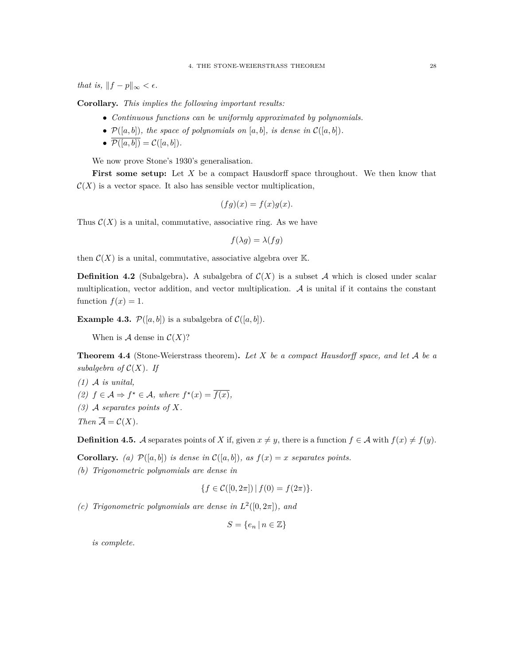*that is,*  $||f - p||_{\infty} < \epsilon$ .

**Corollary.** *This implies the following important results:*

- *• Continuous functions can be uniformly approximated by polynomials.*
- $P([a, b])$ *, the space of polynomials on* [a, b]*, is dense in*  $C([a, b])$ *.*
- $\overline{\mathcal{P}([a,b])} = \mathcal{C}([a,b])$ *.*

We now prove Stone's 1930's generalisation.

**First some setup:** Let *X* be a compact Hausdorff space throughout. We then know that  $\mathcal{C}(X)$  is a vector space. It also has sensible vector multiplication,

$$
(fg)(x) = f(x)g(x).
$$

Thus  $C(X)$  is a unital, commutative, associative ring. As we have

$$
f(\lambda g) = \lambda(fg)
$$

then  $C(X)$  is a unital, commutative, associative algebra over  $K$ .

**Definition 4.2** (Subalgebra). A subalgebra of  $C(X)$  is a subset A which is closed under scalar multiplication, vector addition, and vector multiplication.  $A$  is unital if it contains the constant function  $f(x) = 1$ .

**Example 4.3.**  $P([a, b])$  is a subalgebra of  $C([a, b])$ .

When is  $A$  dense in  $C(X)$ ?

**Theorem 4.4** (Stone-Weierstrass theorem)**.** *Let X be a compact Hausdorff space, and let A be a subalgebra of*  $C(X)$ *. If* 

*(1) A is unital, (2) f* ∈ *A*  $\Rightarrow$  *f*<sup>★</sup> ∈ *A, where f*<sup>★</sup>(*x*) =  $\overline{f(x)}$ *, (3) A separates points of X. Then*  $\overline{A} = C(X)$ *.* 

**Definition 4.5.** *A* separates points of *X* if, given  $x \neq y$ , there is a function  $f \in \mathcal{A}$  with  $f(x) \neq f(y)$ .

**Corollary.** (a)  $P([a, b])$  is dense in  $C([a, b])$ *, as*  $f(x) = x$  *separates points.* 

*(b) Trigonometric polynomials are dense in*

$$
\{f \in \mathcal{C}([0, 2\pi]) \,|\, f(0) = f(2\pi)\}.
$$

*(c)* Trigonometric polynomials are dense in  $L^2([0, 2\pi])$ , and

$$
S = \{e_n \mid n \in \mathbb{Z}\}\
$$

*is complete.*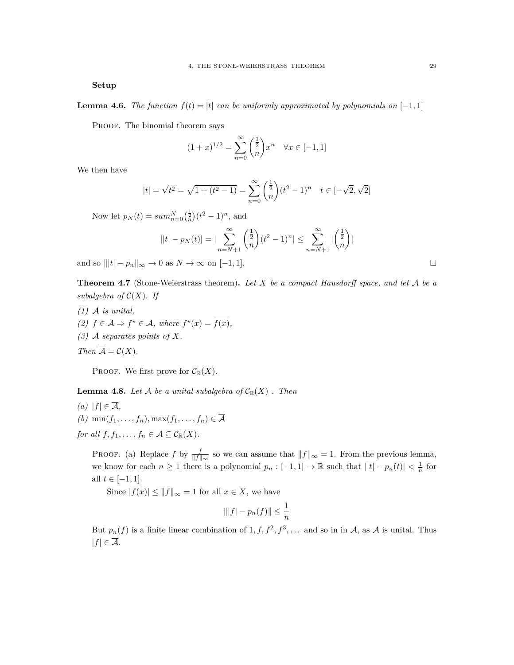**Setup**

**Lemma 4.6.** *The function*  $f(t) = |t|$  *can be uniformly approximated by polynomials on*  $[-1, 1]$ 

PROOF. The binomial theorem says

$$
(1+x)^{1/2} = \sum_{n=0}^{\infty} \binom{\frac{1}{2}}{n} x^n \quad \forall x \in [-1, 1]
$$

We then have

$$
|t| = \sqrt{t^2} = \sqrt{1 + (t^2 - 1)} = \sum_{n=0}^{\infty} \binom{\frac{1}{2}}{n} (t^2 - 1)^n \quad t \in [-\sqrt{2}, \sqrt{2}]
$$

Now let  $p_N(t) = \sum_{n=0}^N \left(\frac{1}{n}\right) (t^2 - 1)^n$ , and

$$
||t| - p_N(t)| = |\sum_{n=N+1}^{\infty} \binom{\frac{1}{2}}{n} (t^2 - 1)^n| \le \sum_{n=N+1}^{\infty} |\binom{\frac{1}{2}}{n}|
$$

and so  $|||t| - p_n||_{\infty} \to 0$  as  $N \to \infty$  on  $[-1, 1].$ 

**Theorem 4.7** (Stone-Weierstrass theorem)**.** *Let X be a compact Hausdorff space, and let A be a subalgebra of*  $C(X)$ *. If* 

- *(1) A is unital,*
- *(2) f* ∈ *A*  $\Rightarrow$  *f*<sup>★</sup> ∈ *A,* where  $f^*(x) = \overline{f(x)}$ *,*
- *(3) A separates points of X.*

*Then*  $\overline{A} = C(X)$ *.* 

PROOF. We first prove for  $C_{\mathbb{R}}(X)$ .

**Lemma 4.8.** Let  $\mathcal A$  be a unital subalgebra of  $\mathcal C_{\mathbb R}(X)$  *. Then* 

*(a)*  $|f|$  ∈  $\overline{A}$ *,*  $(b)$  min $(f_1, \ldots, f_n)$ , max $(f_1, \ldots, f_n) \in \overline{\mathcal{A}}$ *for all*  $f, f_1, \ldots, f_n \in \mathcal{A} \subseteq \mathcal{C}_{\mathbb{R}}(X)$ *.* 

PROOF. (a) Replace *f* by  $\frac{f}{\|f\|_{\infty}}$  so we can assume that  $\|f\|_{\infty} = 1$ . From the previous lemma, we know for each  $n \geq 1$  there is a polynomial  $p_n : [-1,1] \to \mathbb{R}$  such that  $||t| - p_n(t)| < \frac{1}{n}$  for all *t* ∈  $[-1, 1]$ .

Since  $|f(x)| \le ||f||_{\infty} = 1$  for all  $x \in X$ , we have

$$
\| |f| - p_n(f) \| \le \frac{1}{n}
$$

But  $p_n(f)$  is a finite linear combination of  $1, f, f^2, f^3, \ldots$  and so in in *A*, as *A* is unital. Thus  $|f|$  ∈  $\overline{A}$ .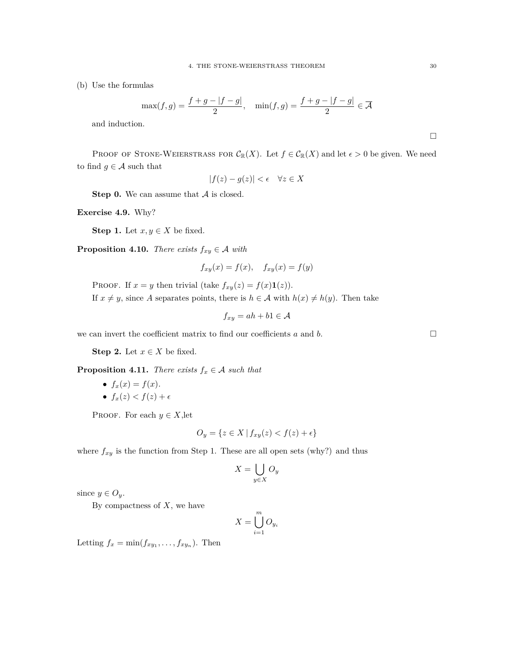(b) Use the formulas

$$
\max(f,g) = \frac{f+g-|f-g|}{2}, \quad \min(f,g) = \frac{f+g-|f-g|}{2} \in \overline{\mathcal{A}}
$$

and induction.

PROOF OF STONE-WEIERSTRASS FOR  $\mathcal{C}_{\mathbb{R}}(X)$ . Let  $f \in \mathcal{C}_{\mathbb{R}}(X)$  and let  $\epsilon > 0$  be given. We need to find  $g \in \mathcal{A}$  such that

$$
|f(z) - g(z)| < \epsilon \quad \forall z \in X
$$

**Step 0.** We can assume that *A* is closed.

**Exercise 4.9.** Why?

**Step 1.** Let  $x, y \in X$  be fixed.

**Proposition 4.10.** *There exists*  $f_{xy} \in \mathcal{A}$  *with* 

$$
f_{xy}(x) = f(x), \quad f_{xy}(x) = f(y)
$$

PROOF. If  $x = y$  then trivial (take  $f_{xy}(z) = f(x) \mathbf{1}(z)$ ). If  $x \neq y$ , since *A* separates points, there is  $h \in \mathcal{A}$  with  $h(x) \neq h(y)$ . Then take

$$
f_{xy} = ah + b1 \in \mathcal{A}
$$

we can invert the coefficient matrix to find our coefficients  $a$  and  $b$ .

**Step 2.** Let  $x \in X$  be fixed.

**Proposition 4.11.** *There exists*  $f_x \in A$  *such that* 

•  $f_x(x) = f(x)$ . •  $f_x(z) < f(z) + \epsilon$ 

PROOF. For each  $y \in X$ , let

$$
O_y = \{ z \in X \mid f_{xy}(z) < f(z) + \epsilon \}
$$

where  $f_{xy}$  is the function from Step 1. These are all open sets (why?) and thus

$$
X = \bigcup_{y \in X} O_y
$$

since  $y \in O_y$ .

By compactness of *X*, we have

$$
X = \bigcup_{i=1}^{m} O_{y_i}
$$

Letting  $f_x = \min(f_{xy_1}, \ldots, f_{xy_n})$ . Then

 $\Box$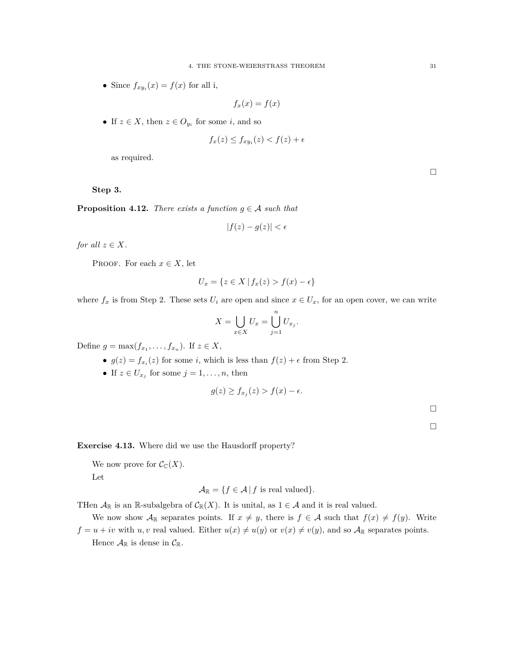• Since  $f_{xy_i}(x) = f(x)$  for all i,

$$
f_x(x) = f(x)
$$

• If  $z \in X$ , then  $z \in O_{y_i}$  for some *i*, and so

$$
f_x(z) \le f_{xy_i}(z) < f(z) + \epsilon
$$

as required.

**Step 3.**

**Proposition 4.12.** *There exists a function*  $g \in A$  *such that* 

$$
|f(z) - g(z)| < \epsilon
$$

*for all*  $z \in X$ *.* 

PROOF. For each  $x \in X$ , let

$$
U_x = \{ z \in X \mid f_x(z) > f(x) - \epsilon \}
$$

where  $f_x$  is from Step 2. These sets  $U_i$  are open and since  $x \in U_x$ , for an open cover, we can write

$$
X = \bigcup_{x \in X} U_x = \bigcup_{j=1}^n U_{x_j}.
$$

Define  $g = \max(f_{x_1}, \ldots, f_{x_n})$ . If  $z \in X$ ,

- $g(z) = f_{x_i}(z)$  for some *i*, which is less than  $f(z) + \epsilon$  from Step 2.
- If  $z \in U_{x_j}$  for some  $j = 1, \ldots, n$ , then

$$
g(z) \ge f_{x_j}(z) > f(x) - \epsilon.
$$

 $\Box$ 

 $\Box$ 

**Exercise 4.13.** Where did we use the Hausdorff property?

We now prove for  $C_{\mathbb{C}}(X)$ . Let

$$
\mathcal{A}_{\mathbb{R}} = \{ f \in \mathcal{A} \, | \, f \text{ is real valued} \}.
$$

THen  $\mathcal{A}_{\mathbb{R}}$  is an  $\mathbb{R}$ -subalgebra of  $\mathcal{C}_{\mathbb{R}}(X)$ . It is unital, as  $1 \in \mathcal{A}$  and it is real valued.

We now show  $A_{\mathbb{R}}$  separates points. If  $x \neq y$ , there is  $f \in A$  such that  $f(x) \neq f(y)$ . Write  $f = u + iv$  with *u, v* real valued. Either  $u(x) \neq u(y)$  or  $v(x) \neq v(y)$ , and so  $A_{\mathbb{R}}$  separates points. Hence  $\mathcal{A}_{\mathbb{R}}$  is dense in  $\mathcal{C}_{\mathbb{R}}$ .

 $\Box$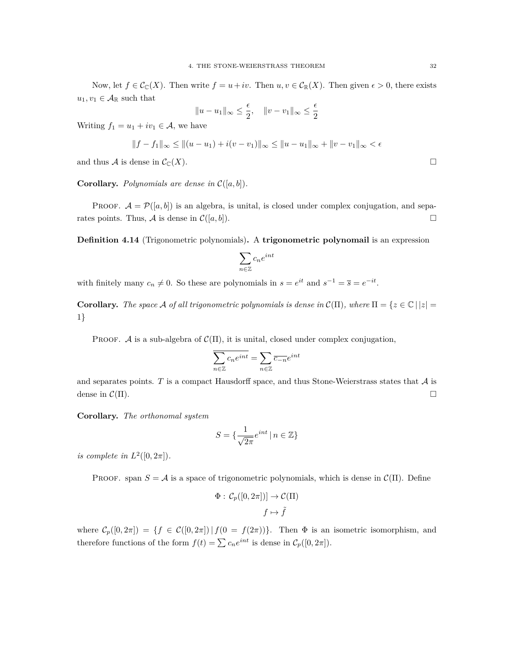Now, let  $f \in \mathcal{C}_{\mathbb{C}}(X)$ . Then write  $f = u + iv$ . Then  $u, v \in \mathcal{C}_{\mathbb{R}}(X)$ . Then given  $\epsilon > 0$ , there exists  $u_1, v_1 \in \mathcal{A}_{\mathbb{R}}$  such that

$$
||u - u_1||_{\infty} \le \frac{\epsilon}{2}, \quad ||v - v_1||_{\infty} \le \frac{\epsilon}{2}
$$

Writing  $f_1 = u_1 + iv_1 \in \mathcal{A}$ , we have

$$
||f - f_1||_{\infty} \le ||(u - u_1) + i(v - v_1)||_{\infty} \le ||u - u_1||_{\infty} + ||v - v_1||_{\infty} < \epsilon
$$

and thus *A* is dense in  $C_{\mathbb{C}}(X)$ .

**Corollary.** *Polynomials are dense in*  $C([a, b])$ *.* 

**PROOF.**  $\mathcal{A} = \mathcal{P}([a, b])$  is an algebra, is unital, is closed under complex conjugation, and separates points. Thus, *A* is dense in  $C([a, b])$ .

**Definition 4.14** (Trigonometric polynomials)**.** A **trigonometric polynomail** is an expression

$$
\sum_{n\in\mathbb{Z}}c_ne^{int}
$$

with finitely many  $c_n \neq 0$ . So these are polynomials in  $s = e^{it}$  and  $s^{-1} = \overline{s} = e^{-it}$ .

**Corollary.** The space A of all trigonometric polynomials is dense in  $\mathcal{C}(\Pi)$ , where  $\Pi = \{z \in \mathbb{C} \mid |z| = 1\}$ 1*}*

PROOF. *A* is a sub-algebra of  $C(\Pi)$ , it is unital, closed under complex conjugation,

$$
\overline{\sum_{n\in\mathbb{Z}}c_ne^{int}}=\sum_{n\in\mathbb{Z}}\overline{c_{-n}}e^{int}
$$

and separates points.  $T$  is a compact Hausdorff space, and thus Stone-Weierstrass states that  $A$  is dense in  $\mathcal{C}(\Pi)$ .

**Corollary.** *The orthonomal system*

$$
S = \{ \frac{1}{\sqrt{2\pi}} e^{int} \mid n \in \mathbb{Z} \}
$$

*is complete in*  $L^2([0, 2\pi])$ *.* 

PROOF. span  $S = A$  is a space of trigonometric polynomials, which is dense in  $\mathcal{C}(\Pi)$ . Define

$$
\Phi: C_p([0, 2\pi])] \to \mathcal{C}(\Pi)
$$

$$
f \mapsto \tilde{f}
$$

where  $\mathcal{C}_p([0,2\pi]) = \{f \in \mathcal{C}([0,2\pi]) | f(0 = f(2\pi))\}.$  Then  $\Phi$  is an isometric isomorphism, and therefore functions of the form  $f(t) = \sum c_n e^{int}$  is dense in  $C_p([0, 2\pi])$ .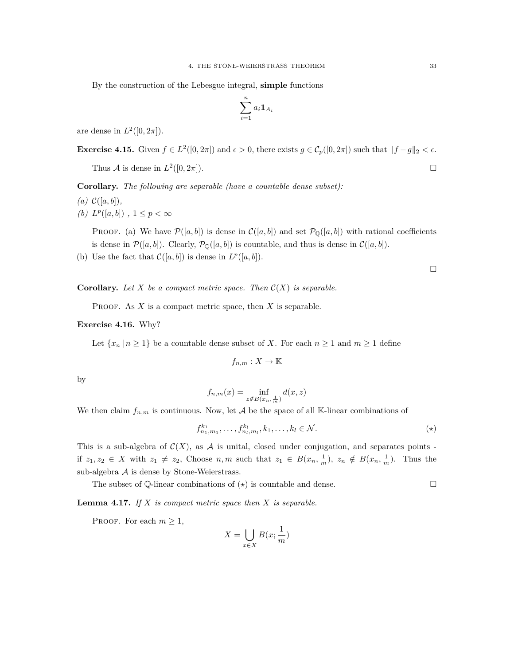By the construction of the Lebesgue integral, **simple** functions

$$
\sum_{i=1}^n a_i \mathbf{1}_{A_i}
$$

are dense in  $L^2([0, 2\pi])$ .

**Exercise 4.15.** Given 
$$
f \in L^2([0, 2\pi])
$$
 and  $\epsilon > 0$ , there exists  $g \in C_p([0, 2\pi])$  such that  $||f - g||_2 < \epsilon$ .  
Thus A is dense in  $L^2([0, 2\pi])$ .

**Corollary.** *The following are separable (have a countable dense subset):*

- $(a) \mathcal{C}([a, b]),$
- *(b)*  $L^p([a, b])$ , 1 ≤  $p < ∞$

PROOF. (a) We have  $\mathcal{P}([a, b])$  is dense in  $\mathcal{C}([a, b])$  and set  $\mathcal{P}_{\mathbb{Q}}([a, b])$  with rational coefficients is dense in  $\mathcal{P}([a, b])$ . Clearly,  $\mathcal{P}_{\mathbb{Q}}([a, b])$  is countable, and thus is dense in  $\mathcal{C}([a, b])$ .

(b) Use the fact that  $\mathcal{C}([a, b])$  is dense in  $L^p([a, b])$ .

 $\Box$ 

**Corollary.** Let *X* be a compact metric space. Then  $C(X)$  is separable.

PROOF. As *X* is a compact metric space, then *X* is separable.

#### **Exercise 4.16.** Why?

Let  $\{x_n \mid n \geq 1\}$  be a countable dense subset of *X*. For each  $n \geq 1$  and  $m \geq 1$  define

$$
f_{n,m}: X \to \mathbb{K}
$$

by

$$
f_{n,m}(x) = \inf_{z \notin B(x_n, \frac{1}{m})} d(x, z)
$$

We then claim  $f_{n,m}$  is continuous. Now, let  $A$  be the space of all K-linear combinations of

$$
f_{n_1,m_1}^{k_1},\ldots,f_{n_l,m_l}^{k_l},k_1,\ldots,k_l\in\mathcal{N}.\tag{\star}
$$

This is a sub-algebra of  $\mathcal{C}(X)$ , as A is unital, closed under conjugation, and separates points if  $z_1, z_2 \in X$  with  $z_1 \neq z_2$ , Choose  $n, m$  such that  $z_1 \in B(x_n, \frac{1}{m}), z_n \notin B(x_n, \frac{1}{m})$ . Thus the sub-algebra *A* is dense by Stone-Weierstrass.

The subset of  $\mathbb{Q}$ -linear combinations of  $(\star)$  is countable and dense.

**Lemma 4.17.** *If X is compact metric space then X is separable.*

PROOF. For each  $m \geq 1$ ,

$$
X = \bigcup_{x \in X} B(x; \frac{1}{m})
$$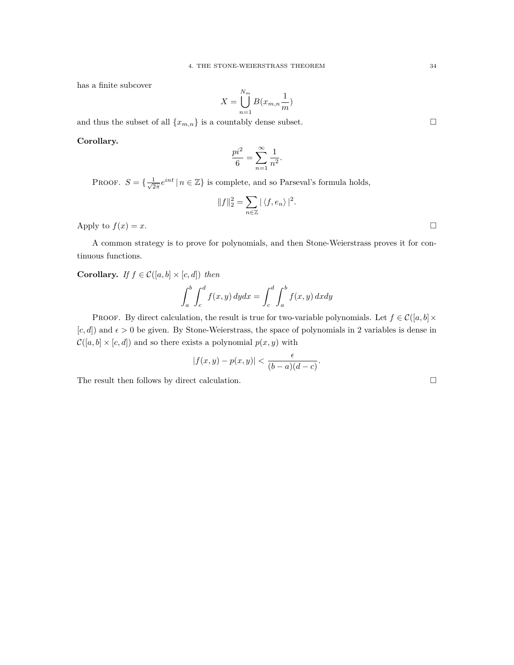has a finite subcover

$$
X = \bigcup_{n=1}^{N_m} B(x_{m,n}\frac{1}{m})
$$

and thus the subset of all  $\{x_{m,n}\}$  is a countably dense subset.

**Corollary.**

$$
\frac{pi^2}{6} = \sum_{n=1}^{\infty} \frac{1}{n^2}.
$$

PROOF.  $S = \{\frac{1}{\sqrt{2}}\}$  $\frac{1}{2\pi}e^{int}|n \in \mathbb{Z}\}$  is complete, and so Parseval's formula holds,

$$
||f||_2^2 = \sum_{n \in \mathbb{Z}} |\langle f, e_n \rangle|^2.
$$
 Apply to  $f(x) = x$ .

A common strategy is to prove for polynomials, and then Stone-Weierstrass proves it for continuous functions.

**Corollary.** *If*  $f \in \mathcal{C}([a, b] \times [c, d])$  *then* 

$$
\int_a^b \int_c^d f(x, y) dy dx = \int_c^d \int_a^b f(x, y) dx dy
$$

PROOF. By direct calculation, the result is true for two-variable polynomials. Let  $f \in \mathcal{C}([a, b] \times$  $[c, d]$ ) and  $\epsilon > 0$  be given. By Stone-Weierstrass, the space of polynomials in 2 variables is dense in  $C([a, b] \times [c, d])$  and so there exists a polynomial  $p(x, y)$  with

$$
|f(x,y)-p(x,y)| < \frac{\epsilon}{(b-a)(d-c)}.
$$

The result then follows by direct calculation.  $\Box$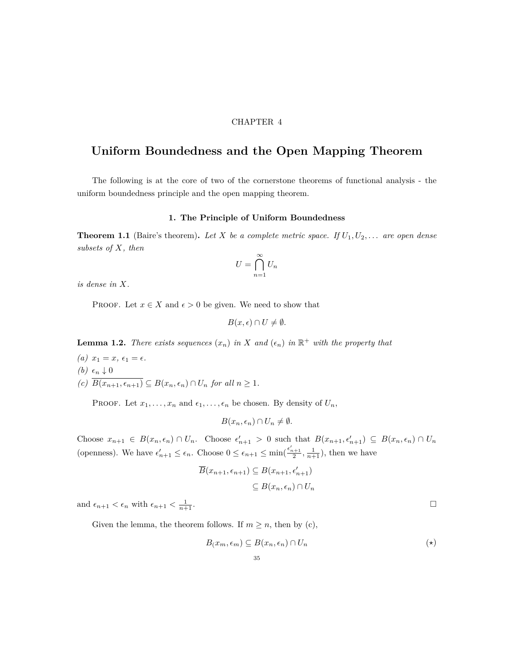#### CHAPTER 4

## <span id="page-34-0"></span>**Uniform Boundedness and the Open Mapping Theorem**

The following is at the core of two of the cornerstone theorems of functional analysis - the uniform boundedness principle and the open mapping theorem.

#### **1. The Principle of Uniform Boundedness**

<span id="page-34-1"></span>**Theorem 1.1** (Baire's theorem). Let *X* be a complete metric space. If  $U_1, U_2, \ldots$  are open dense *subsets of X, then*

$$
U = \bigcap_{n=1}^{\infty} U_n
$$

*is dense in X.*

PROOF. Let  $x \in X$  and  $\epsilon > 0$  be given. We need to show that

$$
B(x,\epsilon) \cap U \neq \emptyset.
$$

**Lemma 1.2.** *There exists sequences*  $(x_n)$  *in*  $X$  *and*  $(\epsilon_n)$  *in*  $\mathbb{R}^+$  *with the property that* 

 $(a)$   $x_1 = x, \epsilon_1 = \epsilon.$  $(b)$   $\epsilon_n$  ↓ 0

 $(c)$  *B*( $x_{n+1}, \epsilon_{n+1}$ )  $\subseteq$  *B*( $x_n, \epsilon_n$ )  $\cap$  *U<sub>n</sub> for all*  $n \geq 1$ *.* 

PROOF. Let  $x_1, \ldots, x_n$  and  $\epsilon_1, \ldots, \epsilon_n$  be chosen. By density of  $U_n$ ,

$$
B(x_n, \epsilon_n) \cap U_n \neq \emptyset.
$$

Choose  $x_{n+1} \in B(x_n, \epsilon_n) \cap U_n$ . Choose  $\epsilon'_{n+1} > 0$  such that  $B(x_{n+1}, \epsilon'_{n+1}) \subseteq B(x_n, \epsilon_n) \cap U_n$ (openness). We have  $\epsilon'_{n+1} \leq \epsilon_n$ . Choose  $0 \leq \epsilon_{n+1} \leq \min(\frac{\epsilon'_{n+1}}{2}, \frac{1}{n+1})$ , then we have

$$
\overline{B}(x_{n+1}, \epsilon_{n+1}) \subseteq B(x_{n+1}, \epsilon'_{n+1})
$$
  

$$
\subseteq B(x_n, \epsilon_n) \cap U_n
$$

and  $\epsilon_{n+1} < \epsilon_n$  with  $\epsilon_{n+1} < \frac{1}{n+1}$  $\frac{1}{n+1}$ .

Given the lemma, the theorem follows. If  $m \geq n$ , then by (c),

$$
B(x_m, \epsilon_m) \subseteq B(x_n, \epsilon_n) \cap U_n \tag{(*)}
$$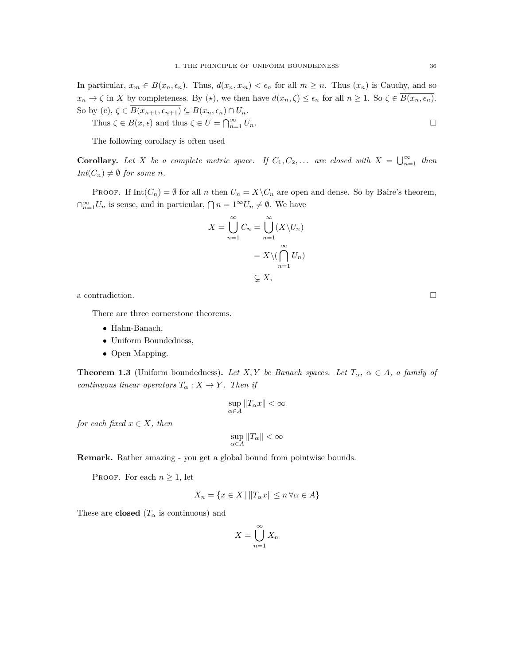In particular,  $x_m \in B(x_n, \epsilon_n)$ . Thus,  $d(x_n, x_m) < \epsilon_n$  for all  $m \geq n$ . Thus  $(x_n)$  is Cauchy, and so  $x_n \to \zeta$  in X by completeness. By ( $\star$ ), we then have  $d(x_n, \zeta) \leq \epsilon_n$  for all  $n \geq 1$ . So  $\zeta \in \overline{B(x_n, \epsilon_n)}$ . So by (c),  $\zeta \in \overline{B(x_{n+1}, \epsilon_{n+1})} \subseteq B(x_n, \epsilon_n) \cap U_n$ .

Thus  $\zeta \in B(x, \epsilon)$  and thus  $\zeta \in U = \bigcap_{n=1}^{\infty} U_n$ .

The following corollary is often used

**Corollary.** Let *X* be a complete metric space. If  $C_1, C_2, \ldots$  are closed with  $X = \bigcup_{n=1}^{\infty}$  then *Int*( $C_n$ )  $\neq \emptyset$  *for some n.* 

PROOF. If  $Int(C_n) = \emptyset$  for all *n* then  $U_n = X \setminus C_n$  are open and dense. So by Baire's theorem,  $∩_{n=1}^{\infty}U_n$  is sense, and in particular,  $∩ n = 1<sup>∞</sup>U_n ≠ ∅$ . We have

$$
X = \bigcup_{n=1}^{\infty} C_n = \bigcup_{n=1}^{\infty} (X \setminus U_n)
$$

$$
= X \setminus (\bigcap_{n=1}^{\infty} U_n)
$$

$$
\subsetneq X,
$$

a contradiction.  $\Box$ 

There are three cornerstone theorems.

- *•* Hahn-Banach,
- *•* Uniform Boundedness,
- *•* Open Mapping.

**Theorem 1.3** (Uniform boundedness). Let *X,Y* be Banach spaces. Let  $T_{\alpha}$ ,  $\alpha \in A$ , a family of *continuous linear operators*  $T_{\alpha}: X \rightarrow Y$ *. Then if* 

$$
\sup_{\alpha\in A}\|T_\alpha x\|<\infty
$$

*for each fixed*  $x \in X$ *, then* 

$$
\sup_{\alpha \in A} \|T_{\alpha}\| < \infty
$$

**Remark.** Rather amazing - you get a global bound from pointwise bounds.

PROOF. For each  $n \geq 1$ , let

$$
X_n = \{ x \in X \mid ||T_{\alpha}x|| \le n \,\forall \alpha \in A \}
$$

These are **closed** ( $T_\alpha$  is continuous) and

$$
X = \bigcup_{n=1}^{\infty} X_n
$$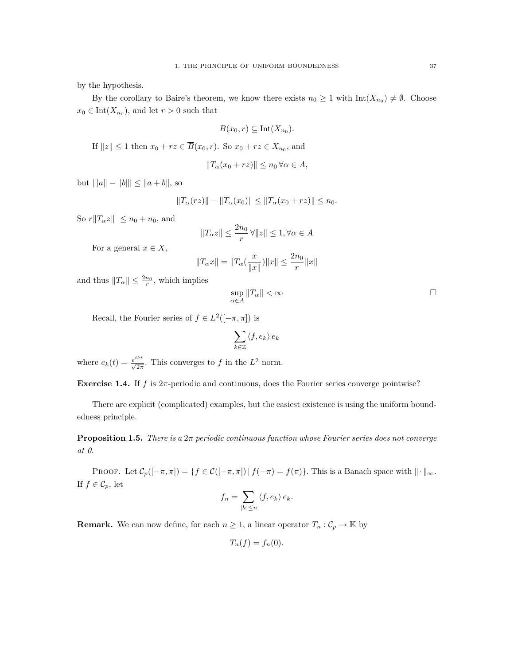by the hypothesis.

By the corollary to Baire's theorem, we know there exists  $n_0 \geq 1$  with  $\text{Int}(X_{n_0}) \neq \emptyset$ . Choose  $x_0 \in \text{Int}(X_{n_0})$ , and let  $r > 0$  such that

$$
B(x_0,r) \subseteq \mathrm{Int}(X_{n_0}).
$$

If  $||z|| \leq 1$  then  $x_0 + rz \in \overline{B}(x_0, r)$ . So  $x_0 + rz \in X_{n_0}$ , and

$$
||T_{\alpha}(x_0 + rz)|| \leq n_0 \,\forall \alpha \in A,
$$

 $|b$ <sup>*u*</sup> $||a|| - ||b||| \leq |a + b|$ , so

$$
||T_{\alpha}(rz)|| - ||T_{\alpha}(x_0)|| \le ||T_{\alpha}(x_0 + rz)|| \le n_0.
$$

So  $r||T_\alpha z|| \leq n_0 + n_0$ , and

$$
||T_{\alpha}z|| \le \frac{2n_0}{r} \,\forall ||z|| \le 1, \forall \alpha \in A
$$

For a general  $x \in X$ ,

$$
||T_{\alpha}x|| = ||T_{\alpha}(\frac{x}{||x||})||x|| \le \frac{2n_0}{r}||x||
$$

and thus  $||T_\alpha|| \leq \frac{2n_0}{r}$ , which implies

$$
\sup_{\alpha \in A} \|T_{\alpha}\| < \infty \tag{}
$$

Recall, the Fourier series of  $f \in L^2([-\pi,\pi])$  is

$$
\sum_{k\in\mathbb{Z}}\left\langle f,e_{k}\right\rangle e_{k}
$$

where  $e_k(t) = \frac{e^{ikt}}{\sqrt{2\pi}}$ . This converges to *f* in the  $L^2$  norm.

**Exercise 1.4.** If *f* is 2*π*-periodic and continuous, does the Fourier series converge pointwise?

There are explicit (complicated) examples, but the easiest existence is using the uniform boundedness principle.

**Proposition 1.5.** *There is a* 2*π periodic continuous function whose Fourier series does not converge at 0.*

PROOF. Let  $\mathcal{C}_p([-\pi,\pi]) = \{f \in \mathcal{C}([-\pi,\pi]) \mid f(-\pi) = f(\pi)\}.$  This is a Banach space with  $\|\cdot\|_{\infty}$ . If  $f \in C_p$ , let

$$
f_n = \sum_{|k| \le n} \langle f, e_k \rangle e_k.
$$

**Remark.** We can now define, for each  $n \geq 1$ , a linear operator  $T_n : C_p \to \mathbb{K}$  by

$$
T_n(f) = f_n(0).
$$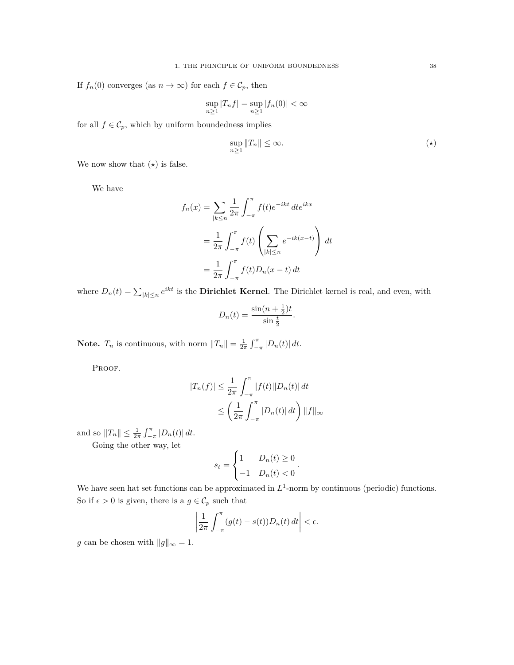If  $f_n(0)$  converges (as  $n \to \infty$ ) for each  $f \in C_p$ , then

$$
\sup_{n\geq 1} |T_nf| = \sup_{n\geq 1} |f_n(0)| < \infty
$$

for all  $f \in C_p$ , which by uniform boundedness implies

$$
\sup_{n\geq 1} \|T_n\| \leq \infty. \tag{(*)}
$$

We now show that  $(\star)$  is false.

We have

$$
f_n(x) = \sum_{|k \le n} \frac{1}{2\pi} \int_{-\pi}^{\pi} f(t)e^{-ikt} dt e^{ikx}
$$

$$
= \frac{1}{2\pi} \int_{-\pi}^{\pi} f(t) \left( \sum_{|k| \le n} e^{-ik(x-t)} \right) dt
$$

$$
= \frac{1}{2\pi} \int_{-\pi}^{\pi} f(t) D_n(x-t) dt
$$

where  $D_n(t) = \sum_{|k| \le n} e^{ikt}$  is the **Dirichlet Kernel**. The Dirichlet kernel is real, and even, with

$$
D_n(t) = \frac{\sin((n + \frac{1}{2})t)}{\sin(\frac{t}{2})}.
$$

**Note.**  $T_n$  is continuous, with norm  $||T_n|| = \frac{1}{2\pi} \int_{-\pi}^{\pi} |D_n(t)| dt$ .

PROOF.

$$
|T_n(f)| \le \frac{1}{2\pi} \int_{-\pi}^{\pi} |f(t)| |D_n(t)| dt
$$
  

$$
\le \left(\frac{1}{2\pi} \int_{-\pi}^{\pi} |D_n(t)| dt\right) ||f||_{\infty}
$$

and so  $||T_n|| \leq \frac{1}{2\pi} \int_{-\pi}^{\pi} |D_n(t)| dt$ .

Going the other way, let

$$
s_t = \begin{cases} 1 & D_n(t) \ge 0 \\ -1 & D_n(t) < 0 \end{cases}.
$$

We have seen hat set functions can be approximated in  $L^1$ -norm by continuous (periodic) functions. So if  $\epsilon > 0$  is given, there is a  $g \in \mathcal{C}_p$  such that

$$
\left|\frac{1}{2\pi}\int_{-\pi}^{\pi}(g(t)-s(t))D_n(t)\,dt\right|<\epsilon.
$$

*g* can be chosen with  $||g||_{\infty} = 1$ .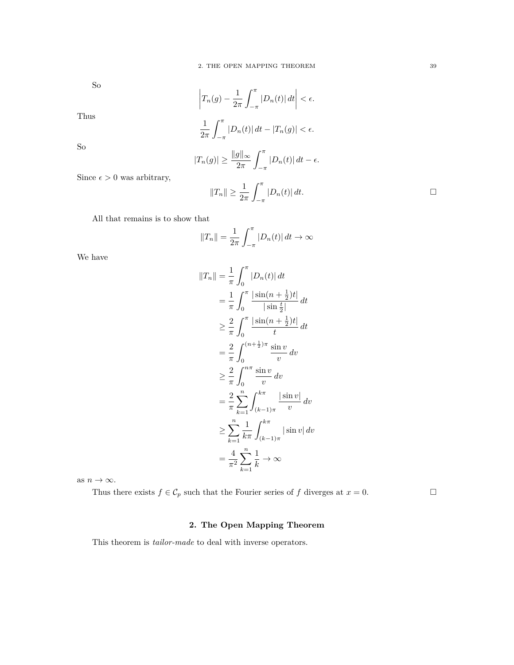So

$$
\left|T_n(g) - \frac{1}{2\pi} \int_{-\pi}^{\pi} |D_n(t)| dt\right| < \epsilon.
$$

1 2*π* ∫ *<sup>π</sup>*  $\int_{-\pi}^{\pi} |D_n(t)| \, dt - |T_n(g)| < \epsilon.$ 

So

Thus

$$
|T_n(g)| \ge \frac{\|g\|_{\infty}}{2\pi} \int_{-\pi}^{\pi} |D_n(t)| dt - \epsilon.
$$

Since  $\epsilon > 0$  was arbitrary,

$$
||T_n|| \ge \frac{1}{2\pi} \int_{-\pi}^{\pi} |D_n(t)| dt.
$$

All that remains is to show that

$$
||T_n|| = \frac{1}{2\pi} \int_{-\pi}^{\pi} |D_n(t)| dt \to \infty
$$

We have

$$
||T_n|| = \frac{1}{\pi} \int_0^{\pi} |D_n(t)| dt
$$
  
\n
$$
= \frac{1}{\pi} \int_0^{\pi} \frac{|\sin(n + \frac{1}{2})t|}{|\sin(\frac{1}{2})t|} dt
$$
  
\n
$$
\geq \frac{2}{\pi} \int_0^{\pi} \frac{|\sin(n + \frac{1}{2})t|}{t} dt
$$
  
\n
$$
= \frac{2}{\pi} \int_0^{(n + \frac{1}{2})\pi} \frac{\sin v}{v} dv
$$
  
\n
$$
\geq \frac{2}{\pi} \int_0^{n\pi} \frac{\sin v}{v} dv
$$
  
\n
$$
= \frac{2}{\pi} \sum_{k=1}^n \int_{(k-1)\pi}^{k\pi} \frac{|\sin v|}{v} dv
$$
  
\n
$$
\geq \sum_{k=1}^n \frac{1}{k\pi} \int_{(k-1)\pi}^{k\pi} |\sin v| dv
$$
  
\n
$$
= \frac{4}{\pi^2} \sum_{k=1}^n \frac{1}{k} \to \infty
$$

as  $n \to \infty$ .

Thus there exists  $f \in C_p$  such that the Fourier series of  $f$  diverges at  $x = 0$ .

### **2. The Open Mapping Theorem**

<span id="page-38-0"></span>This theorem is *tailor-made* to deal with inverse operators.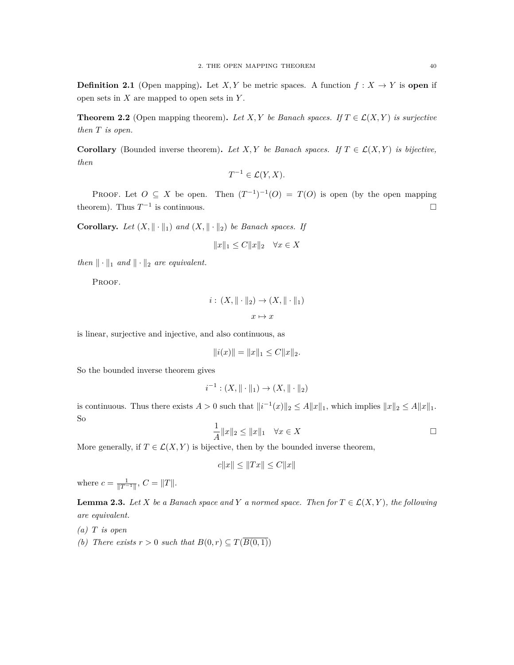**Definition 2.1** (Open mapping). Let *X, Y* be metric spaces. A function  $f: X \to Y$  is open if open sets in *X* are mapped to open sets in *Y* .

**Theorem 2.2** (Open mapping theorem). Let *X,Y* be Banach spaces. If  $T \in \mathcal{L}(X, Y)$  is surjective *then T is open.*

**Corollary** (Bounded inverse theorem). Let *X,Y* be Banach spaces. If  $T \in \mathcal{L}(X, Y)$  is bijective, *then*

$$
T^{-1} \in \mathcal{L}(Y, X).
$$

PROOF. Let  $O \subseteq X$  be open. Then  $(T^{-1})^{-1}(O) = T(O)$  is open (by the open mapping theorem). Thus  $T^{-1}$  is continuous.

**Corollary.** *Let*  $(X, \|\cdot\|_1)$  *and*  $(X, \|\cdot\|_2)$  *be Banach spaces. If* 

$$
||x||_1 \le C||x||_2 \quad \forall x \in X
$$

*then*  $\|\cdot\|_1$  *and*  $\|\cdot\|_2$  *are equivalent.* 

PROOF.

$$
i: (X, \|\cdot\|_2) \to (X, \|\cdot\|_1)
$$

$$
x \mapsto x
$$

is linear, surjective and injective, and also continuous, as

 $||i(x)|| = ||x||_1 \leq C ||x||_2.$ 

So the bounded inverse theorem gives

$$
i^{-1} : (X, \|\cdot\|_1) \to (X, \|\cdot\|_2)
$$

is continuous. Thus there exists  $A > 0$  such that  $||i^{-1}(x)||_2 \le A||x||_1$ , which implies  $||x||_2 \le A||x||_1$ . So

$$
\frac{1}{A}||x||_2 \le ||x||_1 \quad \forall x \in X
$$

More generally, if  $T \in \mathcal{L}(X, Y)$  is bijective, then by the bounded inverse theorem,

$$
c||x|| \le ||Tx|| \le C||x||
$$

where  $c = \frac{1}{\|T^{-1}\|}, C = \|T\|.$ 

**Lemma 2.3.** *Let*  $X$  *be a Banach space and*  $Y$  *a normed space. Then for*  $T \in \mathcal{L}(X, Y)$ *, the following are equivalent.*

- *(a) T is open*
- *(b)* There exists  $r > 0$  such that  $B(0, r) \subseteq T(\overline{B(0, 1)})$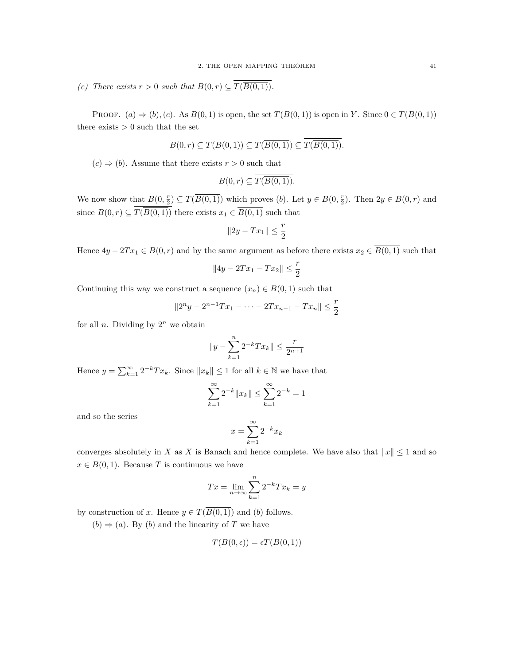*(c)* There exists  $r > 0$  such that  $B(0, r) \subseteq T(\overline{B(0, 1)})$ .

PROOF.  $(a) \Rightarrow (b)$ ,  $(c)$ . As  $B(0, 1)$  is open, the set  $T(B(0, 1))$  is open in *Y*. Since  $0 \in T(B(0, 1))$ there exists  $> 0$  such that the set

$$
B(0,r) \subseteq T(B(0,1)) \subseteq T(\overline{B(0,1)}) \subseteq T(\overline{B(0,1)}).
$$

 $(c) \Rightarrow (b)$ . Assume that there exists  $r > 0$  such that

$$
B(0,r) \subseteq \overline{T(\overline{B(0,1)})}.
$$

We now show that  $B(0, \frac{r}{2}) \subseteq T(\overline{B(0, 1)})$  which proves  $(b)$ . Let  $y \in B(0, \frac{r}{2})$ . Then  $2y \in B(0, r)$  and since  $B(0,r) \subseteq T(B(0,1))$  there exists  $x_1 \in B(0,1)$  such that

$$
||2y - Tx_1|| \le \frac{r}{2}
$$

Hence  $4y - 2Tx_1 \in B(0, r)$  and by the same argument as before there exists  $x_2 \in \overline{B(0, 1)}$  such that

$$
||4y - 2Tx_1 - Tx_2|| \le \frac{r}{2}
$$

Continuing this way we construct a sequence  $(x_n) \in \overline{B(0,1)}$  such that

$$
||2^{n}y - 2^{n-1}Tx_1 - \dots - 2Tx_{n-1} - Tx_n|| \leq \frac{r}{2}
$$

for all *n*. Dividing by  $2^n$  we obtain

$$
||y - \sum_{k=1}^{n} 2^{-k} Tx_k|| \le \frac{r}{2^{n+1}}
$$

Hence  $y = \sum_{k=1}^{\infty} 2^{-k} T x_k$ . Since  $||x_k|| \leq 1$  for all  $k \in \mathbb{N}$  we have that

$$
\sum_{k=1}^{\infty} 2^{-k} \|x_k\| \le \sum_{k=1}^{\infty} 2^{-k} = 1
$$

and so the series

$$
x = \sum_{k=1}^{\infty} 2^{-k} x_k
$$

converges absolutely in *X* as *X* is Banach and hence complete. We have also that  $||x|| \leq 1$  and so  $x \in \overline{B(0,1)}$ . Because *T* is continuous we have

$$
Tx = \lim_{n \to \infty} \sum_{k=1}^{n} 2^{-k} Tx_k = y
$$

by construction of *x*. Hence  $y \in T(\overline{B(0,1)})$  and (*b*) follows.

 $(b) \Rightarrow (a)$ . By  $(b)$  and the linearity of *T* we have

$$
T(\overline{B(0,\epsilon)})=\epsilon T(\overline{B(0,1)})
$$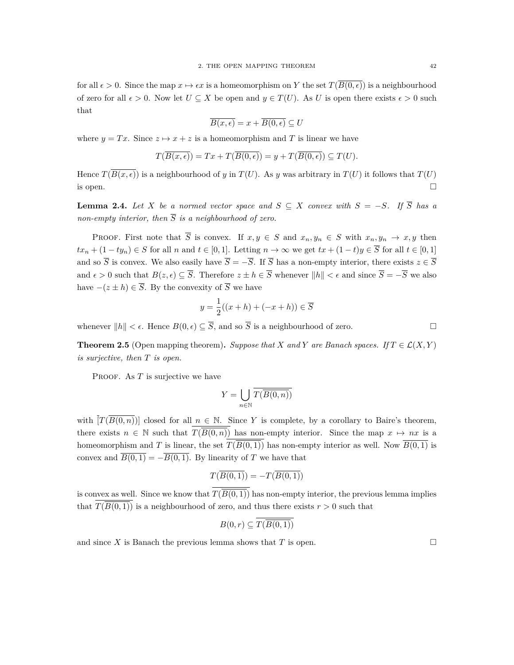for all  $\epsilon > 0$ . Since the map  $x \mapsto \epsilon x$  is a homeomorphism on *Y* the set  $T(\overline{B(0,\epsilon)})$  is a neighbourhood of zero for all  $\epsilon > 0$ . Now let  $U \subseteq X$  be open and  $y \in T(U)$ . As *U* is open there exists  $\epsilon > 0$  such that

$$
\overline{B(x,\epsilon)} = x + \overline{B(0,\epsilon)} \subseteq U
$$

where  $y = Tx$ . Since  $z \mapsto x + z$  is a homeomorphism and T is linear we have

$$
T(\overline{B(x,\epsilon)}) = Tx + T(\overline{B(0,\epsilon)}) = y + T(\overline{B(0,\epsilon)}) \subseteq T(U).
$$

Hence  $T(\overline{B(x,\epsilon)})$  is a neighbourhood of *y* in  $T(U)$ . As *y* was arbitrary in  $T(U)$  it follows that  $T(U)$ is open.  $\Box$ 

**Lemma 2.4.** *Let X be a normed vector space and*  $S \subseteq X$  *convex with*  $S = -S$ *. If*  $\overline{S}$  *has a non-empty interior, then*  $\overline{S}$  *is a neighbourhood of zero.* 

PROOF. First note that  $\overline{S}$  is convex. If  $x, y \in S$  and  $x_n, y_n \in S$  with  $x_n, y_n \to x, y$  then  $tx_n + (1 - ty_n) \in S$  for all n and  $t \in [0,1]$ . Letting  $n \to \infty$  we get  $tx + (1-t)y \in \overline{S}$  for all  $t \in [0,1]$ and so  $\overline{S}$  is convex. We also easily have  $\overline{S} = -\overline{S}$ . If  $\overline{S}$  has a non-empty interior, there exists  $z \in \overline{S}$ and  $\epsilon > 0$  such that  $B(z, \epsilon) \subset \overline{S}$ . Therefore  $z \pm h \in \overline{S}$  whenever  $||h|| < \epsilon$  and since  $\overline{S} = -\overline{S}$  we also have  $-(z \pm h) \in \overline{S}$ . By the convexity of  $\overline{S}$  we have

$$
y = \frac{1}{2}((x+h) + (-x+h)) \in \overline{S}
$$

whenever  $||h|| < \epsilon$ . Hence  $B(0, \epsilon) \subseteq \overline{S}$ , and so  $\overline{S}$  is a neighbourhood of zero.

**Theorem 2.5** (Open mapping theorem). Suppose that *X* and *Y* are Banach spaces. If  $T \in \mathcal{L}(X, Y)$ *is surjective, then T is open.*

PROOF. As *T* is surjective we have

$$
Y = \bigcup_{n \in \mathbb{N}} \overline{T(\overline{B(0,n)})}
$$

with  $[T(\overline{B(0,n)})]$  closed for all  $n \in \mathbb{N}$ . Since Y is complete, by a corollary to Baire's theorem, there exists  $n \in \mathbb{N}$  such that  $T(\overline{B(0,n)})$  has non-empty interior. Since the map  $x \mapsto nx$  is a homeomorphism and *T* is linear, the set  $T(\overline{B(0,1)})$  has non-empty interior as well. Now  $\overline{B(0,1)}$  is convex and  $\overline{B(0,1)} = -\overline{B(0,1)}$ . By linearity of *T* we have that

$$
T(\overline{B(0,1)}) = -T(\overline{B(0,1)})
$$

is convex as well. Since we know that  $T(\overline{B(0,1)})$  has non-empty interior, the previous lemma implies that  $T(\overline{B(0,1)})$  is a neighbourhood of zero, and thus there exists  $r > 0$  such that

$$
B(0,r) \subseteq T(\overline{B(0,1)})
$$

and since *X* is Banach the previous lemma shows that *T* is open.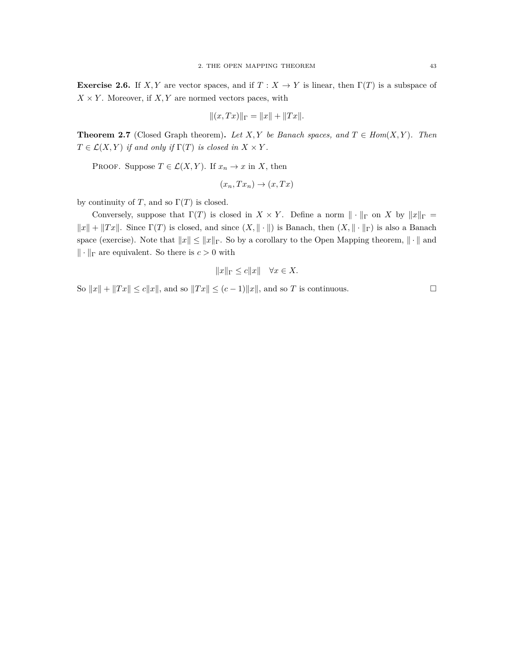**Exercise 2.6.** If *X, Y* are vector spaces, and if  $T : X \to Y$  is linear, then  $\Gamma(T)$  is a subspace of  $X \times Y$ . Moreover, if  $X, Y$  are normed vectors paces, with

$$
||(x,Tx)||_{\Gamma} = ||x|| + ||Tx||.
$$

**Theorem 2.7** (Closed Graph theorem). Let *X,Y* be Banach spaces, and  $T \in Hom(X, Y)$ . Then  $T \in \mathcal{L}(X, Y)$  *if and only if*  $\Gamma(T)$  *is closed in*  $X \times Y$ *.* 

PROOF. Suppose  $T \in \mathcal{L}(X, Y)$ . If  $x_n \to x$  in X, then

$$
(x_n, Tx_n) \to (x, Tx)
$$

by continuity of *T*, and so  $\Gamma(T)$  is closed.

Conversely, suppose that  $\Gamma(T)$  is closed in *X* × *Y*. Define a norm  $\|\cdot\|_{\Gamma}$  on *X* by  $\|x\|_{\Gamma}$  =  $||x|| + ||Tx||$ . Since Γ(*T*) is closed, and since  $(X, ∥ · ∥)$  is Banach, then  $(X, ∥ · ∥$ Γ $)$  is also a Banach space (exercise). Note that  $||x|| \le ||x||$ <sub>Γ</sub>. So by a corollary to the Open Mapping theorem,  $|| \cdot ||$  and *∥ · ∥*<sup>Γ</sup> are equivalent. So there is *c >* 0 with

$$
||x||_{\Gamma} \le c||x|| \quad \forall x \in X.
$$

So  $||x|| + ||Tx|| \le c||x||$ , and so  $||Tx|| \le (c-1)||x||$ , and so *T* is continuous.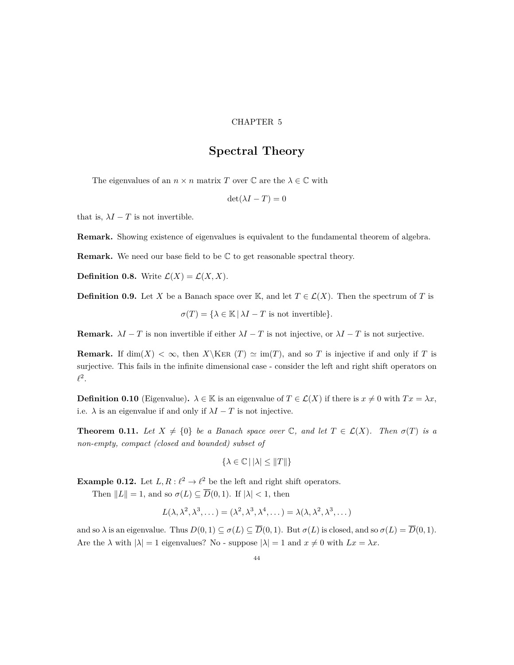#### CHAPTER 5

### **Spectral Theory**

<span id="page-43-0"></span>The eigenvalues of an  $n \times n$  matrix *T* over  $\mathbb C$  are the  $\lambda \in \mathbb C$  with

$$
\det(\lambda I - T) = 0
$$

that is,  $\lambda I - T$  is not invertible.

**Remark.** Showing existence of eigenvalues is equivalent to the fundamental theorem of algebra.

**Remark.** We need our base field to be  $\mathbb C$  to get reasonable spectral theory.

**Definition 0.8.** Write  $\mathcal{L}(X) = \mathcal{L}(X, X)$ .

**Definition 0.9.** Let *X* be a Banach space over K, and let  $T \in \mathcal{L}(X)$ . Then the spectrum of *T* is

 $\sigma(T) = {\lambda \in \mathbb{K} \mid \lambda I - T \text{ is not invertible}}.$ 

**Remark.**  $\lambda I - T$  is non invertible if either  $\lambda I - T$  is not injective, or  $\lambda I - T$  is not surjective.

**Remark.** If  $\dim(X) < \infty$ , then *X* \KER  $(T) \simeq \mathrm{im}(T)$ , and so *T* is injective if and only if *T* is surjective. This fails in the infinite dimensional case - consider the left and right shift operators on  $\ell^2.$ 

**Definition 0.10** (Eigenvalue).  $\lambda \in \mathbb{K}$  is an eigenvalue of  $T \in \mathcal{L}(X)$  if there is  $x \neq 0$  with  $Tx = \lambda x$ , i.e.  $\lambda$  is an eigenvalue if and only if  $\lambda I - T$  is not injective.

**Theorem 0.11.** Let  $X \neq \{0\}$  be a Banach space over  $\mathbb{C}$ , and let  $T \in \mathcal{L}(X)$ . Then  $\sigma(T)$  is a *non-empty, compact (closed and bounded) subset of*

$$
\{\lambda \in \mathbb{C} \,|\, |\lambda| \le \|T\|\}
$$

**Example 0.12.** Let  $L, R: \ell^2 \to \ell^2$  be the left and right shift operators.

Then  $||L|| = 1$ , and so  $\sigma(L) \subseteq \overline{D}(0, 1)$ . If  $|\lambda| < 1$ , then

$$
L(\lambda, \lambda^2, \lambda^3, \dots) = (\lambda^2, \lambda^3, \lambda^4, \dots) = \lambda(\lambda, \lambda^2, \lambda^3, \dots)
$$

and so  $\lambda$  is an eigenvalue. Thus  $D(0,1) \subseteq \sigma(L) \subseteq \overline{D}(0,1)$ . But  $\sigma(L)$  is closed, and so  $\sigma(L) = \overline{D}(0,1)$ . Are the  $\lambda$  with  $|\lambda| = 1$  eigenvalues? No - suppose  $|\lambda| = 1$  and  $x \neq 0$  with  $Lx = \lambda x$ .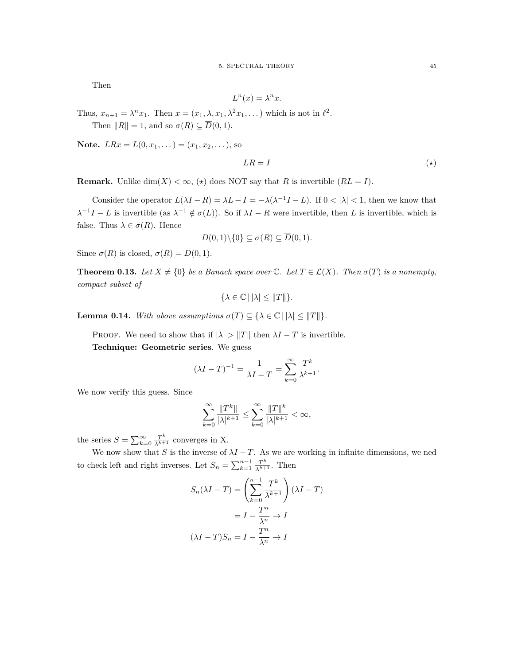Then

$$
L^n(x) = \lambda^n x.
$$

Thus,  $x_{n+1} = \lambda^n x_1$ . Then  $x = (x_1, \lambda, x_1, \lambda^2 x_1, \dots)$  which is not in  $\ell^2$ .

Then  $||R|| = 1$ , and so  $\sigma(R) \subseteq \overline{D}(0, 1)$ .

**Note.**  $LRx = L(0, x_1, \dots) = (x_1, x_2, \dots)$ , so

$$
LR = I \tag{(*)}
$$

**Remark.** Unlike dim(*X*)  $< \infty$ , ( $\star$ ) does NOT say that *R* is invertible (*RL* = *I*).

Consider the operator  $L(\lambda I - R) = \lambda L - I = -\lambda(\lambda^{-1}I - L)$ . If  $0 < |\lambda| < 1$ , then we know that  $\lambda^{-1}I - L$  is invertible (as  $\lambda^{-1} \notin \sigma(L)$ ). So if  $\lambda I - R$  were invertible, then *L* is invertible, which is false. Thus  $\lambda \in \sigma(R)$ . Hence

$$
D(0,1)\backslash\{0\} \subseteq \sigma(R) \subseteq \overline{D}(0,1).
$$

Since  $\sigma(R)$  is closed,  $\sigma(R) = \overline{D}(0,1)$ .

**Theorem 0.13.** Let  $X \neq \{0\}$  be a Banach space over C. Let  $T \in \mathcal{L}(X)$ . Then  $\sigma(T)$  is a nonempty, *compact subset of*

$$
\{\lambda \in \mathbb{C} \,|\, |\lambda| \leq \|T\|\}.
$$

**Lemma 0.14.** *With above assumptions*  $\sigma(T) \subseteq {\lambda \in \mathbb{C} \mid |\lambda| \leq ||T||}.$ 

PROOF. We need to show that if  $|\lambda| > ||T||$  then  $\lambda I - T$  is invertible. **Technique: Geometric series**. We guess

$$
(\lambda I - T)^{-1} = \frac{1}{\lambda I - T} = \sum_{k=0}^{\infty} \frac{T^k}{\lambda^{k+1}}.
$$

We now verify this guess. Since

$$
\sum_{k=0}^{\infty} \frac{\|T^k\|}{|\lambda|^{k+1}} \le \sum_{k=0}^{\infty} \frac{\|T\|^k}{|\lambda|^{k+1}} < \infty,
$$

the series  $S = \sum_{k=0}^{\infty} \frac{T^k}{\lambda^{k+1}}$  converges in X.

We now show that *S* is the inverse of  $\lambda I - T$ . As we are working in infinite dimensions, we ned to check left and right inverses. Let  $S_n = \sum_{k=1}^{n-1} \frac{T^k}{\lambda^{k+1}}$ . Then

$$
S_n(\lambda I - T) = \left(\sum_{k=0}^{n-1} \frac{T^k}{\lambda^{k+1}}\right)(\lambda I - T)
$$

$$
= I - \frac{T^n}{\lambda^n} \to I
$$

$$
(\lambda I - T)S_n = I - \frac{T^n}{\lambda^n} \to I
$$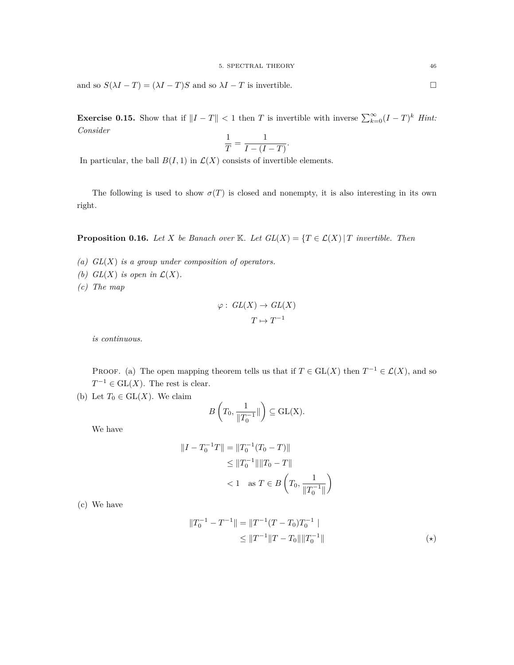and so  $S(\lambda I - T) = (\lambda I - T)S$  and so  $\lambda I - T$  is invertible.

**Exercise 0.15.** Show that if  $||I - T|| < 1$  then *T* is invertible with inverse  $\sum_{k=0}^{\infty} (I - T)^k$  *Hint: Consider*

$$
\frac{1}{T} = \frac{1}{I - (I - T)}.
$$

In particular, the ball  $B(I, 1)$  in  $\mathcal{L}(X)$  consists of invertible elements.

The following is used to show  $\sigma(T)$  is closed and nonempty, it is also interesting in its own right.

**Proposition 0.16.** *Let X be Banach over* K*. Let*  $GL(X) = \{T \in \mathcal{L}(X) | T \text{ invertible. Then}$ 

- *(a) GL*(*X*) *is a group under composition of operators.*
- *(b)*  $GL(X)$  *is open in*  $\mathcal{L}(X)$ *.*
- *(c) The map*

$$
\varphi: GL(X) \to GL(X)
$$

$$
T \mapsto T^{-1}
$$

*is continuous.*

PROOF. (a) The open mapping theorem tells us that if  $T \in GL(X)$  then  $T^{-1} \in \mathcal{L}(X)$ , and so  $T^{-1} \in GL(X)$ . The rest is clear.

(b) Let  $T_0 \in GL(X)$ . We claim

$$
B\left(T_0, \frac{1}{\|T_0^{-1}}\|\right) \subseteq \mathrm{GL}(\mathrm{X}).
$$

We have

$$
||I - T_0^{-1}T|| = ||T_0^{-1}(T_0 - T)||
$$
  
\n
$$
\leq ||T_0^{-1}|| ||T_0 - T||
$$
  
\n
$$
< 1 \text{ as } T \in B\left(T_0, \frac{1}{||T_0^{-1}||}\right)
$$

(c) We have

$$
||T_0^{-1} - T^{-1}|| = ||T^{-1}(T - T_0)T_0^{-1}||
$$
  
\n
$$
\le ||T^{-1}||T - T_0|| ||T_0^{-1}||
$$
\n(\*)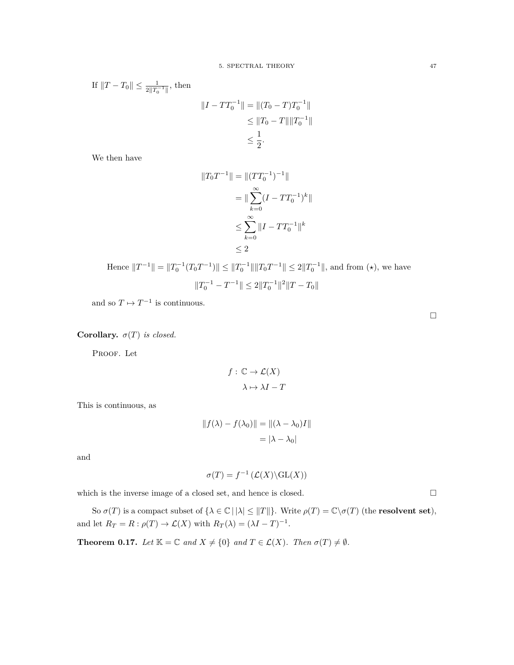If  $||T - T_0|| \leq \frac{1}{2||T_0^{-1}||}$ , then

$$
||I - TT_0^{-1}|| = ||(T_0 - T)T_0^{-1}||
$$
  
\n
$$
\le ||T_0 - T|| ||T_0^{-1}||
$$
  
\n
$$
\le \frac{1}{2}.
$$

We then have

$$
||T_0T^{-1}|| = ||(TT_0^{-1})^{-1}||
$$
  
= 
$$
||\sum_{k=0}^{\infty} (I - TT_0^{-1})^k||
$$
  

$$
\leq \sum_{k=0}^{\infty} ||I - TT_0^{-1}||^k
$$
  

$$
\leq 2
$$

Hence 
$$
||T^{-1}|| = ||T_0^{-1}(T_0T^{-1})|| \le ||T_0^{-1}|| ||T_0T^{-1}|| \le 2||T_0^{-1}||
$$
, and from  $(\star)$ , we have  

$$
||T_0^{-1} - T^{-1}|| \le 2||T_0^{-1}||^2||T - T_0||
$$

and so  $T \mapsto T^{-1}$  is continuous.

**Corollary.**  $\sigma(T)$  *is closed.* 

PROOF. Let

$$
f: \mathbb{C} \to \mathcal{L}(X)
$$

$$
\lambda \mapsto \lambda I - T
$$

This is continuous, as

$$
||f(\lambda) - f(\lambda_0)|| = ||(\lambda - \lambda_0)I||
$$
  
=  $|\lambda - \lambda_0|$ 

and

$$
\sigma(T) = f^{-1}(\mathcal{L}(X) \backslash \mathrm{GL}(X))
$$

which is the inverse image of a closed set, and hence is closed.  $\square$ 

So  $\sigma(T)$  is a compact subset of  $\{\lambda \in \mathbb{C} \mid |\lambda| \leq ||T||\}$ . Write  $\rho(T) = \mathbb{C} \setminus \sigma(T)$  (the **resolvent set**), and let  $R_T = R : \rho(T) \to \mathcal{L}(X)$  with  $R_T(\lambda) = (\lambda I - T)^{-1}$ .

**Theorem 0.17.** *Let*  $K = \mathbb{C}$  *and*  $X \neq \{0\}$  *and*  $T \in \mathcal{L}(X)$ *. Then*  $\sigma(T) \neq \emptyset$ *.* 

 $\Box$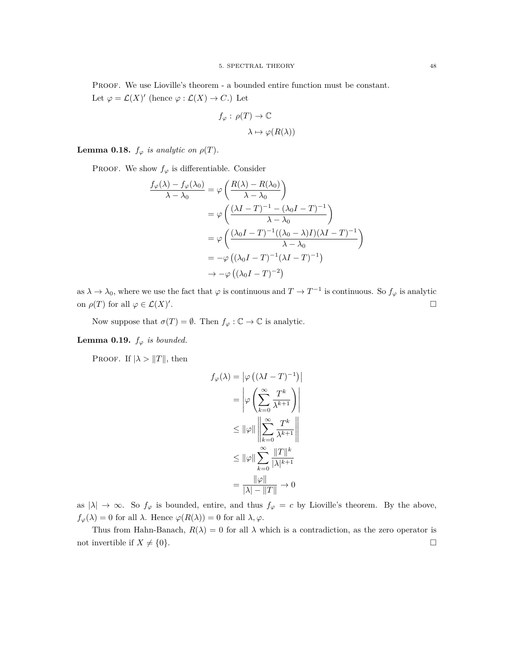PROOF. We use Lioville's theorem - a bounded entire function must be constant. Let  $\varphi = \mathcal{L}(X)'$  (hence  $\varphi : \mathcal{L}(X) \to C$ .) Let

$$
f_{\varphi}: \rho(T) \to \mathbb{C}
$$

$$
\lambda \mapsto \varphi(R(\lambda))
$$

**Lemma 0.18.**  $f_{\varphi}$  *is analytic on*  $\rho(T)$ *.* 

PROOF. We show  $f_{\varphi}$  is differentiable. Consider

$$
\frac{f_{\varphi}(\lambda) - f_{\varphi}(\lambda_0)}{\lambda - \lambda_0} = \varphi \left( \frac{R(\lambda) - R(\lambda_0)}{\lambda - \lambda_0} \right)
$$
  
\n
$$
= \varphi \left( \frac{(\lambda I - T)^{-1} - (\lambda_0 I - T)^{-1}}{\lambda - \lambda_0} \right)
$$
  
\n
$$
= \varphi \left( \frac{(\lambda_0 I - T)^{-1} ((\lambda_0 - \lambda)I)(\lambda I - T)^{-1}}{\lambda - \lambda_0} \right)
$$
  
\n
$$
= -\varphi \left( (\lambda_0 I - T)^{-1} (\lambda I - T)^{-1} \right)
$$
  
\n
$$
\rightarrow -\varphi \left( (\lambda_0 I - T)^{-2} \right)
$$

as  $\lambda \to \lambda_0$ , where we use the fact that  $\varphi$  is continuous and  $T \to T^{-1}$  is continuous. So  $f_\varphi$  is analytic on  $\rho(T)$  for all  $\varphi \in \mathcal{L}(X)'$ .

Now suppose that  $\sigma(T) = \emptyset$ . Then  $f_{\varphi} : \mathbb{C} \to \mathbb{C}$  is analytic.

**Lemma 0.19.**  $f_{\varphi}$  *is bounded.* 

PROOF. If  $|\lambda > ||T||$ , then

$$
f_{\varphi}(\lambda) = |\varphi\left((\lambda I - T)^{-1}\right)|
$$
  

$$
= |\varphi\left(\sum_{k=0}^{\infty} \frac{T^k}{\lambda^{k+1}}\right)|
$$
  

$$
\leq ||\varphi|| \left\|\sum_{k=0}^{\infty} \frac{T^k}{\lambda^{k+1}}\right\|
$$
  

$$
\leq ||\varphi|| \sum_{k=0}^{\infty} \frac{||T||^k}{|\lambda|^{k+1}}
$$
  

$$
= \frac{||\varphi||}{|\lambda| - ||T||} \to 0
$$

as  $|\lambda| \to \infty$ . So  $f_{\varphi}$  is bounded, entire, and thus  $f_{\varphi} = c$  by Lioville's theorem. By the above,  $f_{\varphi}(\lambda) = 0$  for all  $\lambda$ . Hence  $\varphi(R(\lambda)) = 0$  for all  $\lambda, \varphi$ .

Thus from Hahn-Banach,  $R(\lambda) = 0$  for all  $\lambda$  which is a contradiction, as the zero operator is not invertible if  $X \neq \{0\}$ .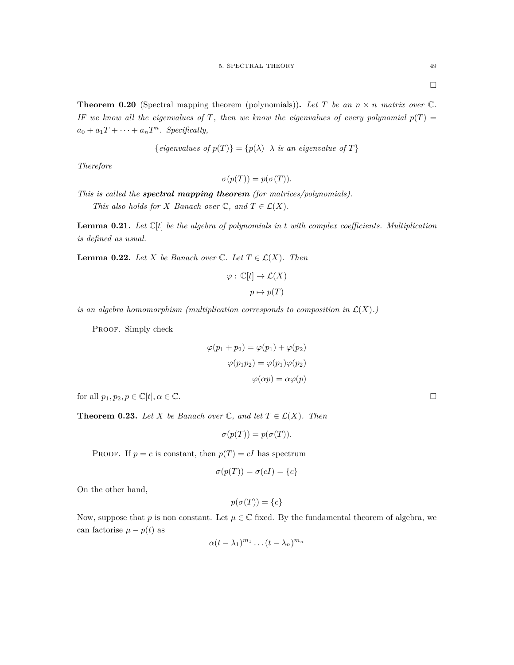**Theorem 0.20** (Spectral mapping theorem (polynomials)). Let T be an  $n \times n$  matrix over  $\mathbb{C}$ . *IF we know all the eigenvalues of T*, then we know the eigenvalues of every polynomial  $p(T)$  =  $a_0 + a_1T + \cdots + a_nT^n$ . Specifically,

{eigenvalues of 
$$
p(T)
$$
} = { $p(\lambda)$  |  $\lambda$  is an eigenvalue of T}

*Therefore*

$$
\sigma(p(T)) = p(\sigma(T)).
$$

*This is called the spectral mapping theorem (for matrices/polynomials). This also holds for X Banach over*  $\mathbb{C}$ *, and*  $T \in \mathcal{L}(X)$ *.* 

**Lemma 0.21.** Let  $\mathbb{C}[t]$  be the algebra of polynomials in  $t$  with complex coefficients. Multiplication *is defined as usual.*

**Lemma 0.22.** *Let*  $X$  *be Banach over*  $\mathbb{C}$ *. Let*  $T \in \mathcal{L}(X)$ *. Then* 

$$
\varphi : \mathbb{C}[t] \to \mathcal{L}(X)
$$

$$
p \mapsto p(T)
$$

*is an algebra homomorphism (multiplication corresponds to composition in*  $\mathcal{L}(X)$ *.)* 

PROOF. Simply check

$$
\varphi(p_1 + p_2) = \varphi(p_1) + \varphi(p_2)
$$

$$
\varphi(p_1 p_2) = \varphi(p_1)\varphi(p_2)
$$

$$
\varphi(\alpha p) = \alpha \varphi(p)
$$

for all  $p_1, p_2, p \in \mathbb{C}[t], \alpha \in \mathbb{C}$ .

**Theorem 0.23.** *Let*  $X$  *be Banach over*  $\mathbb{C}$ *, and let*  $T \in \mathcal{L}(X)$ *. Then* 

$$
\sigma(p(T)) = p(\sigma(T)).
$$

PROOF. If  $p = c$  is constant, then  $p(T) = cI$  has spectrum

$$
\sigma(p(T)) = \sigma(cI) = \{c\}
$$

On the other hand,

$$
p(\sigma(T)) = \{c\}
$$

Now, suppose that *p* is non constant. Let  $\mu \in \mathbb{C}$  fixed. By the fundamental theorem of algebra, we can factorise  $\mu - p(t)$  as

$$
\alpha(t-\lambda_1)^{m_1}\dots(t-\lambda_n)^{m_n}
$$

 $\Box$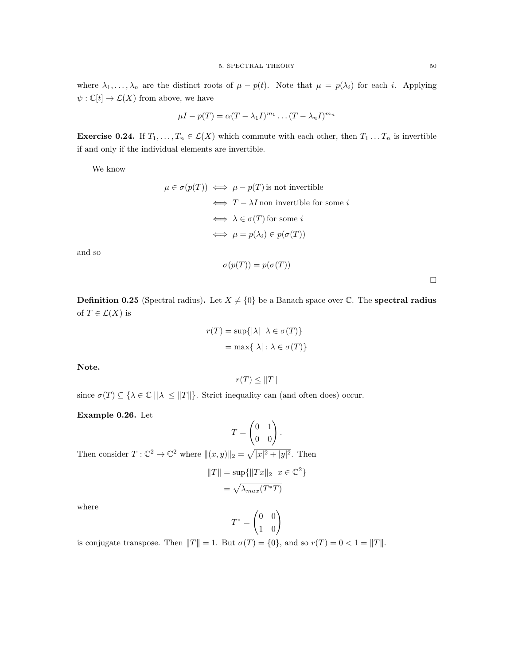where  $\lambda_1, \ldots, \lambda_n$  are the distinct roots of  $\mu - p(t)$ . Note that  $\mu = p(\lambda_i)$  for each *i*. Applying  $\psi : \mathbb{C}[t] \to \mathcal{L}(X)$  from above, we have

$$
\mu I - p(T) = \alpha (T - \lambda_1 I)^{m_1} \dots (T - \lambda_n I)^{m_n}
$$

**Exercise 0.24.** If  $T_1, \ldots, T_n \in \mathcal{L}(X)$  which commute with each other, then  $T_1 \ldots T_n$  is invertible if and only if the individual elements are invertible.

We know

$$
\mu \in \sigma(p(T)) \iff \mu - p(T) \text{ is not invertible}
$$
\n
$$
\iff T - \lambda I \text{ non invertible for some } i
$$
\n
$$
\iff \lambda \in \sigma(T) \text{ for some } i
$$
\n
$$
\iff \mu = p(\lambda_i) \in p(\sigma(T))
$$

and so

$$
\sigma(p(T)) = p(\sigma(T))
$$

 $\Box$ 

**Definition 0.25** (Spectral radius). Let  $X \neq \{0\}$  be a Banach space over  $\mathbb{C}$ . The **spectral radius** of  $T \in \mathcal{L}(X)$  is

$$
r(T) = \sup\{|\lambda| \mid \lambda \in \sigma(T)\}
$$

$$
= \max\{|\lambda| : \lambda \in \sigma(T)\}
$$

**Note.**

$$
r(T) \leq ||T||
$$

since  $\sigma(T) \subseteq {\lambda \in \mathbb{C} \mid |\lambda| \leq ||T||}$ . Strict inequality can (and often does) occur.

**Example 0.26.** Let

$$
T = \begin{pmatrix} 0 & 1 \\ 0 & 0 \end{pmatrix}.
$$

Then consider  $T: \mathbb{C}^2 \to \mathbb{C}^2$  where  $\|(x, y)\|_2 = \sqrt{|x|^2 + |y|^2}$ . Then

$$
||T|| = \sup{||Tx||_2 | x \in \mathbb{C}^2}
$$

$$
= \sqrt{\lambda_{max}(T^*T)}
$$

where

$$
T^* = \begin{pmatrix} 0 & 0 \\ 1 & 0 \end{pmatrix}
$$

is conjugate transpose. Then  $||T|| = 1$ . But  $\sigma(T) = \{0\}$ , and so  $r(T) = 0 < 1 = ||T||$ .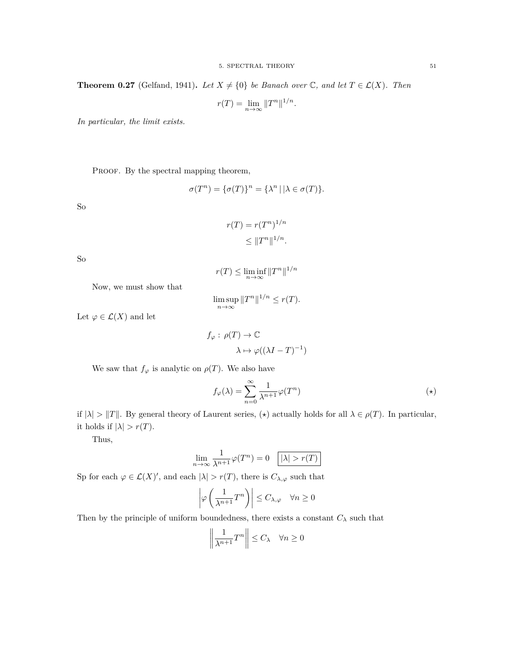**Theorem 0.27** (Gelfand, 1941). *Let*  $X \neq \{0\}$  *be Banach over*  $\mathbb{C}$ *, and let*  $T \in \mathcal{L}(X)$ *. Then* 

$$
r(T) = \lim_{n \to \infty} ||T^n||^{1/n}.
$$

*In particular, the limit exists.*

PROOF. By the spectral mapping theorem,

$$
\sigma(T^n) = \{\sigma(T)\}^n = \{\lambda^n \,|\, |\lambda \in \sigma(T)\}.
$$

So

$$
r(T) = r(T^n)^{1/n}
$$

$$
\leq ||T^n||^{1/n}.
$$

So

$$
r(T) \le \liminf_{n \to \infty} ||T^n||^{1/n}
$$

Now, we must show that

$$
\limsup_{n \to \infty} ||T^n||^{1/n} \le r(T).
$$

Let  $\varphi \in \mathcal{L}(X)$  and let

$$
f_{\varphi}: \rho(T) \to \mathbb{C}
$$

$$
\lambda \mapsto \varphi((\lambda I - T)^{-1})
$$

We saw that  $f_{\varphi}$  is analytic on  $\rho(T)$ . We also have

$$
f_{\varphi}(\lambda) = \sum_{n=0}^{\infty} \frac{1}{\lambda^{n+1}} \varphi(T^n)
$$
 (\*)

if  $|\lambda| > ||T||$ . By general theory of Laurent series,  $(\star)$  actually holds for all  $\lambda \in \rho(T)$ . In particular, it holds if  $|\lambda| > r(T)$ .

Thus,

$$
\lim_{n \to \infty} \frac{1}{\lambda^{n+1}} \varphi(T^n) = 0 \quad \boxed{|\lambda| > r(T)}
$$

Sp for each  $\varphi \in \mathcal{L}(X)'$ , and each  $|\lambda| > r(T)$ , there is  $C_{\lambda,\varphi}$  such that

$$
\left|\varphi\left(\frac{1}{\lambda^{n+1}}T^n\right)\right| \le C_{\lambda,\varphi} \quad \forall n \ge 0
$$

Then by the principle of uniform boundedness, there exists a constant  $C_{\lambda}$  such that

$$
\left\|\frac{1}{\lambda^{n+1}}T^n\right\| \le C_\lambda \quad \forall n \ge 0
$$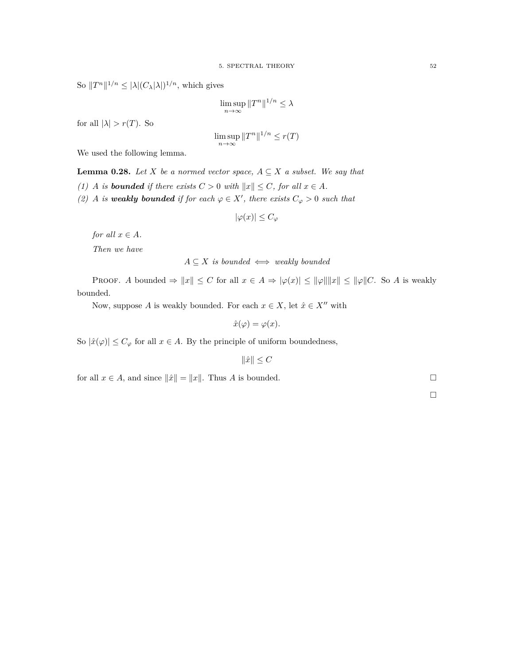So  $||T^n||^{1/n} \leq |\lambda|(C_{\lambda}|\lambda|)^{1/n}$ , which gives

$$
\limsup_{n \to \infty} ||T^n||^{1/n} \le \lambda
$$

for all  $|\lambda| > r(T)$ . So

$$
\limsup_{n \to \infty} ||T^n||^{1/n} \le r(T)
$$

We used the following lemma.

**Lemma 0.28.** *Let X be a normed vector space,*  $A \subseteq X$  *a subset. We say that* 

*(1) A is bounded* if there exists  $C > 0$  *with*  $||x|| \leq C$ *, for all*  $x \in A$ *.* 

*(2) A is weakly bounded* if for each  $\varphi \in X'$ , there exists  $C_{\varphi} > 0$  such that

$$
|\varphi(x)| \le C_{\varphi}
$$

*for all*  $x \in A$ *.* 

*Then we have*

### $A \subseteq X$  *is bounded*  $\iff$  *weakly bounded*

PROOF. *A* bounded  $\Rightarrow$   $||x|| \leq C$  for all  $x \in A \Rightarrow |\varphi(x)| \leq ||\varphi|| ||x|| \leq ||\varphi|| C$ . So *A* is weakly bounded.

Now, suppose *A* is weakly bounded. For each  $x \in X$ , let  $\hat{x} \in X''$  with

$$
\hat{x}(\varphi) = \varphi(x).
$$

So  $|\hat{x}(\varphi)| \leq C_{\varphi}$  for all  $x \in A$ . By the principle of uniform boundedness,

$$
\|\hat{x}\| \le C
$$

for all  $x \in A$ , and since  $||\hat{x}|| = ||x||$ . Thus *A* is bounded.

 $\Box$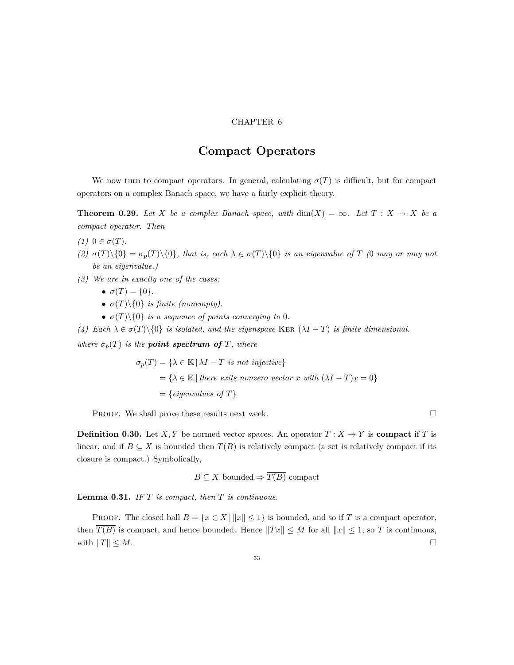#### CHAPTER 6

### **Compact Operators**

<span id="page-52-0"></span>We now turn to compact operators. In general, calculating  $\sigma(T)$  is difficult, but for compact operators on a complex Banach space, we have a fairly explicit theory.

**Theorem 0.29.** Let *X* be a complex Banach space, with  $\dim(X) = \infty$ . Let  $T : X \to X$  be a *compact operator. Then*

- *(1)*  $0 \in \sigma(T)$ *.*
- (2)  $\sigma(T)\setminus\{0\} = \sigma_p(T)\setminus\{0\}$ , that is, each  $\lambda \in \sigma(T)\setminus\{0\}$  is an eigenvalue of T (0 may or may not *be an eigenvalue.)*
- *(3) We are in exactly one of the cases:*
	- $\sigma(T) = \{0\}.$
	- $\sigma(T)\setminus\{0\}$  *is finite (nonempty).*
	- $\sigma(T)\$  *is a sequence of points converging to* 0*.*

*(4)* Each  $\lambda \in \sigma(T) \setminus \{0\}$  *is isolated, and the eigenspace* KER ( $\lambda I - T$ ) *is finite dimensional.* 

*where*  $\sigma_p(T)$  *is the point spectrum of T, where* 

$$
\sigma_p(T) = \{ \lambda \in \mathbb{K} \mid \lambda I - T \text{ is not injective} \}
$$
  
=  $\{ \lambda \in \mathbb{K} \mid \text{there exists nonzero vector } x \text{ with } (\lambda I - T)x = 0 \}$   
=  $\{ \text{eigenvalues of } T \}$ 

PROOF. We shall prove these results next week.

**Definition 0.30.** Let *X, Y* be normed vector spaces. An operator  $T : X \to Y$  is **compact** if *T* is linear, and if  $B \subseteq X$  is bounded then  $T(B)$  is relatively compact (a set is relatively compact if its closure is compact.) Symbolically,

 $B \subseteq X$  bounded  $\Rightarrow \overline{T(B)}$  compact

**Lemma 0.31.** *IF T is compact, then T is continuous.*

PROOF. The closed ball  $B = \{x \in X \mid ||x|| \leq 1\}$  is bounded, and so if *T* is a compact operator, then  $T(B)$  is compact, and hence bounded. Hence  $||Tx|| \leq M$  for all  $||x|| \leq 1$ , so *T* is continuous, with  $||T|| \leq M$ .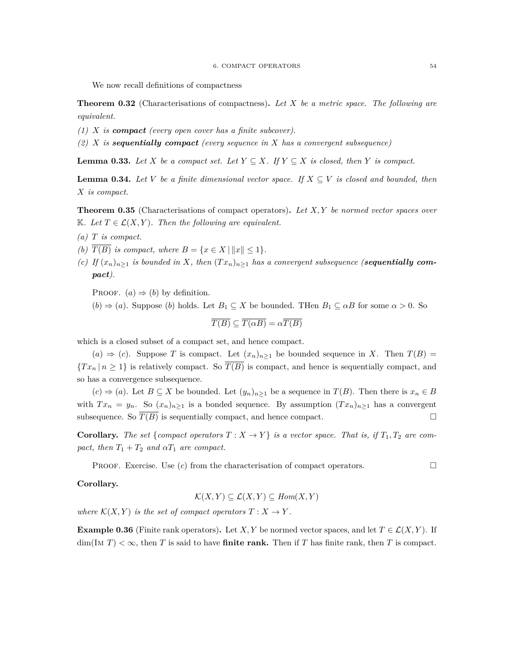We now recall definitions of compactness

**Theorem 0.32** (Characterisations of compactness)**.** *Let X be a metric space. The following are equivalent.*

*(1) X is compact (every open cover has a finite subcover).*

*(2) X is sequentially compact (every sequence in X has a convergent subsequence)*

**Lemma 0.33.** *Let*  $X$  *be a compact set. Let*  $Y \subseteq X$ *. If*  $Y \subseteq X$  *is closed, then*  $Y$  *is compact.* 

**Lemma 0.34.** Let *V* be a finite dimensional vector space. If  $X \subseteq V$  is closed and bounded, then *X is compact.*

<span id="page-53-0"></span>**Theorem 0.35** (Characterisations of compact operators)**.** *Let X, Y be normed vector spaces over*  $\mathbb{K}$ *. Let*  $T \in \mathcal{L}(X, Y)$ *. Then the following are equivalent.* 

- *(a) T is compact.*
- *(b)*  $\overline{T(B)}$  *is compact, where*  $B = \{x \in X \mid ||x|| \leq 1\}$ *.*
- *(c)* If  $(x_n)_{n\geq 1}$  *is bounded in X, then*  $(Tx_n)_{n\geq 1}$  *has a convergent subsequence (<i>sequentially compact).*

PROOF.  $(a) \Rightarrow (b)$  by definition.

 $(b) \Rightarrow (a)$ . Suppose  $(b)$  holds. Let  $B_1 \subseteq X$  be bounded. Then  $B_1 \subseteq \alpha B$  for some  $\alpha > 0$ . So

$$
\overline{T(B)} \subseteq \overline{T(\alpha B)} = \alpha \overline{T(B)}
$$

which is a closed subset of a compact set, and hence compact.

(*a*)  $\Rightarrow$  (*c*). Suppose *T* is compact. Let  $(x_n)_{n\geq 1}$  be bounded sequence in *X*. Then *T*(*B*) =  ${T x_n | n \geq 1}$  is relatively compact. So  $\overline{T(B)}$  is compact, and hence is sequentially compact, and so has a convergence subsequence.

 $(c)$  ⇒ (*a*). Let *B* ⊆ *X* be bounded. Let  $(y_n)_{n\geq 1}$  be a sequence in *T*(*B*). Then there is  $x_n \in B$ with  $Tx_n = y_n$ . So  $(x_n)_{n\geq 1}$  is a bonded sequence. By assumption  $(Tx_n)_{n\geq 1}$  has a convergent subsequence. So  $\overline{T(B)}$  is sequentially compact, and hence compact.

**Corollary.** The set {compact operators  $T : X \to Y$ } is a vector space. That is, if  $T_1, T_2$  are com*pact, then*  $T_1 + T_2$  *and*  $\alpha T_1$  *are compact.* 

**PROOF.** Exercise. Use  $(c)$  from the characterisation of compact operators.

#### **Corollary.**

$$
\mathcal{K}(X,Y) \subseteq \mathcal{L}(X,Y) \subseteq \text{Hom}(X,Y)
$$

*where*  $\mathcal{K}(X, Y)$  *is the set of compact operators*  $T: X \to Y$ *.* 

**Example 0.36** (Finite rank operators). Let *X, Y* be normed vector spaces, and let  $T \in \mathcal{L}(X, Y)$ . If  $\dim(\text{Im } T) < \infty$ , then *T* is said to have **finite rank.** Then if *T* has finite rank, then *T* is compact.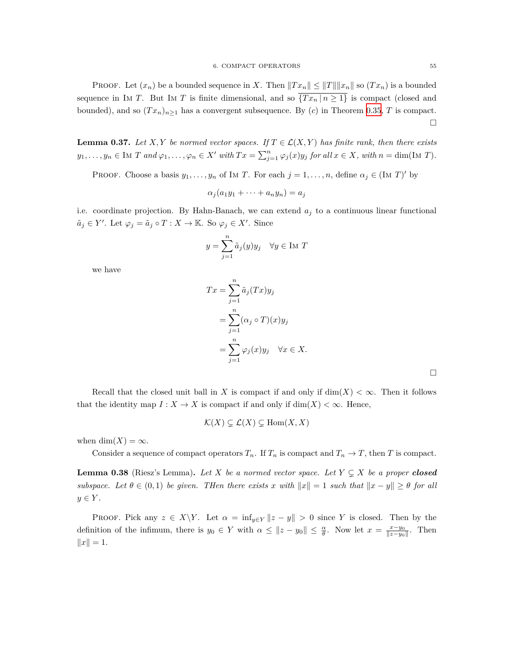PROOF. Let  $(x_n)$  be a bounded sequence in *X*. Then  $||Tx_n|| \le ||T|| ||x_n||$  so  $(Tx_n)$  is a bounded sequence in IM *T*. But IM *T* is finite dimensional, and so  $\overline{\{Tx_n \mid n \geq 1\}}$  is compact (closed and bounded), and so  $(Tx_n)_{n\geq 1}$  has a convergent subsequence. By (*c*) in Theorem [0.35](#page-53-0), *T* is compact.  $\Box$ 

**Lemma 0.37.** *Let*  $X, Y$  *be normed vector spaces. If*  $T \in \mathcal{L}(X, Y)$  *has finite rank, then there exists*  $y_1, \ldots, y_n \in \text{Im } T$  and  $\varphi_1, \ldots, \varphi_n \in X'$  with  $Tx = \sum_{j=1}^n \varphi_j(x) y_j$  for all  $x \in X$ , with  $n = \dim(\text{Im } T)$ .

PROOF. Choose a basis  $y_1, \ldots, y_n$  of Im *T*. For each  $j = 1, \ldots, n$ , define  $\alpha_j \in (\text{Im } T)'$  by

$$
\alpha_j(a_1y_1 + \dots + a_ny_n) = a_j
$$

i.e. coordinate projection. By Hahn-Banach, we can extend  $a_j$  to a continuous linear functional  $a_j \in Y'$ . Let  $\varphi_j = a_j \circ T : X \to \mathbb{K}$ . So  $\varphi_j \in X'$ . Since

$$
y = \sum_{j=1}^{n} \tilde{a}_j(y)y_j \quad \forall y \in \text{Im } T
$$

we have

$$
Tx = \sum_{j=1}^{n} \tilde{a}_j(Tx)y_j
$$
  
= 
$$
\sum_{j=1}^{n} (\alpha_j \circ T)(x)y_j
$$
  
= 
$$
\sum_{j=1}^{n} \varphi_j(x)y_j \quad \forall x \in X.
$$

Recall that the closed unit ball in *X* is compact if and only if  $\dim(X) < \infty$ . Then it follows that the identity map  $I: X \to X$  is compact if and only if  $\dim(X) < \infty$ . Hence,

$$
\mathcal{K}(X) \subsetneq \mathcal{L}(X) \subsetneq \text{Hom}(X, X)
$$

when  $\dim(X) = \infty$ .

Consider a sequence of compact operators  $T_n$ . If  $T_n$  is compact and  $T_n \to T$ , then *T* is compact.

**Lemma 0.38** (Riesz's Lemma). Let *X* be a normed vector space. Let  $Y \subsetneq X$  be a proper **closed** *subspace.* Let  $\theta \in (0,1)$  be given. Then there exists x with  $||x|| = 1$  such that  $||x - y|| \geq \theta$  for all *y ∈ Y .*

PROOF. Pick any  $z \in X \backslash Y$ . Let  $\alpha = \inf_{y \in Y} ||z - y|| > 0$  since *Y* is closed. Then by the definition of the infimum, there is  $y_0 \in Y$  with  $\alpha \leq ||z - y_0|| \leq \frac{\alpha}{\theta}$ . Now let  $x = \frac{x - y_0}{||z - y_0||}$ . Then  $||x|| = 1.$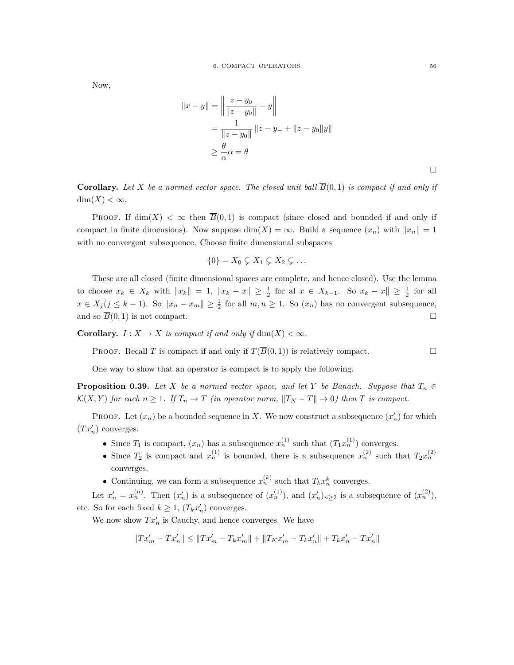Now,

$$
||x - y|| = \left\| \frac{z - y_0}{||z - y_0||} - y \right\|
$$
  
=  $\frac{1}{||z - y_0||} ||z - y_0|| + ||z - y_0||y||$   
 $\ge \frac{\theta}{\alpha} \alpha = \theta$ 

**Corollary.** Let *X* be a normed vector space. The closed unit ball  $\overline{B}(0,1)$  is compact if and only if  $\dim(X) < \infty$ .

PROOF. If dim(X) <  $\infty$  then  $\overline{B}(0,1)$  is compact (since closed and bounded if and only if compact in finite dimensions). Now suppose dim(*X*) =  $\infty$ . Build a sequence  $(x_n)$  with  $||x_n|| = 1$ with no convergent subsequence. Choose finite dimensional subspaces

$$
\{0\} = X_0 \subsetneq X_1 \subsetneq X_2 \subsetneq \dots
$$

These are all closed (finite dimensional spaces are complete, and hence closed). Use the lemma to choose  $x_k \in X_k$  with  $||x_k|| = 1$ ,  $||x_k - x|| \geq \frac{1}{2}$  for all  $x \in X_{k-1}$ . So  $x_k - x|| \geq \frac{1}{2}$  for all  $x \in X_j (j \leq k-1)$ . So  $||x_n - x_m|| \geq \frac{1}{2}$  for all  $m, n \geq 1$ . So  $(x_n)$  has no convergent subsequence, and so  $\overline{B}(0,1)$  is not compact.

**Corollary.**  $I: X \to X$  *is compact if and only if* dim $(X) < \infty$ *.* 

**PROOF.** Recall *T* is compact if and only if  $T(\overline{B}(0,1))$  is relatively compact.

One way to show that an operator is compact is to apply the following.

**Proposition 0.39.** *Let X be a normed vector space, and let Y be Banach. Suppose that*  $T_n \in$  $\mathcal{K}(X,Y)$  for each  $n \geq 1$ . If  $T_n \to T$  (in operator norm,  $||T_N - T|| \to 0$ ) then T is compact.

PROOF. Let  $(x_n)$  be a bounded sequence in X. We now construct a subsequence  $(x'_n)$  for which  $(Tx'_n)$  converges.

- Since  $T_1$  is compact,  $(x_n)$  has a subsequence  $x_n^{(1)}$  such that  $(T_1 x_n^{(1)})$  converges.
- Since  $T_2$  is compact and  $x_n^{(1)}$  is bounded, there is a subsequence  $x_n^{(2)}$  such that  $T_2x_n^{(2)}$ converges.
- Continuing, we can form a subsequence  $x_n^{(k)}$  such that  $T_k x_n^k$  converges.

Let  $x'_n = x_n^{(n)}$ . Then  $(x'_n)$  is a subsequence of  $(x_n^{(1)})$ , and  $(x'_n)_{n \geq 2}$  is a subsequence of  $(x_n^{(2)})$ , etc. So for each fixed  $k \geq 1$ ,  $(T_k x'_n)$  converges.

We now show  $Tx'_n$  is Cauchy, and hence converges. We have

$$
\|Tx_m'-Tx_n'\|\leq \|Tx_m'-T_kx_m'\|+\|T_Kx_m'-T_kx_n'\|+T_kx_n'-Tx_n'\|
$$

 $\Box$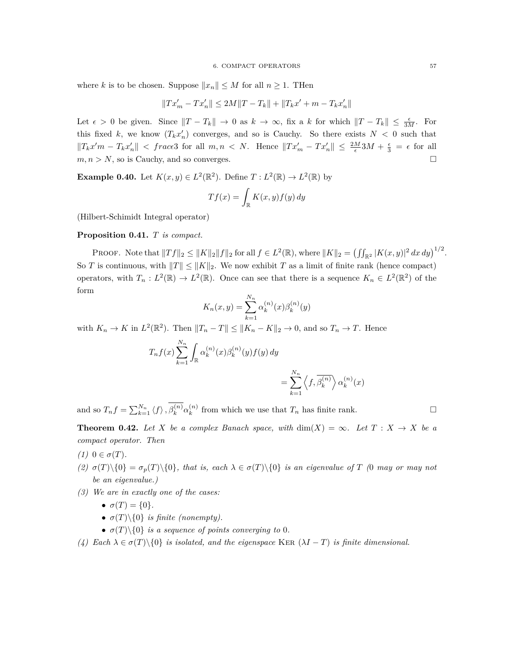where *k* is to be chosen. Suppose  $||x_n|| \leq M$  for all  $n \geq 1$ . Then

 $||Tx'_m - Tx'_n|| \le 2M||T - T_k|| + ||T_kx' + m - T_kx'_n||$ 

Let  $\epsilon > 0$  be given. Since  $||T - T_k|| \to 0$  as  $k \to \infty$ , fix a k for which  $||T - T_k|| \leq \frac{\epsilon}{3M}$ . For this fixed *k*, we know  $(T_k x'_n)$  converges, and so is Cauchy. So there exists  $N < 0$  such that  $||T_kx'm - T_kx'_n||$  < frace3 for all  $m, n \lt N$ . Hence  $||Tx'_m - Tx'_n|| \le \frac{2M}{\epsilon}3M + \frac{\epsilon}{3} = \epsilon$  for all  $m, n > N$ , so is Cauchy, and so converges.

**Example 0.40.** Let  $K(x, y) \in L^2(\mathbb{R}^2)$ . Define  $T: L^2(\mathbb{R}) \to L^2(\mathbb{R})$  by

$$
Tf(x) = \int_{\mathbb{R}} K(x, y) f(y) dy
$$

(Hilbert-Schimidt Integral operator)

**Proposition 0.41.** *T is compact.*

PROOF. Note that  $||Tf||_2 \le ||K||_2||f||_2$  for all  $f \in L^2(\mathbb{R})$ , where  $||K||_2 = (\iint_{\mathbb{R}^2} |K(x,y)|^2 dx dy)^{1/2}$ . So *T* is continuous, with  $||T|| \le ||K||_2$ . We now exhibit *T* as a limit of finite rank (hence compact) operators, with  $T_n: L^2(\mathbb{R}) \to L^2(\mathbb{R})$ . Once can see that there is a sequence  $K_n \in L^2(\mathbb{R}^2)$  of the form

$$
K_n(x, y) = \sum_{k=1}^{N_n} \alpha_k^{(n)}(x) \beta_k^{(n)}(y)
$$

with  $K_n \to K$  in  $L^2(\mathbb{R}^2)$ . Then  $||T_n - T|| \le ||K_n - K||_2 \to 0$ , and so  $T_n \to T$ . Hence

$$
T_n f(x) \sum_{k=1}^{N_n} \int_{\mathbb{R}} \alpha_k^{(n)}(x) \beta_k^{(n)}(y) f(y) dy
$$
  
= 
$$
\sum_{k=1}^{N_n} \left\langle f, \overline{\beta_k^{(n)}} \right\rangle
$$

and so  $T_n f = \sum_{k=1}^{N_n} \langle f \rangle$ ,  $\beta_k^{(n)} \alpha_k^{(n)}$  $\binom{n}{k}$  from which we use that  $T_n$  has finite rank.

**Theorem 0.42.** Let *X* be a complex Banach space, with  $\dim(X) = \infty$ . Let  $T : X \to X$  be a *compact operator. Then*

 $\alpha_k^{(n)}\bigg\rangle \alpha_k^{(n)}$ 

 $\binom{n}{k}(x)$ 

*(1)*  $0 \in \sigma(T)$ *.* 

- (2)  $\sigma(T)\setminus\{0\} = \sigma_n(T)\setminus\{0\}$ , that is, each  $\lambda \in \sigma(T)\setminus\{0\}$  is an eigenvalue of T (0 may or may not *be an eigenvalue.)*
- *(3) We are in exactly one of the cases:*
	- $\sigma(T) = \{0\}.$
	- $\sigma(T)\$  *is finite (nonempty).*
	- $\sigma(T)\$  *is a sequence of points converging to* 0*.*
- *(4) Each λ ∈ σ*(*T*)*\{*0*} is isolated, and the eigenspace* Ker (*λI − T*) *is finite dimensional.*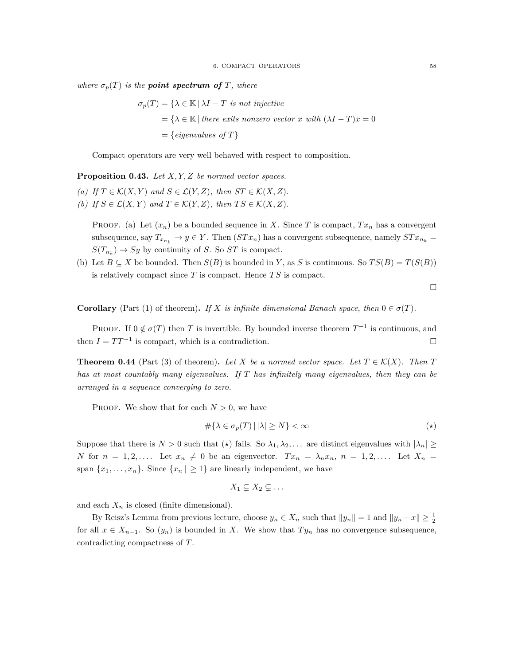*where*  $\sigma_p(T)$  *is the point spectrum of T, where* 

$$
\sigma_p(T) = \{ \lambda \in \mathbb{K} \mid \lambda I - T \text{ is not injective} \}
$$
  
=  $\{ \lambda \in \mathbb{K} \mid \text{there exists nonzero vector } x \text{ with } (\lambda I - T)x = 0 \}$   
= {eigenvalues of  $T \}$ 

Compact operators are very well behaved with respect to composition.

**Proposition 0.43.** *Let X, Y, Z be normed vector spaces.*

- *(a) If*  $T \in K(X, Y)$  *and*  $S \in \mathcal{L}(Y, Z)$ *, then*  $ST \in K(X, Z)$ *.*
- *(b)* If  $S \in \mathcal{L}(X, Y)$  and  $T \in \mathcal{K}(Y, Z)$ , then  $TS \in \mathcal{K}(X, Z)$ .

**PROOF.** (a) Let  $(x_n)$  be a bounded sequence in *X*. Since *T* is compact,  $Tx_n$  has a convergent subsequence, say  $T_{x_{n_k}} \to y \in Y$ . Then  $(STx_n)$  has a convergent subsequence, namely  $STx_{n_k} =$  $S(T_{n_k}) \to Sy$  by continuity of *S*. So *ST* is compact.

(b) Let  $B \subseteq X$  be bounded. Then  $S(B)$  is bounded in *Y*, as *S* is continuous. So  $TS(B) = T(S(B))$ is relatively compact since *T* is compact. Hence *T S* is compact.

 $\Box$ 

**Corollary** (Part (1) of theorem). If *X* is infinite dimensional Banach space, then  $0 \in \sigma(T)$ .

PROOF. If  $0 \notin \sigma(T)$  then *T* is invertible. By bounded inverse theorem  $T^{-1}$  is continuous, and then  $I = TT^{-1}$  is compact, which is a contradiction.  $\square$ 

**Theorem 0.44** (Part (3) of theorem). Let X be a normed vector space. Let  $T \in \mathcal{K}(X)$ . Then T *has at most countably many eigenvalues. If T has infinitely many eigenvalues, then they can be arranged in a sequence converging to zero.*

**PROOF.** We show that for each  $N > 0$ , we have

$$
\#\{\lambda \in \sigma_p(T) \,|\, |\lambda| \ge N\} < \infty \tag{\star}
$$

Suppose that there is  $N > 0$  such that  $(\star)$  fails. So  $\lambda_1, \lambda_2, \ldots$  are distinct eigenvalues with  $|\lambda_n| \geq$ *N* for  $n = 1, 2, \ldots$ . Let  $x_n \neq 0$  be an eigenvector.  $Tx_n = \lambda_n x_n$ ,  $n = 1, 2, \ldots$ . Let  $X_n =$ span  $\{x_1, \ldots, x_n\}$ . Since  $\{x_n | \geq 1\}$  are linearly independent, we have

$$
X_1 \subsetneq X_2 \subsetneq \ldots
$$

and each  $X_n$  is closed (finite dimensional).

By Reisz's Lemma from previous lecture, choose  $y_n \in X_n$  such that  $||y_n|| = 1$  and  $||y_n - x|| \geq \frac{1}{2}$ for all  $x \in X_{n-1}$ . So  $(y_n)$  is bounded in *X*. We show that  $Ty_n$  has no convergence subsequence, contradicting compactness of *T*.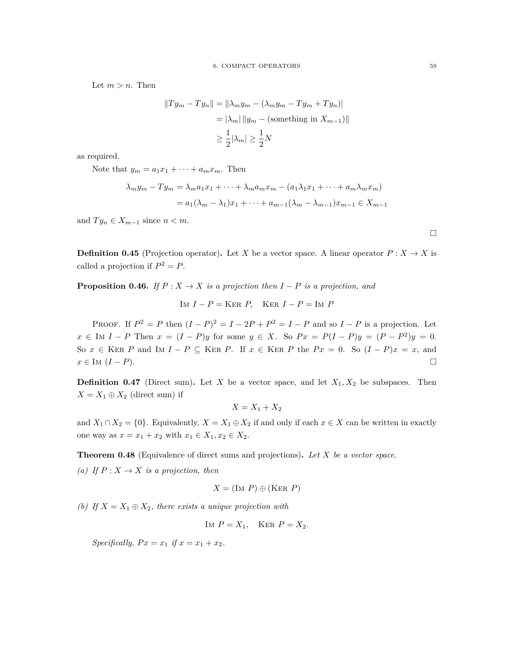Let  $m > n$ . Then

$$
||Ty_m - Ty_n|| = ||\lambda_m y_m - (\lambda_m y_m - Ty_m + Ty_n)|
$$
  
=  $|\lambda_m| ||y_m - \text{(something in } X_{m-1})||$   
 $\ge \frac{1}{2} |\lambda_m| \ge \frac{1}{2} N$ 

as required.

Note that  $y_m = a_1x_1 + \cdots + a_mx_m$ . Then

$$
\lambda_m y_m - T y_m = \lambda_m a_1 x_1 + \dots + \lambda_m a_m x_m - (a_1 \lambda_1 x_1 + \dots + a_m \lambda_m x_m)
$$
  
=  $a_1 (\lambda_m - \lambda_1) x_1 + \dots + a_{m-1} (\lambda_m - \lambda_{m-1}) x_{m-1} \in X_{m-1}$ 

and  $Ty_n \in X_{m-1}$  since  $n < m$ .

**Definition 0.45** (Projection operator). Let *X* be a vector space. A linear operator  $P: X \to X$  is called a projection if  $P^2 = P$ .

**Proposition 0.46.** *If*  $P: X \to X$  *is a projection then*  $I - P$  *is a projection, and* 

$$
Im I - P = \text{Ker } P, \quad \text{Ker } I - P = \text{Im } P
$$

PROOF. If  $P^2 = P$  then  $(I - P)^2 = I - 2P + P^2 = I - P$  and so  $I - P$  is a projection. Let  $x \in \text{Im } I - P$  Then  $x = (I - P)y$  for some  $y \in X$ . So  $Px = P(I - P)y = (P - P^2)y = 0$ . So  $x \in \text{KER } P$  and IM  $I - P \subseteq \text{KER } P$ . If  $x \in \text{KER } P$  the  $Px = 0$ . So  $(I - P)x = x$ , and  $x \in M$  (*I − P*).

**Definition 0.47** (Direct sum). Let *X* be a vector space, and let  $X_1, X_2$  be subspaces. Then  $X = X_1 \oplus X_2$  (direct sum) if

 $X = X_1 + X_2$ 

and  $X_1 \cap X_2 = \{0\}$ . Equivalently,  $X = X_1 \oplus X_2$  if and only if each  $x \in X$  can be written in exactly one way as  $x = x_1 + x_2$  with  $x_1 \in X_1, x_2 \in X_2$ .

**Theorem 0.48** (Equivalence of direct sums and projections)**.** *Let X be a vector space.*

*(a)* If  $P: X \to X$  *is a projection, then* 

$$
X = (\text{Im } P) \oplus (\text{Ker } P)
$$

*(b)* If  $X = X_1 \oplus X_2$ , there exists a unique projection with

IM  $P = X_1$ , KER  $P = X_2$ .

*Specifically,*  $Px = x_1$  *if*  $x = x_1 + x_2$ .

 $\Box$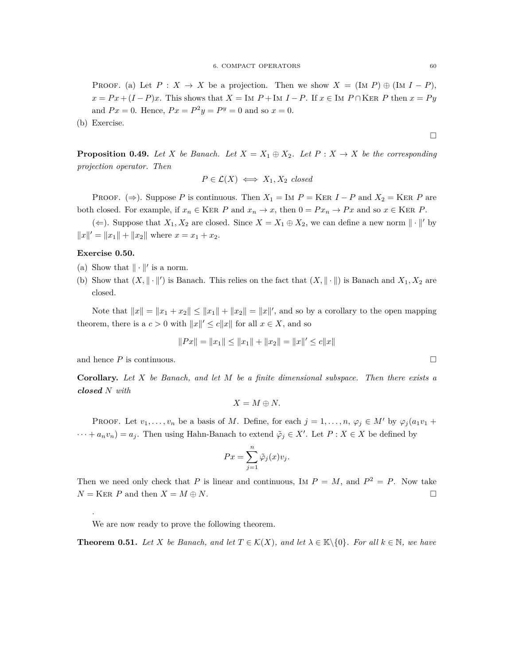PROOF. (a) Let  $P: X \to X$  be a projection. Then we show  $X = (\text{Im } P) \oplus (\text{Im } I - P)$ ,  $x = Px + (I - P)x$ . This shows that  $X = \text{Im } P + \text{Im } I - P$ . If  $x \in \text{Im } P \cap \text{KER } P$  then  $x = Py$ and  $Px = 0$ . Hence,  $Px = P^2y = P^y = 0$  and so  $x = 0$ .

(b) Exercise.

**Proposition 0.49.** Let *X* be Banach. Let  $X = X_1 \oplus X_2$ . Let  $P: X \rightarrow X$  be the corresponding *projection operator. Then*

$$
P \in \mathcal{L}(X) \iff X_1, X_2 \text{ closed}
$$

PROOF. ( $\Rightarrow$ ). Suppose *P* is continuous. Then  $X_1 = \text{Im } P = \text{KER } I - P$  and  $X_2 = \text{KER } P$  are both closed. For example, if  $x_n \in \text{KER } P$  and  $x_n \to x$ , then  $0 = Px_n \to Px$  and so  $x \in \text{KER } P$ .

(*⇐*). Suppose that  $X_1, X_2$  are closed. Since  $X = X_1 \oplus X_2$ , we can define a new norm  $∥ ∘ |$ <sup>*'*</sup> by  $||x||' = ||x_1|| + ||x_2||$  where  $x = x_1 + x_2$ .

#### **Exercise 0.50.**

- (a) Show that  $\|\cdot\|'$  is a norm.
- (b) Show that  $(X, \|\cdot\|')$  is Banach. This relies on the fact that  $(X, \|\cdot\|)$  is Banach and  $X_1, X_2$  are closed.

Note that  $||x|| = ||x_1 + x_2|| \le ||x_1|| + ||x_2|| = ||x||'$ , and so by a corollary to the open mapping theorem, there is a  $c > 0$  with  $||x||' \le c||x||$  for all  $x \in X$ , and so

$$
||Px|| = ||x_1|| \le ||x_1|| + ||x_2|| = ||x||' \le c||x||
$$

and hence  $P$  is continuous.

.

**Corollary.** *Let X be Banach, and let M be a finite dimensional subspace. Then there exists a closed N with*

$$
X = M \oplus N.
$$

PROOF. Let  $v_1, \ldots, v_n$  be a basis of *M*. Define, for each  $j = 1, \ldots, n$ ,  $\varphi_j \in M'$  by  $\varphi_j(a_1v_1 + \varphi_j(a_2v_2))$  $\cdots + a_n v_n = a_j$ . Then using Hahn-Banach to extend  $\tilde{\varphi}_j \in X'$ . Let  $P : X \in X$  be defined by

$$
Px = \sum_{j=1}^{n} \tilde{\varphi}_j(x)v_j.
$$

Then we need only check that *P* is linear and continuous, IM  $P = M$ , and  $P^2 = P$ . Now take  $N =$  KER *P* and then  $X = M \oplus N$ .

We are now ready to prove the following theorem.

**Theorem 0.51.** Let  $X$  be Banach, and let  $T \in \mathcal{K}(X)$ , and let  $\lambda \in \mathbb{K}\setminus\{0\}$ . For all  $k \in \mathbb{N}$ , we have

 $\Box$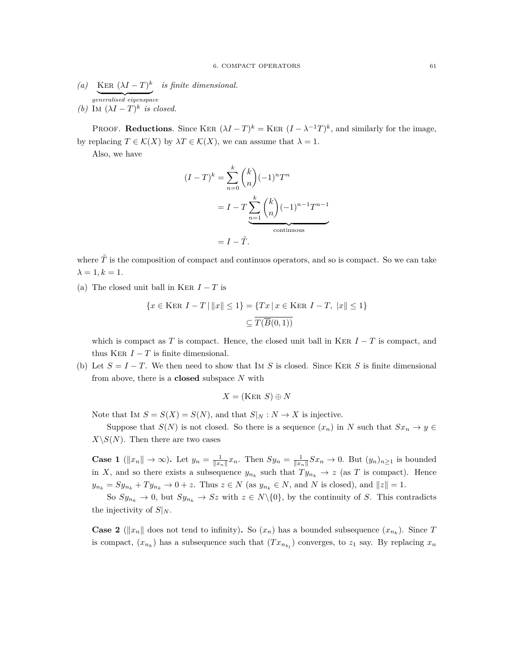*(a)* KER  $(\lambda I - T)^k$  *is finite dimensional.* | {z } *generalised eigenspace (b)* Im  $(\lambda I - T)^k$  *is closed.* 

PROOF. **Reductions**. Since KER  $(\lambda I - T)^k =$  KER  $(I - \lambda^{-1}T)^k$ , and similarly for the image,

by replacing  $T \in \mathcal{K}(X)$  by  $\lambda T \in \mathcal{K}(X)$ , we can assume that  $\lambda = 1$ .

Also, we have

$$
(I - T)^k = \sum_{n=0}^k {k \choose n} (-1)^n T^n
$$

$$
= I - T \sum_{n=1}^k {k \choose n} (-1)^{n-1} T^{n-1}
$$
continuous
$$
= I - \tilde{T}.
$$

where  $\tilde{T}$  is the composition of compact and continuos operators, and so is compact. So we can take  $\lambda = 1, k = 1.$ 

(a) The closed unit ball in KER  $I - T$  is

$$
\{x \in \text{Ker } I - T \mid ||x|| \le 1\} = \{Tx \mid x \in \text{Ker } I - T, ||x|| \le 1\}
$$

$$
\subseteq \overline{T(\overline{B}(0,1))}
$$

which is compact as *T* is compact. Hence, the closed unit ball in KER  $I - T$  is compact, and thus KER  $I - T$  is finite dimensional.

(b) Let  $S = I - T$ . We then need to show that Im *S* is closed. Since KER *S* is finite dimensional from above, there is a **closed** subspace *N* with

$$
X = (\text{Ker } S) \oplus N
$$

Note that IM  $S = S(X) = S(N)$ , and that  $S|_N : N \to X$  is injective.

Suppose that  $S(N)$  is not closed. So there is a sequence  $(x_n)$  in *N* such that  $Sx_n \to y \in$  $X \setminus S(N)$ . Then there are two cases

**Case 1** ( $||x_n|| \to \infty$ ). Let  $y_n = \frac{1}{||x_n||} x_n$ . Then  $Sy_n = \frac{1}{||x_n||} S x_n \to 0$ . But  $(y_n)_{n \geq 1}$  is bounded in *X*, and so there exists a subsequence  $y_{n_k}$  such that  $Ty_{n_k} \to z$  (as *T* is compact). Hence  $y_{n_k} = Sy_{n_k} + Ty_{n_k} \to 0 + z$ . Thus  $z \in N$  (as  $y_{n_k} \in N$ , and N is closed), and  $||z|| = 1$ .

So  $Sy_{n_k} \to 0$ , but  $Sy_{n_k} \to Sz$  with  $z \in N \setminus \{0\}$ , by the continuity of *S*. This contradicts the injectivity of  $S|_N$ .

**Case 2** ( $||x_n||$  does not tend to infinity). So  $(x_n)$  has a bounded subsequence  $(x_{n_k})$ . Since *T* is compact,  $(x_{n_k})$  has a subsequence such that  $(Tx_{n_{k_l}})$  converges, to  $z_1$  say. By replacing  $x_n$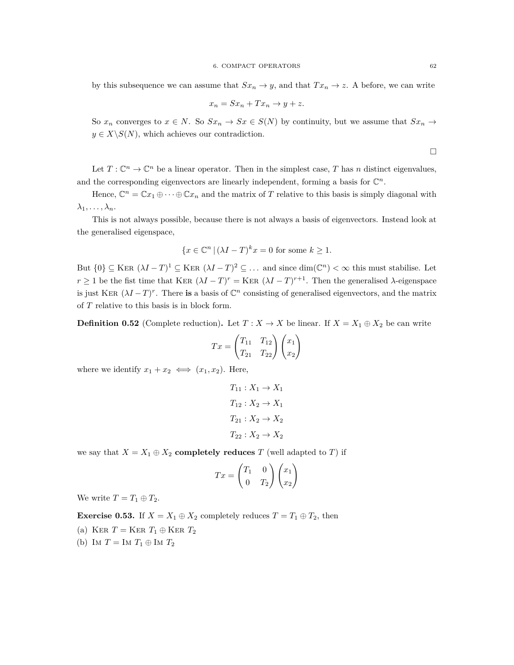by this subsequence we can assume that  $Sx_n \to y$ , and that  $Tx_n \to z$ . A before, we can write

$$
x_n = Sx_n + Tx_n \to y + z.
$$

So  $x_n$  converges to  $x \in N$ . So  $Sx_n \to Sx \in S(N)$  by continuity, but we assume that  $Sx_n \to Sx$  $y \in X \backslash S(N)$ , which achieves our contradiction.

 $\Box$ 

Let  $T: \mathbb{C}^n \to \mathbb{C}^n$  be a linear operator. Then in the simplest case, *T* has *n* distinct eigenvalues, and the corresponding eigenvectors are linearly independent, forming a basis for  $\mathbb{C}^n$ .

Hence,  $\mathbb{C}^n = \mathbb{C}x_1 \oplus \cdots \oplus \mathbb{C}x_n$  and the matrix of *T* relative to this basis is simply diagonal with  $\lambda_1, \ldots, \lambda_n$ .

This is not always possible, because there is not always a basis of eigenvectors. Instead look at the generalised eigenspace,

$$
\{x \in \mathbb{C}^n \,|\, (\lambda I - T)^k x = 0 \text{ for some } k \ge 1.
$$

But  $\{0\} \subseteq \text{KER } (\lambda I - T)^1 \subseteq \text{KER } (\lambda I - T)^2 \subseteq \dots$  and since  $\dim(\mathbb{C}^n) < \infty$  this must stabilise. Let  $r \geq 1$  be the fist time that KER  $(\lambda I - T)^r =$  KER  $(\lambda I - T)^{r+1}$ . Then the generalised  $\lambda$ -eigenspace is just KER  $(\lambda I - T)^r$ . There is a basis of  $\mathbb{C}^n$  consisting of generalised eigenvectors, and the matrix of *T* relative to this basis is in block form.

**Definition 0.52** (Complete reduction). Let  $T : X \to X$  be linear. If  $X = X_1 \oplus X_2$  be can write

$$
Tx = \begin{pmatrix} T_{11} & T_{12} \\ T_{21} & T_{22} \end{pmatrix} \begin{pmatrix} x_1 \\ x_2 \end{pmatrix}
$$

where we identify  $x_1 + x_2 \iff (x_1, x_2)$ . Here,

$$
T_{11}: X_1 \rightarrow X_1
$$

$$
T_{12}: X_2 \rightarrow X_1
$$

$$
T_{21}: X_2 \rightarrow X_2
$$

$$
T_{22}: X_2 \rightarrow X_2
$$

we say that  $X = X_1 \oplus X_2$  **completely reduces**  $T$  (well adapted to  $T$ ) if

$$
Tx = \begin{pmatrix} T_1 & 0 \\ 0 & T_2 \end{pmatrix} \begin{pmatrix} x_1 \\ x_2 \end{pmatrix}
$$

We write  $T = T_1 \oplus T_2$ .

**Exercise 0.53.** If  $X = X_1 \oplus X_2$  completely reduces  $T = T_1 \oplus T_2$ , then

- (a) KER  $T =$  KER  $T_1 \oplus$  KER  $T_2$
- (b) IM  $T = \text{Im } T_1 \oplus \text{Im } T_2$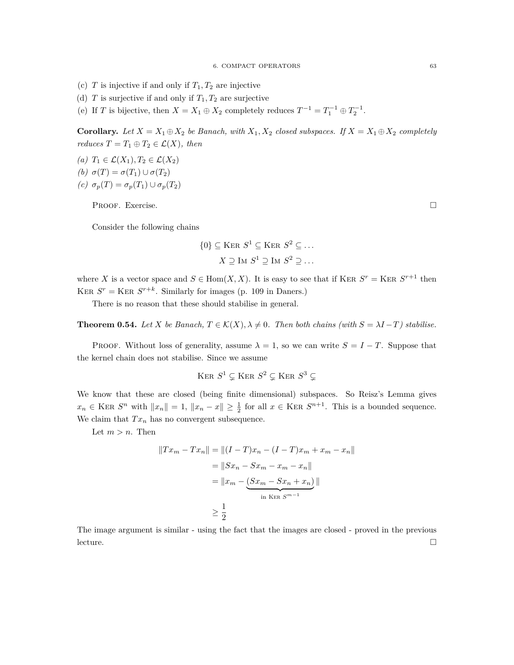- (c) *T* is injective if and only if  $T_1, T_2$  are injective
- (d)  $T$  is surjective if and only if  $T_1, T_2$  are surjective
- (e) If *T* is bijective, then  $X = X_1 \oplus X_2$  completely reduces  $T^{-1} = T_1^{-1} \oplus T_2^{-1}$ .

**Corollary.** Let  $X = X_1 \oplus X_2$  be Banach, with  $X_1, X_2$  closed subspaces. If  $X = X_1 \oplus X_2$  completely *reduces*  $T = T_1 \oplus T_2 \in \mathcal{L}(X)$ *, then* 

- *(a)*  $T_1$  ∈  $\mathcal{L}(X_1)$ ,  $T_2$  ∈  $\mathcal{L}(X_2)$ *(b)*  $σ(T) = σ(T_1) ∪ σ(T_2)$
- *(c)*  $\sigma_p(T) = \sigma_p(T_1) \cup \sigma_p(T_2)$

PROOF. Exercise.

Consider the following chains

$$
\{0\} \subseteq \text{Ker } S^1 \subseteq \text{Ker } S^2 \subseteq \dots
$$

$$
X \supseteq \text{Im } S^1 \supseteq \text{Im } S^2 \supseteq \dots
$$

where *X* is a vector space and  $S \in \text{Hom}(X, X)$ . It is easy to see that if KER  $S^r =$  KER  $S^{r+1}$  then KER  $S^r =$  KER  $S^{r+k}$ . Similarly for images (p. 109 in Daners.)

There is no reason that these should stabilise in general.

**Theorem 0.54.** *Let*  $X$  *be Banach,*  $T \in \mathcal{K}(X)$ ,  $\lambda \neq 0$ . Then both chains (with  $S = \lambda I - T$ ) stabilise.

PROOF. Without loss of generality, assume  $\lambda = 1$ , so we can write  $S = I - T$ . Suppose that the kernel chain does not stabilise. Since we assume

$$
\mathrm{Ker}~S^1 \subsetneq \mathrm{Ker}~S^2 \subsetneq \mathrm{Ker}~S^3 \subsetneq
$$

We know that these are closed (being finite dimensional) subspaces. So Reisz's Lemma gives  $x_n \in \text{KER } S^n$  with  $||x_n|| = 1$ ,  $||x_n - x|| \ge \frac{1}{2}$  for all  $x \in \text{KER } S^{n+1}$ . This is a bounded sequence. We claim that  $Tx_n$  has no convergent subsequence.

Let  $m > n$ . Then

$$
||Tx_m - Tx_n|| = ||(I - T)x_n - (I - T)x_m + x_m - x_n||
$$
  
=  $||Sx_n - Sx_m - x_m - x_n||$   
=  $||x_m - (Sx_m - Sx_n + x_n)||$   
 $\ge \frac{1}{2}$ 

The image argument is similar - using the fact that the images are closed - proved in the previous lecture.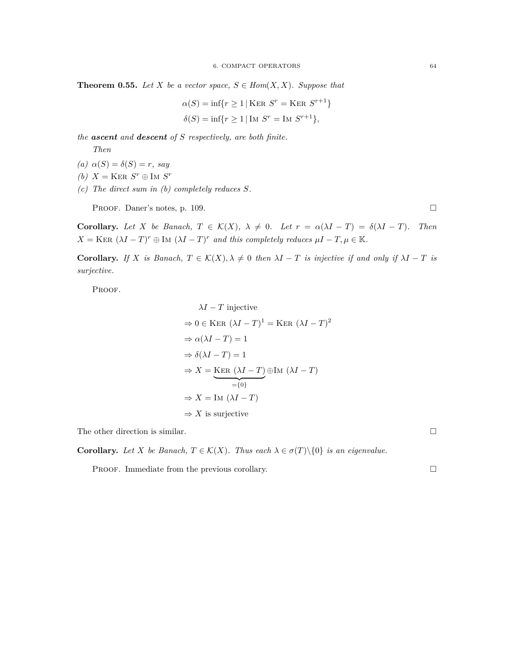**Theorem 0.55.** *Let*  $X$  *be a vector space,*  $S \in Hom(X, X)$ *. Suppose that* 

$$
\alpha(S) = \inf\{r \ge 1 \mid \text{Ker } S^r = \text{Ker } S^{r+1}\}
$$

$$
\delta(S) = \inf\{r \ge 1 \mid \text{Im } S^r = \text{Im } S^{r+1}\},
$$

*the ascent and descent of S respectively, are both finite.*

*Then*

- $(a)$   $\alpha(S) = \delta(S) = r$ *, say*
- *(b)*  $X = \text{Ker } S^r \oplus \text{Im } S^r$
- *(c) The direct sum in (b) completely reduces S.*

PROOF. Daner's notes, p. 109.

**Corollary.** Let X be Banach,  $T \in \mathcal{K}(X)$ ,  $\lambda \neq 0$ . Let  $r = \alpha(\lambda I - T) = \delta(\lambda I - T)$ . Then  $X = \text{KER } (\lambda I - T)^r \oplus \text{Im } (\lambda I - T)^r$  *and this completely reduces*  $\mu I - T, \mu \in \mathbb{K}$ *.* 

**Corollary.** If *X is Banach*,  $T \in \mathcal{K}(X)$ ,  $\lambda \neq 0$  *then*  $\lambda I - T$  *is injective if and only if*  $\lambda I - T$  *is surjective.*

PROOF.

$$
\lambda I - T \text{ injective}
$$
\n
$$
\Rightarrow 0 \in \text{KER } (\lambda I - T)^1 = \text{KER } (\lambda I - T)^2
$$
\n
$$
\Rightarrow \alpha(\lambda I - T) = 1
$$
\n
$$
\Rightarrow \delta(\lambda I - T) = 1
$$
\n
$$
\Rightarrow X = \underline{\text{KER } (\lambda I - T)} \oplus \text{Im } (\lambda I - T)
$$
\n
$$
\Rightarrow X = \text{Im } (\lambda I - T)
$$
\n
$$
\Rightarrow X \text{ is surjective}
$$

The other direction is similar.  $\Box$ 

**Corollary.** Let *X* be Banach,  $T \in \mathcal{K}(X)$ . Thus each  $\lambda \in \sigma(T) \setminus \{0\}$  is an eigenvalue.

**PROOF.** Immediate from the previous corollary.  $\Box$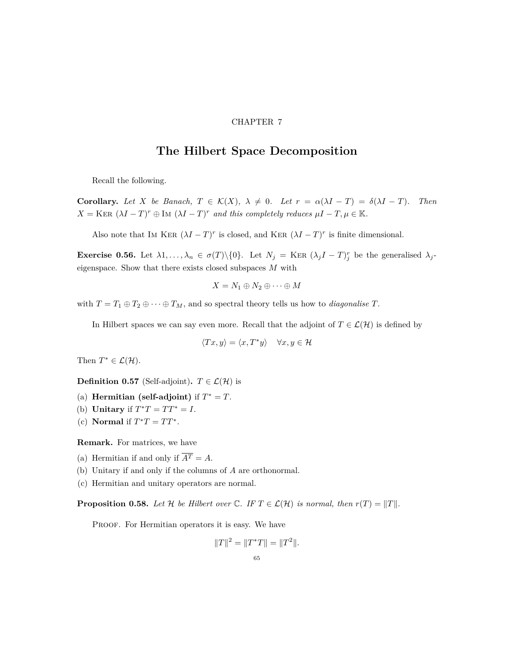#### CHAPTER 7

### **The Hilbert Space Decomposition**

<span id="page-64-0"></span>Recall the following.

**Corollary.** Let X be Banach,  $T \in \mathcal{K}(X)$ ,  $\lambda \neq 0$ . Let  $r = \alpha(\lambda I - T) = \delta(\lambda I - T)$ . Then  $X = \text{KER } (\lambda I - T)^r \oplus \text{Im } (\lambda I - T)^r$  *and this completely reduces*  $\mu I - T, \mu \in \mathbb{K}$ *.* 

Also note that IM KER  $(\lambda I - T)^r$  is closed, and KER  $(\lambda I - T)^r$  is finite dimensional.

**Exercise 0.56.** Let  $\lambda_1, \ldots, \lambda_n \in \sigma(T) \setminus \{0\}$ . Let  $N_j = \text{KER } (\lambda_j I - T)^r_j$  be the generalised  $\lambda_j$ eigenspace. Show that there exists closed subspaces *M* with

$$
X = N_1 \oplus N_2 \oplus \cdots \oplus M
$$

with  $T = T_1 \oplus T_2 \oplus \cdots \oplus T_M$ , and so spectral theory tells us how to *diagonalise*  $T$ .

In Hilbert spaces we can say even more. Recall that the adjoint of  $T \in \mathcal{L}(\mathcal{H})$  is defined by

$$
\langle Tx, y \rangle = \langle x, T^*y \rangle \quad \forall x, y \in \mathcal{H}
$$

Then  $T^* \in \mathcal{L}(\mathcal{H})$ .

**Definition 0.57** (Self-adjoint)**.**  $T \in \mathcal{L}(\mathcal{H})$  is

- (a) **Hermitian (self-adjoint)** if  $T^* = T$ .
- (b) **Unitary** if  $T^*T = TT^* = I$ .
- (c) **Normal** if  $T^*T = TT^*$ .

**Remark.** For matrices, we have

- (a) Hermitian if and only if  $\overline{A^T} = A$ .
- (b) Unitary if and only if the columns of *A* are orthonormal.
- (c) Hermitian and unitary operators are normal.

**Proposition 0.58.** Let  $\mathcal{H}$  be Hilbert over  $\mathbb{C}$ . IF  $T \in \mathcal{L}(\mathcal{H})$  is normal, then  $r(T) = ||T||$ .

PROOF. For Hermitian operators it is easy. We have

$$
||T||^2 = ||T^*T|| = ||T^2||.
$$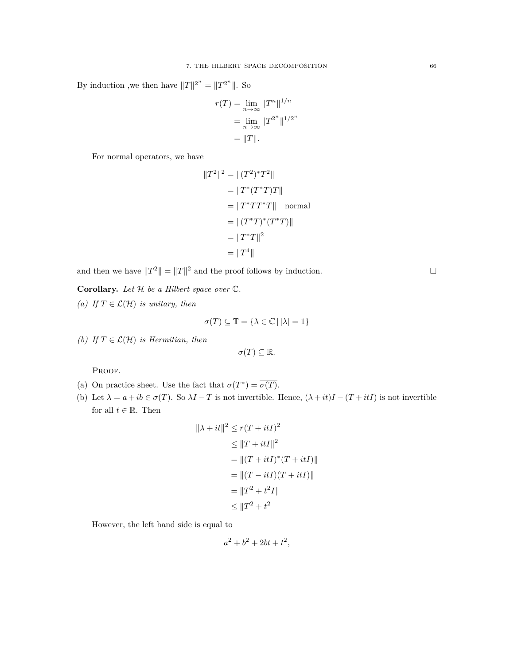By induction ,we then have  $||T||^{2^n} = ||T^{2^n}||$ . So

$$
r(T) = \lim_{n \to \infty} ||T^n||^{1/n}
$$

$$
= \lim_{n \to \infty} ||T^{2^n}||^{1/2^n}
$$

$$
= ||T||.
$$

For normal operators, we have

$$
||T2||2 = ||(T2)*T2||= ||T*(T*T)T||= ||T*TT*T|| normal= ||(T*T)*(T*T)||= ||T*T||2= ||T4||
$$

and then we have  $||T^2|| = ||T||^2$  and the proof follows by induction.

**Corollary.** *Let H be a Hilbert space over* C*.*

*(a) If*  $T ∈ \mathcal{L}(\mathcal{H})$  *is unitary, then* 

$$
\sigma(T) \subseteq \mathbb{T} = \{ \lambda \in \mathbb{C} \, | \, |\lambda| = 1 \}
$$

*(b)* If  $T \in \mathcal{L}(\mathcal{H})$  *is Hermitian, then* 

$$
\sigma(T) \subseteq \mathbb{R}.
$$

PROOF.

- (a) On practice sheet. Use the fact that  $\sigma(T^*) = \overline{\sigma(T)}$ .
- (b) Let  $\lambda = a + ib \in \sigma(T)$ . So  $\lambda I T$  is not invertible. Hence,  $(\lambda + it)I (T + itI)$  is not invertible for all  $t \in \mathbb{R}$ . Then

$$
\|\lambda + it\|^2 \le r(T + itI)^2
$$
  
\n
$$
\le \|T + itI\|^2
$$
  
\n
$$
= \|(T + itI)^*(T + itI)\|
$$
  
\n
$$
= \|(T - itI)(T + itI)\|
$$
  
\n
$$
= \|T^2 + t^2I\|
$$
  
\n
$$
\le \|T^2 + t^2
$$

However, the left hand side is equal to

$$
a^2 + b^2 + 2bt + t^2,
$$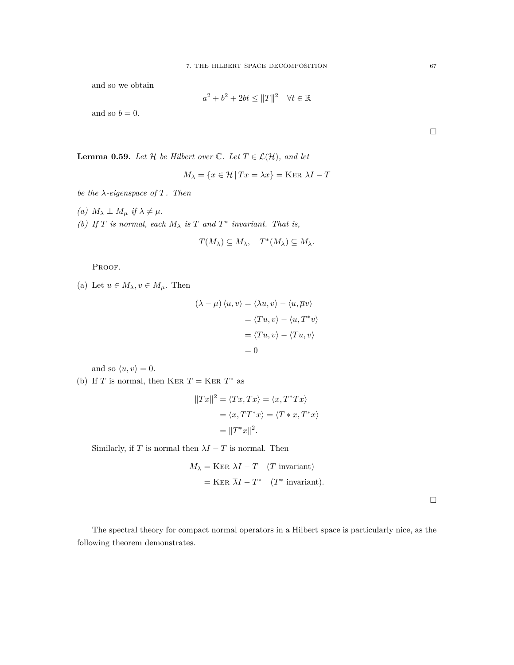and so we obtain

$$
a^2 + b^2 + 2bt \le ||T||^2 \quad \forall t \in \mathbb{R}
$$

and so  $b = 0$ .

**Lemma 0.59.** *Let*  $H$  *be Hilbert over*  $\mathbb{C}$ *. Let*  $T \in \mathcal{L}(\mathcal{H})$ *, and let* 

$$
M_{\lambda} = \{ x \in \mathcal{H} \mid Tx = \lambda x \} = \text{Ker } \lambda I - T
$$

*be the λ-eigenspace of T. Then*

- $(a)$   $M_{\lambda} \perp M_{\mu}$  *if*  $\lambda \neq \mu$ .
- *(b)* If  $T$  *is normal, each*  $M_{\lambda}$  *is*  $T$  *and*  $T^*$  *invariant. That is,*

$$
T(M_{\lambda}) \subseteq M_{\lambda}, \quad T^*(M_{\lambda}) \subseteq M_{\lambda}.
$$

PROOF.

(a) Let  $u \in M_\lambda, v \in M_\mu$ . Then

$$
(\lambda - \mu) \langle u, v \rangle = \langle \lambda u, v \rangle - \langle u, \overline{\mu} v \rangle
$$

$$
= \langle T u, v \rangle - \langle u, T^* v \rangle
$$

$$
= \langle T u, v \rangle - \langle T u, v \rangle
$$

$$
= 0
$$

and so  $\langle u, v \rangle = 0$ .

(b) If *T* is normal, then KER  $T =$  KER  $T^*$  as

$$
||Tx||^2 = \langle Tx, Tx \rangle = \langle x, T^*Tx \rangle
$$
  
=  $\langle x, TT^*x \rangle = \langle T * x, T^*x \rangle$   
=  $||T^*x||^2$ .

Similarly, if *T* is normal then  $\lambda I - T$  is normal. Then

$$
M_{\lambda} = \text{Ker }\lambda I - T \quad (T \text{ invariant})
$$

$$
= \text{Ker }\overline{\lambda}I - T^* \quad (T^* \text{ invariant}).
$$

 $\Box$ 

The spectral theory for compact normal operators in a Hilbert space is particularly nice, as the following theorem demonstrates.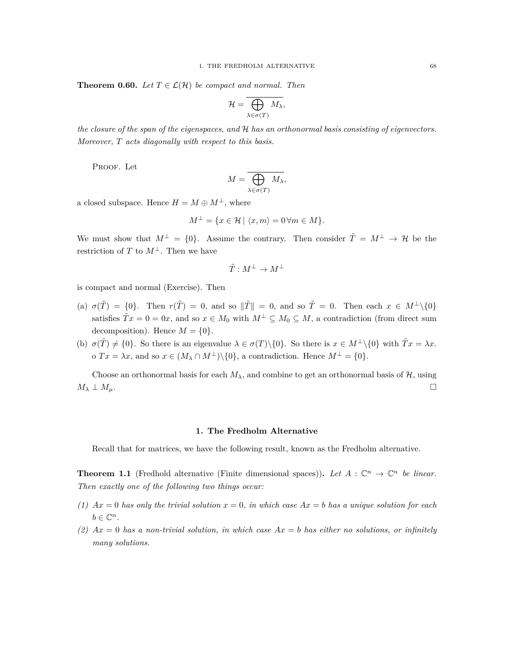**Theorem 0.60.** *Let*  $T \in \mathcal{L}(\mathcal{H})$  *be compact and normal. Then* 

$$
\mathcal{H}=\overline{\bigoplus_{\lambda\in\sigma(T)}M_{\lambda}},
$$

*the closure of the span of the eigenspaces, and H has an orthonormal basis consisting of eigenvectors. Moreover, T acts diagonally with respect to this basis.*

PROOF. Let

$$
M = \overline{\bigoplus_{\lambda \in \sigma(T)} M_{\lambda}},
$$

a closed subspace. Hence  $H = M \oplus M^{\perp}$ , where

$$
M^{\perp} = \{ x \in \mathcal{H} \mid \langle x, m \rangle = 0 \,\forall m \in M \}.
$$

We must show that  $M^{\perp} = \{0\}$ . Assume the contrary. Then consider  $\tilde{T} = M^{\perp} \to \mathcal{H}$  be the restriction of *T* to  $M^{\perp}$ . Then we have

$$
\tilde{T}:M^\perp\to M^\perp
$$

is compact and normal (Exercise). Then

- (a)  $\sigma(\tilde{T}) = \{0\}$ . Then  $r(\tilde{T}) = 0$ , and so  $\|\tilde{T}\| = 0$ , and so  $\tilde{T} = 0$ . Then each  $x \in M^{\perp} \setminus \{0\}$ satisfies  $\tilde{T}x = 0 = 0x$ , and so  $x \in M_0$  with  $M^{\perp} \subseteq M_0 \subseteq M$ , a contradiction (from direct sum decomposition). Hence  $M = \{0\}$ .
- (b)  $\sigma(\tilde{T}) \neq \{0\}$ . So there is an eigenvalue  $\lambda \in \sigma(T) \setminus \{0\}$ . So there is  $x \in M^{\perp} \setminus \{0\}$  with  $\tilde{T}x = \lambda x$ . o  $Tx = \lambda x$ , and so  $x \in (M_{\lambda} \cap M^{\perp}) \setminus \{0\}$ , a contradiction. Hence  $M^{\perp} = \{0\}$ .

Choose an orthonormal basis for each  $M_{\lambda}$ , and combine to get an orthonormal basis of  $\mathcal{H}$ , using  $M_{\lambda}$   $\perp$   $M_{\mu}$ .

#### **1. The Fredholm Alternative**

<span id="page-67-0"></span>Recall that for matrices, we have the following result, known as the Fredholm alternative.

**Theorem 1.1** (Fredhold alternative (Finite dimensional spaces)). Let  $A : \mathbb{C}^n \to \mathbb{C}^n$  be linear. *Then exactly one of the following two things occur:*

- *(1) Ax* = 0 *has only the trivial solution x* = 0*, in which case Ax* = *b has a unique solution for each*  $b \in \mathbb{C}^n$ .
- *(2) Ax* = 0 *has a non-trivial solution, in which case Ax* = *b has either no solutions, or infinitely many solutions.*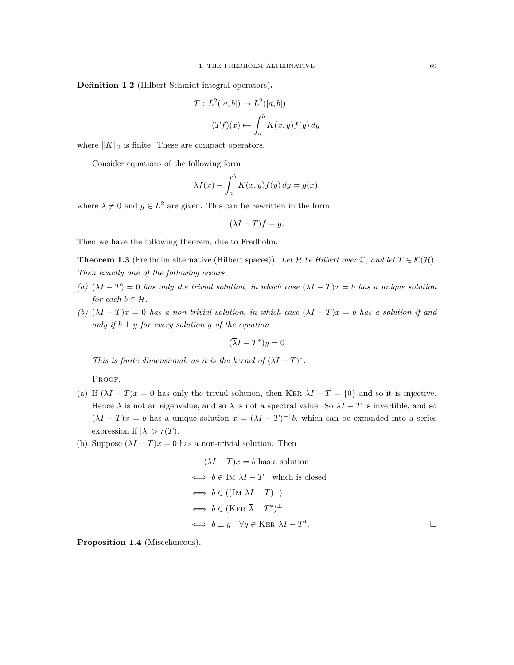**Definition 1.2** (Hilbert-Schmidt integral operators)**.**

$$
T: L^{2}([a, b]) \to L^{2}([a, b])
$$

$$
(Tf)(x) \mapsto \int_{a}^{b} K(x, y) f(y) dy
$$

where *∥K∥*<sup>2</sup> is finite. These are compact operators.

Consider equations of the following form

$$
\lambda f(x) - \int_a^b K(x, y) f(y) \, dy = g(x),
$$

where  $\lambda \neq 0$  and  $g \in L^2$  are given. This can be rewritten in the form

$$
(\lambda I - T)f = g.
$$

Then we have the following theorem, due to Fredholm.

**Theorem 1.3** (Fredholm alternative (Hilbert spaces)). Let  $\mathcal{H}$  be Hilbert over  $\mathbb{C}$ , and let  $T \in \mathcal{K}(\mathcal{H})$ . *Then exactly one of the following occurs.*

- *(a)* (*λI − T*) = 0 *has only the trivial solution, in which case* (*λI − T*)*x* = *b has a unique solution for each*  $b \in \mathcal{H}$ *.*
- *(b)* (*λI − T*)*x* = 0 *has a non trivial solution, in which case* (*λI − T*)*x* = *b has a solution if and only if*  $b \perp y$  *for every solution*  $y$  *of the equation*

$$
(\overline{\lambda}I - T^*)y = 0
$$

*This is finite dimensional, as it is the kernel of*  $(\lambda I - T)^*$ .

PROOF.

- (a) If  $(\lambda I T)x = 0$  has only the trivial solution, then KER  $\lambda I T = \{0\}$  and so it is injective. Hence  $\lambda$  is not an eigenvalue, and so  $\lambda$  is not a spectral value. So  $\lambda I - T$  is invertible, and so  $(\lambda I - T)x = b$  has a unique solution  $x = (\lambda I - T)^{-1}b$ , which can be expanded into a series expression if  $|\lambda| > r(T)$ .
- (b) Suppose  $(\lambda I T)x = 0$  has a non-trivial solution. Then

$$
(\lambda I - T)x = b \text{ has a solution}
$$
  
\n
$$
\iff b \in \text{Im } \lambda I - T \text{ which is closed}
$$
  
\n
$$
\iff b \in ((\text{Im } \lambda I - T)^{\perp})^{\perp}
$$
  
\n
$$
\iff b \in (\text{KER } \overline{\lambda} - T^*)^{\perp}
$$
  
\n
$$
\iff b \perp y \quad \forall y \in \text{KER } \overline{\lambda}I - T^*.
$$

**Proposition 1.4** (Miscelaneous)**.**